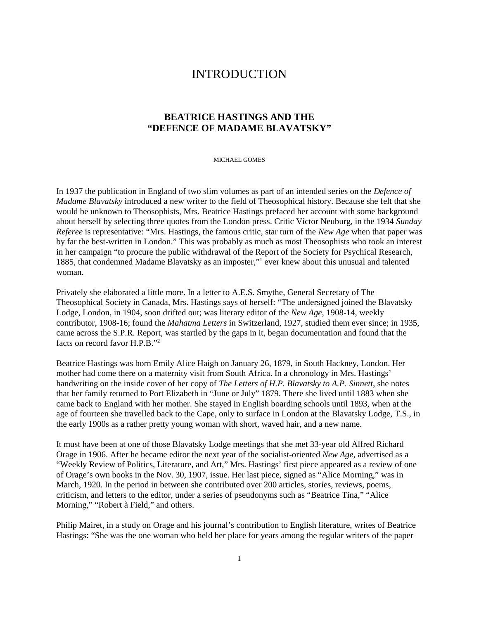# **INTRODUCTION**

## **BEATRICE HASTINGS AND THE "DEFENCE OF MADAME BLAVATSKY"**

MICHAEL GOMES

In 1937 the publication in England of two slim volumes as part of an intended series on the *Defence of Madame Blavatsky* introduced a new writer to the field of Theosophical history. Because she felt that she would be unknown to Theosophists, Mrs. Beatrice Hastings prefaced her account with some background about herself by selecting three quotes from the London press. Critic Victor Neuburg, in the 1934 *Sunday Referee* is representative: "Mrs. Hastings, the famous critic, star turn of the *New Age* when that paper was by far the best-written in London." This was probably as much as most Theosophists who took an interest in her campaign "to procure the public withdrawal of the Report of the Society for Psychical Research, 1885, that condemned Madame Blavatsky as an imposter,"<sup>1</sup> ever knew about this unusual and talented woman.

Privately she elaborated a little more. In a letter to A.E.S. Smythe, General Secretary of The Theosophical Society in Canada, Mrs. Hastings says of herself: "The undersigned joined the Blavatsky Lodge, London, in 1904, soon drifted out; was literary editor of the *New Age,* 1908-14, weekly contributor, 1908-16; found the *Mahatma Letters* in Switzerland, 1927, studied them ever since; in 1935, came across the S.P.R. Report, was startled by the gaps in it, began documentation and found that the facts on record favor H.P.B."2

Beatrice Hastings was born Emily Alice Haigh on January 26, 1879, in South Hackney, London. Her mother had come there on a maternity visit from South Africa. In a chronology in Mrs. Hastings' handwriting on the inside cover of her copy of *The Letters of H.P. Blavatsky to A.P. Sinnett*, she notes that her family returned to Port Elizabeth in "June or July" 1879. There she lived until 1883 when she came back to England with her mother. She stayed in English boarding schools until 1893, when at the age of fourteen she travelled back to the Cape, only to surface in London at the Blavatsky Lodge, T.S., in the early 1900s as a rather pretty young woman with short, waved hair, and a new name.

It must have been at one of those Blavatsky Lodge meetings that she met 33-year old Alfred Richard Orage in 1906. After he became editor the next year of the socialist-oriented *New Age,* advertised as a "Weekly Review of Politics, Literature, and Art," Mrs. Hastings' first piece appeared as a review of one of Orage's own books in the Nov. 30, 1907, issue. Her last piece, signed as "Alice Morning," was in March, 1920. In the period in between she contributed over 200 articles, stories, reviews, poems, criticism, and letters to the editor, under a series of pseudonyms such as "Beatrice Tina," "Alice Morning," "Robert à Field," and others.

Philip Mairet, in a study on Orage and his journal's contribution to English literature, writes of Beatrice Hastings: "She was the one woman who held her place for years among the regular writers of the paper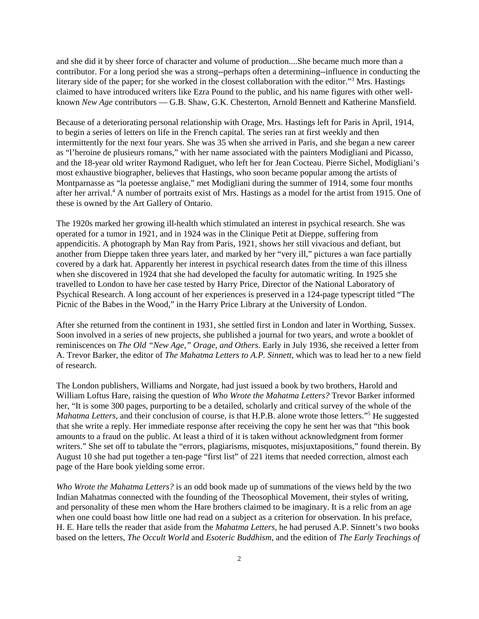and she did it by sheer force of character and volume of production....She became much more than a contributor. For a long period she was a strong--perhaps often a determining--influence in conducting the literary side of the paper; for she worked in the closest collaboration with the editor."<sup>3</sup> Mrs. Hastings claimed to have introduced writers like Ezra Pound to the public, and his name figures with other wellknown *New Age* contributors — G.B. Shaw, G.K. Chesterton, Arnold Bennett and Katherine Mansfield.

Because of a deteriorating personal relationship with Orage, Mrs. Hastings left for Paris in April, 1914, to begin a series of letters on life in the French capital. The series ran at first weekly and then intermittently for the next four years. She was 35 when she arrived in Paris, and she began a new career as "l'heroine de plusieurs romans," with her name associated with the painters Modigliani and Picasso, and the 18-year old writer Raymond Radiguet, who left her for Jean Cocteau. Pierre Sichel, Modigliani's most exhaustive biographer, believes that Hastings, who soon became popular among the artists of Montparnasse as "la poetesse anglaise," met Modigliani during the summer of 1914, some four months after her arrival.<sup>4</sup> A number of portraits exist of Mrs. Hastings as a model for the artist from 1915. One of these is owned by the Art Gallery of Ontario.

The 1920s marked her growing ill-health which stimulated an interest in psychical research. She was operated for a tumor in 1921, and in 1924 was in the Clinique Petit at Dieppe, suffering from appendicitis. A photograph by Man Ray from Paris, 1921, shows her still vivacious and defiant, but another from Dieppe taken three years later, and marked by her "very ill," pictures a wan face partially covered by a dark hat. Apparently her interest in psychical research dates from the time of this illness when she discovered in 1924 that she had developed the faculty for automatic writing. In 1925 she travelled to London to have her case tested by Harry Price, Director of the National Laboratory of Psychical Research. A long account of her experiences is preserved in a 124-page typescript titled "The Picnic of the Babes in the Wood," in the Harry Price Library at the University of London.

After she returned from the continent in 1931, she settled first in London and later in Worthing, Sussex. Soon involved in a series of new projects, she published a journal for two years, and wrote a booklet of reminiscences on *The Old "New Age," Orage, and Others*. Early in July 1936, she received a letter from A. Trevor Barker, the editor of *The Mahatma Letters to A.P. Sinnett,* which was to lead her to a new field of research.

The London publishers, Williams and Norgate, had just issued a book by two brothers, Harold and William Loftus Hare, raising the question of *Who Wrote the Mahatma Letters?* Trevor Barker informed her, "It is some 300 pages, purporting to be a detailed, scholarly and critical survey of the whole of the Mahatma Letters, and their conclusion of course, is that H.P.B. alone wrote those letters."<sup>5</sup> He suggested that she write a reply. Her immediate response after receiving the copy he sent her was that "this book amounts to a fraud on the public. At least a third of it is taken without acknowledgment from former writers." She set off to tabulate the "errors, plagiarisms, misquotes, misjuxtapositions," found therein. By August 10 she had put together a ten-page "first list" of 221 items that needed correction, almost each page of the Hare book yielding some error.

*Who Wrote the Mahatma Letters?* is an odd book made up of summations of the views held by the two Indian Mahatmas connected with the founding of the Theosophical Movement, their styles of writing, and personality of these men whom the Hare brothers claimed to be imaginary. It is a relic from an age when one could boast how little one had read on a subject as a criterion for observation. In his preface, H. E. Hare tells the reader that aside from the *Mahatma Letters,* he had perused A.P. Sinnett's two books based on the letters, *The Occult World* and *Esoteric Buddhism,* and the edition of *The Early Teachings of*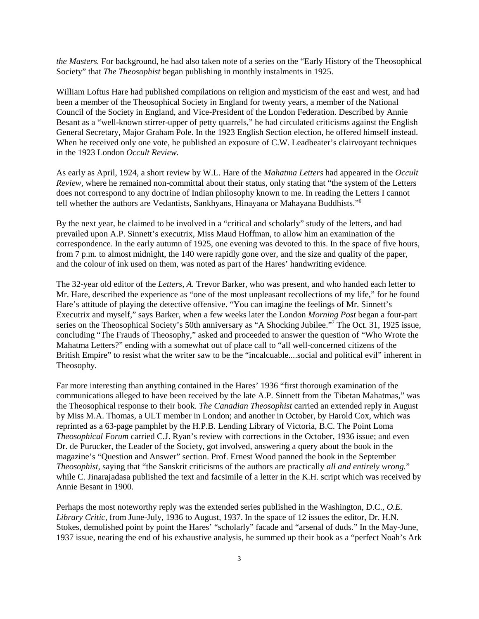*the Masters.* For background, he had also taken note of a series on the "Early History of the Theosophical Society" that *The Theosophist* began publishing in monthly instalments in 1925.

William Loftus Hare had published compilations on religion and mysticism of the east and west, and had been a member of the Theosophical Society in England for twenty years, a member of the National Council of the Society in England, and Vice-President of the London Federation. Described by Annie Besant as a "well-known stirrer-upper of petty quarrels," he had circulated criticisms against the English General Secretary, Major Graham Pole. In the 1923 English Section election, he offered himself instead. When he received only one vote, he published an exposure of C.W. Leadbeater's clairvoyant techniques in the 1923 London *Occult Review.*

As early as April, 1924, a short review by W.L. Hare of the *Mahatma Letters* had appeared in the *Occult Review,* where he remained non-committal about their status, only stating that "the system of the Letters does not correspond to any doctrine of Indian philosophy known to me. In reading the Letters I cannot tell whether the authors are Vedantists, Sankhyans, Hinayana or Mahayana Buddhists."6

By the next year, he claimed to be involved in a "critical and scholarly" study of the letters, and had prevailed upon A.P. Sinnett's executrix, Miss Maud Hoffman, to allow him an examination of the correspondence. In the early autumn of 1925, one evening was devoted to this. In the space of five hours, from 7 p.m. to almost midnight, the 140 were rapidly gone over, and the size and quality of the paper, and the colour of ink used on them, was noted as part of the Hares' handwriting evidence.

The 32-year old editor of the *Letters, A.* Trevor Barker, who was present, and who handed each letter to Mr. Hare, described the experience as "one of the most unpleasant recollections of my life," for he found Hare's attitude of playing the detective offensive. "You can imagine the feelings of Mr. Sinnett's Executrix and myself," says Barker, when a few weeks later the London *Morning Post* began a four-part series on the Theosophical Society's 50th anniversary as "A Shocking Jubilee."<sup>7</sup> The Oct. 31, 1925 issue, concluding "The Frauds of Theosophy," asked and proceeded to answer the question of "Who Wrote the Mahatma Letters?" ending with a somewhat out of place call to "all well-concerned citizens of the British Empire" to resist what the writer saw to be the "incalcuable....social and political evil" inherent in Theosophy.

Far more interesting than anything contained in the Hares' 1936 "first thorough examination of the communications alleged to have been received by the late A.P. Sinnett from the Tibetan Mahatmas," was the Theosophical response to their book. *The Canadian Theosophist* carried an extended reply in August by Miss M.A. Thomas, a ULT member in London; and another in October, by Harold Cox, which was reprinted as a 63-page pamphlet by the H.P.B. Lending Library of Victoria, B.C. The Point Loma *Theosophical Forum* carried C.J. Ryan's review with corrections in the October, 1936 issue; and even Dr. de Purucker, the Leader of the Society, got involved, answering a query about the book in the magazine's "Question and Answer" section. Prof. Ernest Wood panned the book in the September *Theosophist,* saying that "the Sanskrit criticisms of the authors are practically *all and entirely wrong.*" while C. Jinarajadasa published the text and facsimile of a letter in the K.H. script which was received by Annie Besant in 1900.

Perhaps the most noteworthy reply was the extended series published in the Washington, D.C., *O.E. Library Critic,* from June-July, 1936 to August, 1937. In the space of 12 issues the editor, Dr. H.N. Stokes, demolished point by point the Hares' "scholarly" facade and "arsenal of duds." In the May-June, 1937 issue, nearing the end of his exhaustive analysis, he summed up their book as a "perfect Noah's Ark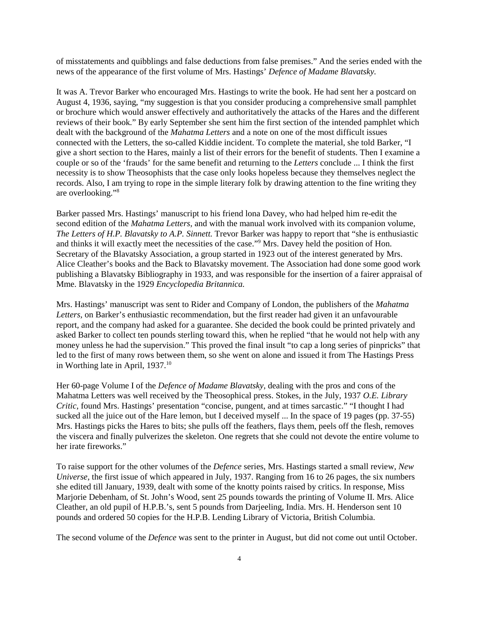of misstatements and quibblings and false deductions from false premises." And the series ended with the news of the appearance of the first volume of Mrs. Hastings' *Defence of Madame Blavatsky.*

It was A. Trevor Barker who encouraged Mrs. Hastings to write the book. He had sent her a postcard on August 4, 1936, saying, "my suggestion is that you consider producing a comprehensive small pamphlet or brochure which would answer effectively and authoritatively the attacks of the Hares and the different reviews of their book." By early September she sent him the first section of the intended pamphlet which dealt with the background of the *Mahatma Letters* and a note on one of the most difficult issues connected with the Letters, the so-called Kiddie incident. To complete the material, she told Barker, "I give a short section to the Hares, mainly a list of their errors for the benefit of students. Then I examine a couple or so of the 'frauds' for the same benefit and returning to the *Letters* conclude ... I think the first necessity is to show Theosophists that the case only looks hopeless because they themselves neglect the records. Also, I am trying to rope in the simple literary folk by drawing attention to the fine writing they are overlooking."8

Barker passed Mrs. Hastings' manuscript to his friend lona Davey, who had helped him re-edit the second edition of the *Mahatma Letters,* and with the manual work involved with its companion volume, *The Letters of H.P. Blavatsky to A.P. Sinnett.* Trevor Barker was happy to report that "she is enthusiastic and thinks it will exactly meet the necessities of the case."<sup>9</sup> Mrs. Davey held the position of Hon. Secretary of the Blavatsky Association, a group started in 1923 out of the interest generated by Mrs. Alice Cleather's books and the Back to Blavatsky movement. The Association had done some good work publishing a Blavatsky Bibliography in 1933, and was responsible for the insertion of a fairer appraisal of Mme. Blavatsky in the 1929 *Encyclopedia Britannica.*

Mrs. Hastings' manuscript was sent to Rider and Company of London, the publishers of the *Mahatma Letters,* on Barker's enthusiastic recommendation, but the first reader had given it an unfavourable report, and the company had asked for a guarantee. She decided the book could be printed privately and asked Barker to collect ten pounds sterling toward this, when he replied "that he would not help with any money unless he had the supervision." This proved the final insult "to cap a long series of pinpricks" that led to the first of many rows between them, so she went on alone and issued it from The Hastings Press in Worthing late in April, 1937.<sup>10</sup>

Her 60-page Volume I of the *Defence of Madame Blavatsky,* dealing with the pros and cons of the Mahatma Letters was well received by the Theosophical press. Stokes, in the July, 1937 *O.E. Library Critic,* found Mrs. Hastings' presentation "concise, pungent, and at times sarcastic." "I thought I had sucked all the juice out of the Hare lemon, but I deceived myself ... In the space of 19 pages (pp. 37-55) Mrs. Hastings picks the Hares to bits; she pulls off the feathers, flays them, peels off the flesh, removes the viscera and finally pulverizes the skeleton. One regrets that she could not devote the entire volume to her irate fireworks."

To raise support for the other volumes of the *Defence* series, Mrs. Hastings started a small review, *New Universe,* the first issue of which appeared in July, 1937. Ranging from 16 to 26 pages, the six numbers she edited till January, 1939, dealt with some of the knotty points raised by critics. In response, Miss Marjorie Debenham, of St. John's Wood, sent 25 pounds towards the printing of Volume II. Mrs. Alice Cleather, an old pupil of H.P.B.'s, sent 5 pounds from Darjeeling, India. Mrs. H. Henderson sent 10 pounds and ordered 50 copies for the H.P.B. Lending Library of Victoria, British Columbia.

The second volume of the *Defence* was sent to the printer in August, but did not come out until October.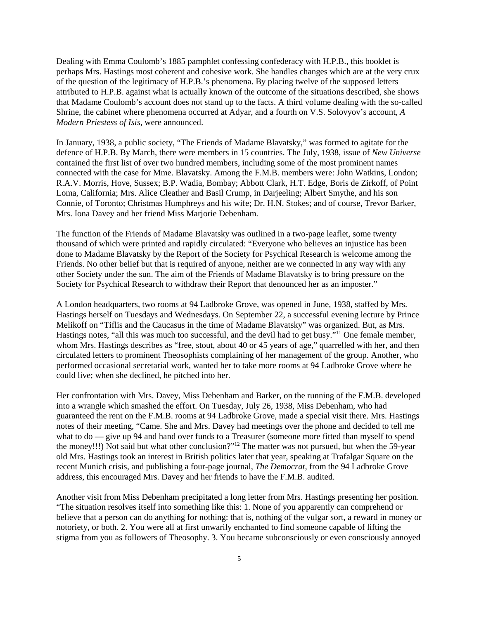Dealing with Emma Coulomb's 1885 pamphlet confessing confederacy with H.P.B., this booklet is perhaps Mrs. Hastings most coherent and cohesive work. She handles changes which are at the very crux of the question of the legitimacy of H.P.B.'s phenomena. By placing twelve of the supposed letters attributed to H.P.B. against what is actually known of the outcome of the situations described, she shows that Madame Coulomb's account does not stand up to the facts. A third volume dealing with the so-called Shrine, the cabinet where phenomena occurred at Adyar, and a fourth on V.S. Solovyov's account, *A Modern Priestess of Isis,* were announced.

In January, 1938, a public society, "The Friends of Madame Blavatsky," was formed to agitate for the defence of H.P.B. By March, there were members in 15 countries. The July, 1938, issue of *New Universe* contained the first list of over two hundred members, including some of the most prominent names connected with the case for Mme. Blavatsky. Among the F.M.B. members were: John Watkins, London; R.A.V. Morris, Hove, Sussex; B.P. Wadia, Bombay; Abbott Clark, H.T. Edge, Boris de Zirkoff, of Point Loma, California; Mrs. Alice Cleather and Basil Crump, in Darjeeling; Albert Smythe, and his son Connie, of Toronto; Christmas Humphreys and his wife; Dr. H.N. Stokes; and of course, Trevor Barker, Mrs. Iona Davey and her friend Miss Marjorie Debenham.

The function of the Friends of Madame Blavatsky was outlined in a two-page leaflet, some twenty thousand of which were printed and rapidly circulated: "Everyone who believes an injustice has been done to Madame Blavatsky by the Report of the Society for Psychical Research is welcome among the Friends. No other belief but that is required of anyone, neither are we connected in any way with any other Society under the sun. The aim of the Friends of Madame Blavatsky is to bring pressure on the Society for Psychical Research to withdraw their Report that denounced her as an imposter."

A London headquarters, two rooms at 94 Ladbroke Grove, was opened in June, 1938, staffed by Mrs. Hastings herself on Tuesdays and Wednesdays. On September 22, a successful evening lecture by Prince Melikoff on "Tiflis and the Caucasus in the time of Madame Blavatsky" was organized. But, as Mrs. Hastings notes, "all this was much too successful, and the devil had to get busy."11 One female member, whom Mrs. Hastings describes as "free, stout, about 40 or 45 years of age," quarrelled with her, and then circulated letters to prominent Theosophists complaining of her management of the group. Another, who performed occasional secretarial work, wanted her to take more rooms at 94 Ladbroke Grove where he could live; when she declined, he pitched into her.

Her confrontation with Mrs. Davey, Miss Debenham and Barker, on the running of the F.M.B. developed into a wrangle which smashed the effort. On Tuesday, July 26, 1938, Miss Debenham, who had guaranteed the rent on the F.M.B. rooms at 94 Ladbroke Grove, made a special visit there. Mrs. Hastings notes of their meeting, "Came. She and Mrs. Davey had meetings over the phone and decided to tell me what to do — give up 94 and hand over funds to a Treasurer (someone more fitted than myself to spend the money!!!) Not said but what other conclusion?"<sup>12</sup> The matter was not pursued, but when the 59-year old Mrs. Hastings took an interest in British politics later that year, speaking at Trafalgar Square on the recent Munich crisis, and publishing a four-page journal, *The Democrat,* from the 94 Ladbroke Grove address, this encouraged Mrs. Davey and her friends to have the F.M.B. audited.

Another visit from Miss Debenham precipitated a long letter from Mrs. Hastings presenting her position. "The situation resolves itself into something like this: 1. None of you apparently can comprehend or believe that a person can do anything for nothing: that is, nothing of the vulgar sort, a reward in money or notoriety, or both. 2. You were all at first unwarily enchanted to find someone capable of lifting the stigma from you as followers of Theosophy. 3. You became subconsciously or even consciously annoyed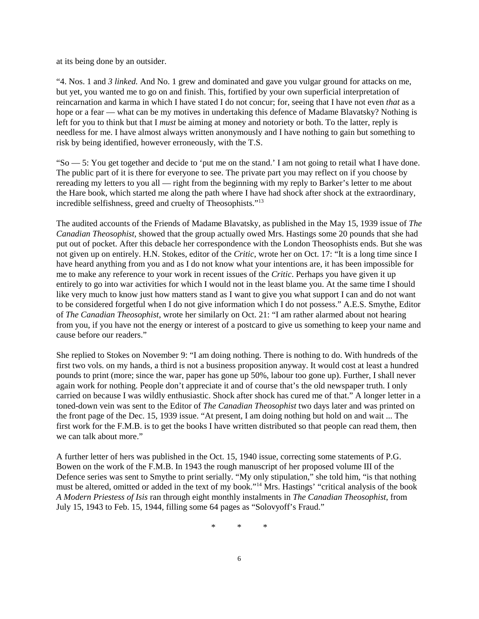at its being done by an outsider.

"4. Nos. 1 and *3 linked.* And No. 1 grew and dominated and gave you vulgar ground for attacks on me, but yet, you wanted me to go on and finish. This, fortified by your own superficial interpretation of reincarnation and karma in which I have stated I do not concur; for, seeing that I have not even *that* as a hope or a fear — what can be my motives in undertaking this defence of Madame Blavatsky? Nothing is left for you to think but that I *must* be aiming at money and notoriety or both. To the latter, reply is needless for me. I have almost always written anonymously and I have nothing to gain but something to risk by being identified, however erroneously, with the T.S.

"So — 5: You get together and decide to 'put me on the stand.' I am not going to retail what I have done. The public part of it is there for everyone to see. The private part you may reflect on if you choose by rereading my letters to you all — right from the beginning with my reply to Barker's letter to me about the Hare book, which started me along the path where I have had shock after shock at the extraordinary, incredible selfishness, greed and cruelty of Theosophists."13

The audited accounts of the Friends of Madame Blavatsky, as published in the May 15, 1939 issue of *The Canadian Theosophist,* showed that the group actually owed Mrs. Hastings some 20 pounds that she had put out of pocket. After this debacle her correspondence with the London Theosophists ends. But she was not given up on entirely. H.N. Stokes, editor of the *Critic*, wrote her on Oct. 17: "It is a long time since I have heard anything from you and as I do not know what your intentions are, it has been impossible for me to make any reference to your work in recent issues of the *Critic*. Perhaps you have given it up entirely to go into war activities for which I would not in the least blame you. At the same time I should like very much to know just how matters stand as I want to give you what support I can and do not want to be considered forgetful when I do not give information which I do not possess." A.E.S. Smythe, Editor of *The Canadian Theosophist*, wrote her similarly on Oct. 21: "I am rather alarmed about not hearing from you, if you have not the energy or interest of a postcard to give us something to keep your name and cause before our readers."

She replied to Stokes on November 9: "I am doing nothing. There is nothing to do. With hundreds of the first two vols. on my hands, a third is not a business proposition anyway. It would cost at least a hundred pounds to print (more; since the war, paper has gone up 50%, labour too gone up). Further, I shall never again work for nothing. People don't appreciate it and of course that's the old newspaper truth. I only carried on because I was wildly enthusiastic. Shock after shock has cured me of that." A longer letter in a toned-down vein was sent to the Editor of *The Canadian Theosophist* two days later and was printed on the front page of the Dec. 15, 1939 issue. "At present, I am doing nothing but hold on and wait ... The first work for the F.M.B. is to get the books I have written distributed so that people can read them, then we can talk about more."

A further letter of hers was published in the Oct. 15, 1940 issue, correcting some statements of P.G. Bowen on the work of the F.M.B. In 1943 the rough manuscript of her proposed volume III of the Defence series was sent to Smythe to print serially. "My only stipulation," she told him, "is that nothing must be altered, omitted or added in the text of my book."14 Mrs. Hastings' "critical analysis of the book *A Modern Priestess of Isis* ran through eight monthly instalments in *The Canadian Theosophist*, from July 15, 1943 to Feb. 15, 1944, filling some 64 pages as "Solovyoff's Fraud."

\* \* \*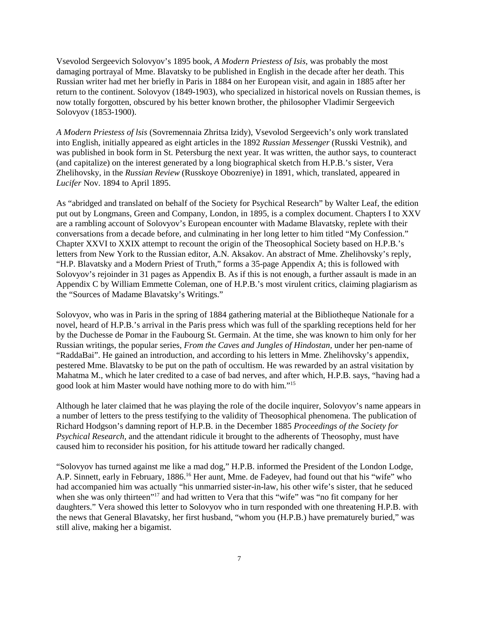Vsevolod Sergeevich Solovyov's 1895 book, *A Modern Priestess of Isis,* was probably the most damaging portrayal of Mme. Blavatsky to be published in English in the decade after her death. This Russian writer had met her briefly in Paris in 1884 on her European visit, and again in 1885 after her return to the continent. Solovyov (1849-1903), who specialized in historical novels on Russian themes, is now totally forgotten, obscured by his better known brother, the philosopher Vladimir Sergeevich Solovyov (1853-1900).

*A Modern Priestess of lsis* (Sovremennaia Zhritsa Izidy), Vsevolod Sergeevich's only work translated into English, initially appeared as eight articles in the 1892 *Russian Messenger* (Russki Vestnik), and was published in book form in St. Petersburg the next year. It was written, the author says, to counteract (and capitalize) on the interest generated by a long biographical sketch from H.P.B.'s sister, Vera Zhelihovsky, in the *Russian Review* (Russkoye Obozreniye) in 1891, which, translated, appeared in *Lucifer* Nov. 1894 to April 1895.

As "abridged and translated on behalf of the Society for Psychical Research" by Walter Leaf, the edition put out by Longmans, Green and Company, London, in 1895, is a complex document. Chapters I to XXV are a rambling account of Solovyov's European encounter with Madame Blavatsky, replete with their conversations from a decade before, and culminating in her long letter to him titled "My Confession." Chapter XXVI to XXIX attempt to recount the origin of the Theosophical Society based on H.P.B.'s letters from New York to the Russian editor, A.N. Aksakov. An abstract of Mme. Zhelihovsky's reply, "H.P. Blavatsky and a Modern Priest of Truth," forms a 35-page Appendix A; this is followed with Solovyov's rejoinder in 31 pages as Appendix B. As if this is not enough, a further assault is made in an Appendix C by William Emmette Coleman, one of H.P.B.'s most virulent critics, claiming plagiarism as the "Sources of Madame Blavatsky's Writings."

Solovyov, who was in Paris in the spring of 1884 gathering material at the Bibliotheque Nationale for a novel, heard of H.P.B.'s arrival in the Paris press which was full of the sparkling receptions held for her by the Duchesse de Pomar in the Faubourg St. Germain. At the time, she was known to him only for her Russian writings, the popular series, *From the Caves and Jungles of Hindostan,* under her pen-name of "RaddaBai". He gained an introduction, and according to his letters in Mme. Zhelihovsky's appendix, pestered Mme. Blavatsky to be put on the path of occultism. He was rewarded by an astral visitation by Mahatma M., which he later credited to a case of bad nerves, and after which, H.P.B. says, "having had a good look at him Master would have nothing more to do with him."15

Although he later claimed that he was playing the role of the docile inquirer, Solovyov's name appears in a number of letters to the press testifying to the validity of Theosophical phenomena. The publication of Richard Hodgson's damning report of H.P.B. in the December 1885 *Proceedings of the Society for Psychical Research,* and the attendant ridicule it brought to the adherents of Theosophy, must have caused him to reconsider his position, for his attitude toward her radically changed.

"Solovyov has turned against me like a mad dog," H.P.B. informed the President of the London Lodge, A.P. Sinnett, early in February, 1886.16 Her aunt, Mme. de Fadeyev, had found out that his "wife" who had accompanied him was actually "his unmarried sister-in-law, his other wife's sister, that he seduced when she was only thirteen"<sup>17</sup> and had written to Vera that this "wife" was "no fit company for her daughters." Vera showed this letter to Solovyov who in turn responded with one threatening H.P.B. with the news that General Blavatsky, her first husband, "whom you (H.P.B.) have prematurely buried," was still alive, making her a bigamist.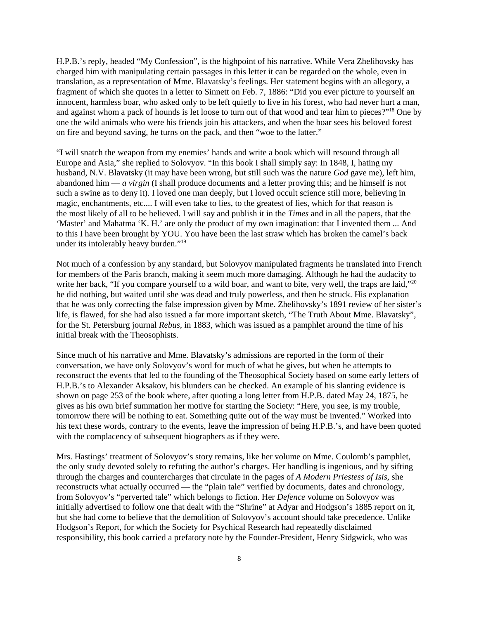H.P.B.'s reply, headed "My Confession", is the highpoint of his narrative. While Vera Zhelihovsky has charged him with manipulating certain passages in this letter it can be regarded on the whole, even in translation, as a representation of Mme. Blavatsky's feelings. Her statement begins with an allegory, a fragment of which she quotes in a letter to Sinnett on Feb. 7, 1886: "Did you ever picture to yourself an innocent, harmless boar, who asked only to be left quietly to live in his forest, who had never hurt a man, and against whom a pack of hounds is let loose to turn out of that wood and tear him to pieces?"18 One by one the wild animals who were his friends join his attackers, and when the boar sees his beloved forest on fire and beyond saving, he turns on the pack, and then "woe to the latter."

"I will snatch the weapon from my enemies' hands and write a book which will resound through all Europe and Asia," she replied to Solovyov. "In this book I shall simply say: In 1848, I, hating my husband, N.V. Blavatsky (it may have been wrong, but still such was the nature *God* gave me), left him, abandoned him — *a virgin* (I shall produce documents and a letter proving this; and he himself is not such a swine as to deny it). I loved one man deeply, but I loved occult science still more, believing in magic, enchantments, etc.... I will even take to lies, to the greatest of lies, which for that reason is the most likely of all to be believed. I will say and publish it in the *Times* and in all the papers, that the 'Master' and Mahatma 'K. H.' are only the product of my own imagination: that I invented them ... And to this I have been brought by YOU. You have been the last straw which has broken the camel's back under its intolerably heavy burden."19

Not much of a confession by any standard, but Solovyov manipulated fragments he translated into French for members of the Paris branch, making it seem much more damaging. Although he had the audacity to write her back, "If you compare yourself to a wild boar, and want to bite, very well, the traps are laid,"<sup>20</sup> he did nothing, but waited until she was dead and truly powerless, and then he struck. His explanation that he was only correcting the false impression given by Mme. Zhelihovsky's 1891 review of her sister's life, is flawed, for she had also issued a far more important sketch, "The Truth About Mme. Blavatsky", for the St. Petersburg journal *Rebus,* in 1883, which was issued as a pamphlet around the time of his initial break with the Theosophists.

Since much of his narrative and Mme. Blavatsky's admissions are reported in the form of their conversation, we have only Solovyov's word for much of what he gives, but when he attempts to reconstruct the events that led to the founding of the Theosophical Society based on some early letters of H.P.B.'s to Alexander Aksakov, his blunders can be checked. An example of his slanting evidence is shown on page 253 of the book where, after quoting a long letter from H.P.B. dated May 24, 1875, he gives as his own brief summation her motive for starting the Society: "Here, you see, is my trouble, tomorrow there will be nothing to eat. Something quite out of the way must be invented." Worked into his text these words, contrary to the events, leave the impression of being H.P.B.'s, and have been quoted with the complacency of subsequent biographers as if they were.

Mrs. Hastings' treatment of Solovyov's story remains, like her volume on Mme. Coulomb's pamphlet, the only study devoted solely to refuting the author's charges. Her handling is ingenious, and by sifting through the charges and countercharges that circulate in the pages of *A Modern Priestess of Isis,* she reconstructs what actually occurred — the "plain tale" verified by documents, dates and chronology, from Solovyov's "perverted tale" which belongs to fiction. Her *Defence* volume on Solovyov was initially advertised to follow one that dealt with the "Shrine" at Adyar and Hodgson's 1885 report on it, but she had come to believe that the demolition of Solovyov's account should take precedence. Unlike Hodgson's Report, for which the Society for Psychical Research had repeatedly disclaimed responsibility, this book carried a prefatory note by the Founder-President, Henry Sidgwick, who was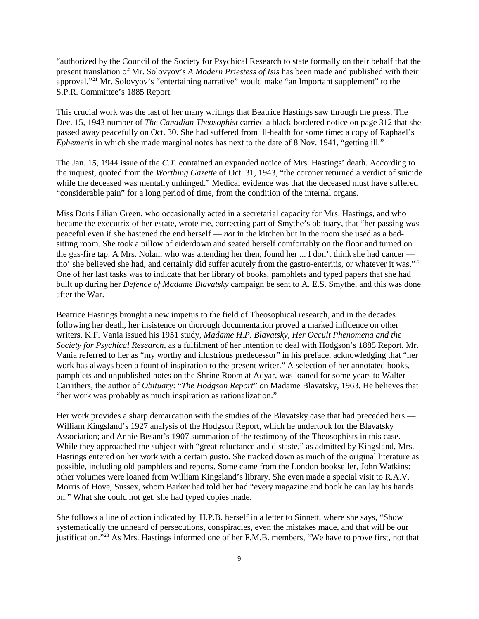"authorized by the Council of the Society for Psychical Research to state formally on their behalf that the present translation of Mr. Solovyov's *A Modern Priestess of Isis* has been made and published with their approval."21 Mr. Solovyov's "entertaining narrative" would make "an Important supplement" to the S.P.R. Committee's 1885 Report.

This crucial work was the last of her many writings that Beatrice Hastings saw through the press. The Dec. 15, 1943 number of *The Canadian Theosophist* carried a black-bordered notice on page 312 that she passed away peacefully on Oct. 30. She had suffered from ill-health for some time: a copy of Raphael's *Ephemeris* in which she made marginal notes has next to the date of 8 Nov. 1941, "getting ill."

The Jan. 15, 1944 issue of the *C.T.* contained an expanded notice of Mrs. Hastings' death. According to the inquest, quoted from the *Worthing Gazette* of Oct. 31, 1943, "the coroner returned a verdict of suicide while the deceased was mentally unhinged." Medical evidence was that the deceased must have suffered "considerable pain" for a long period of time, from the condition of the internal organs.

Miss Doris Lilian Green, who occasionally acted in a secretarial capacity for Mrs. Hastings, and who became the executrix of her estate, wrote me, correcting part of Smythe's obituary, that "her passing *was* peaceful even if she hastened the end herself — *not* in the kitchen but in the room she used as a bedsitting room. She took a pillow of eiderdown and seated herself comfortably on the floor and turned on the gas-fire tap. A Mrs. Nolan, who was attending her then, found her ... I don't think she had cancer tho' she believed she had, and certainly did suffer acutely from the gastro-enteritis, or whatever it was."<sup>22</sup> One of her last tasks was to indicate that her library of books, pamphlets and typed papers that she had built up during her *Defence of Madame Blavatsky* campaign be sent to A. E.S. Smythe, and this was done after the War.

Beatrice Hastings brought a new impetus to the field of Theosophical research, and in the decades following her death, her insistence on thorough documentation proved a marked influence on other writers. K.F. Vania issued his 1951 study, *Madame H.P. Blavatsky, Her Occult Phenomena and the Society for Psychical Research*, as a fulfilment of her intention to deal with Hodgson's 1885 Report. Mr. Vania referred to her as "my worthy and illustrious predecessor" in his preface, acknowledging that "her work has always been a fount of inspiration to the present writer." A selection of her annotated books, pamphlets and unpublished notes on the Shrine Room at Adyar, was loaned for some years to Walter Carrithers, the author of *Obituary*: "*The Hodgson Report*" on Madame Blavatsky, 1963. He believes that "her work was probably as much inspiration as rationalization."

Her work provides a sharp demarcation with the studies of the Blavatsky case that had preceded hers — William Kingsland's 1927 analysis of the Hodgson Report, which he undertook for the Blavatsky Association; and Annie Besant's 1907 summation of the testimony of the Theosophists in this case. While they approached the subject with "great reluctance and distaste," as admitted by Kingsland, Mrs. Hastings entered on her work with a certain gusto. She tracked down as much of the original literature as possible, including old pamphlets and reports. Some came from the London bookseller, John Watkins: other volumes were loaned from William Kingsland's library. She even made a special visit to R.A.V. Morris of Hove, Sussex, whom Barker had told her had "every magazine and book he can lay his hands on." What she could not get, she had typed copies made.

She follows a line of action indicated by H.P.B. herself in a letter to Sinnett, where she says, "Show systematically the unheard of persecutions, conspiracies, even the mistakes made, and that will be our justification."23 As Mrs. Hastings informed one of her F.M.B. members, "We have to prove first, not that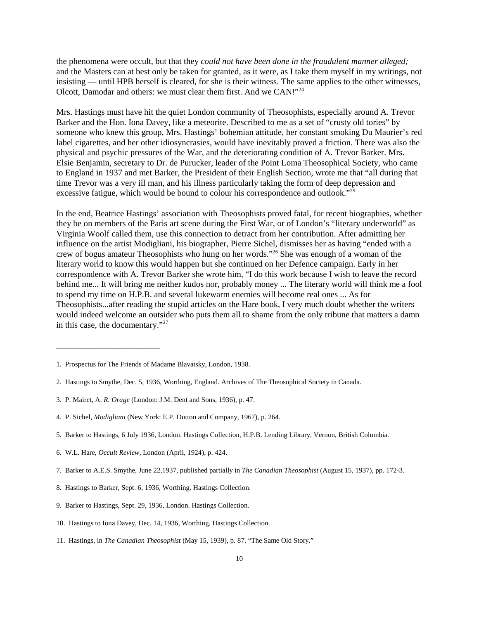the phenomena were occult, but that they *could not have been done in the fraudulent manner alleged;* and the Masters can at best only be taken for granted, as it were, as I take them myself in my writings, not insisting — until HPB herself is cleared, for she is their witness. The same applies to the other witnesses, Olcott, Damodar and others: we must clear them first. And we CAN!"24

Mrs. Hastings must have hit the quiet London community of Theosophists, especially around A. Trevor Barker and the Hon. Iona Davey, like a meteorite. Described to me as a set of "crusty old tories" by someone who knew this group, Mrs. Hastings' bohemian attitude, her constant smoking Du Maurier's red label cigarettes, and her other idiosyncrasies, would have inevitably proved a friction. There was also the physical and psychic pressures of the War, and the deteriorating condition of A. Trevor Barker. Mrs. Elsie Benjamin, secretary to Dr. de Purucker, leader of the Point Loma Theosophical Society, who came to England in 1937 and met Barker, the President of their English Section, wrote me that "all during that time Trevor was a very ill man, and his illness particularly taking the form of deep depression and excessive fatigue, which would be bound to colour his correspondence and outlook."<sup>25</sup>

In the end, Beatrice Hastings' association with Theosophists proved fatal, for recent biographies, whether they be on members of the Paris art scene during the First War, or of London's "literary underworld" as Virginia Woolf called them, use this connection to detract from her contribution. After admitting her influence on the artist Modigliani, his biographer, Pierre Sichel, dismisses her as having "ended with a crew of bogus amateur Theosophists who hung on her words."26 She was enough of a woman of the literary world to know this would happen but she continued on her Defence campaign. Early in her correspondence with A. Trevor Barker she wrote him, "I do this work because I wish to leave the record behind me... It will bring me neither kudos nor, probably money ... The literary world will think me a fool to spend my time on H.P.B. and several lukewarm enemies will become real ones ... As for Theosophists...after reading the stupid articles on the Hare book, I very much doubt whether the writers would indeed welcome an outsider who puts them all to shame from the only tribune that matters a damn in this case, the documentary."27

\_\_\_\_\_\_\_\_\_\_\_\_\_\_\_\_\_\_\_\_\_\_\_\_

<sup>1.</sup> Prospectus for The Friends of Madame Blavatsky, London, 1938.

<sup>2.</sup> Hastings to Smythe, Dec. 5, 1936, Worthing, England. Archives of The Theosophical Society in Canada.

<sup>3.</sup> P. Mairet, A. *R. Orage* (London: J.M. Dent and Sons, 1936), p. 47.

<sup>4.</sup> P. Sichel, *Modigliani* (New York: E.P. Dutton and Company, 1967), p. 264.

<sup>5.</sup> Barker to Hastings, 6 July 1936, London. Hastings Collection, H.P.B. Lending Library, Vernon, British Columbia.

<sup>6.</sup> W.L. Hare, *Occult Review*, London (April, 1924), p. 424.

<sup>7.</sup> Barker to A.E.S. Smythe, June 22,1937, published partially in *The Canadian Theosophist* (August 15, 1937), pp. 172-3.

<sup>8.</sup> Hastings to Barker, Sept. 6, 1936, Worthing. Hastings Collection.

<sup>9.</sup> Barker to Hastings, Sept. 29, 1936, London. Hastings Collection.

<sup>10.</sup> Hastings to Iona Davey, Dec. 14, 1936, Worthing. Hastings Collection.

<sup>11.</sup> Hastings, in *The Canadian Theosophist* (May 15, 1939), p. 87. "The Same Old Story."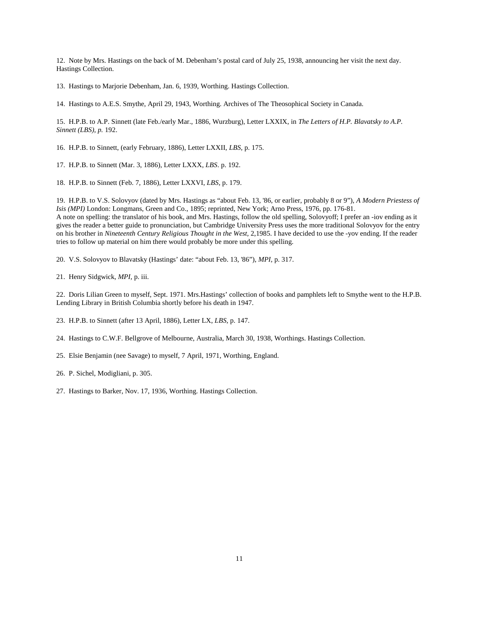12. Note by Mrs. Hastings on the back of M. Debenham's postal card of July 25, 1938, announcing her visit the next day. Hastings Collection.

13. Hastings to Marjorie Debenham, Jan. 6, 1939, Worthing. Hastings Collection.

14. Hastings to A.E.S. Smythe, April 29, 1943, Worthing. Archives of The Theosophical Society in Canada.

15. H.P.B. to A.P. Sinnett (late Feb./early Mar., 1886, Wurzburg), Letter LXXIX, in *The Letters of H.P. Blavatsky to A.P. Sinnett (LBS), p.* 192.

16. H.P.B. to Sinnett, (early February, 1886), Letter LXXII, *LBS,* p. 175.

17. H.P.B. to Sinnett (Mar. 3, 1886), Letter LXXX, *LBS*. p. 192.

18. H.P.B. to Sinnett (Feb. 7, 1886), Letter LXXVI, *LBS*, p. 179.

19. H.P.B. to V.S. Solovyov (dated by Mrs. Hastings as "about Feb. 13, '86, or earlier, probably 8 or 9"), *A Modern Priestess of Isis (MPI)* London: Longmans, Green and Co., 1895; reprinted, New York; Arno Press, 1976, pp. 176-81. A note on spelling: the translator of his book, and Mrs. Hastings, follow the old spelling, Solovyoff; I prefer an -iov ending as it gives the reader a better guide to pronunciation, but Cambridge University Press uses the more traditional Solovyov for the entry on his brother in *Nineteenth Century Religious Thought in the West,* 2,1985. I have decided to use the -yov ending. If the reader tries to follow up material on him there would probably be more under this spelling.

20. V.S. Solovyov to Blavatsky (Hastings' date: "about Feb. 13, '86"), *MPI,* p. 317.

21. Henry Sidgwick, *MPI,* p. iii.

22. Doris Lilian Green to myself, Sept. 1971. Mrs.Hastings' collection of books and pamphlets left to Smythe went to the H.P.B. Lending Library in British Columbia shortly before his death in 1947.

23. H.P.B. to Sinnett (after 13 April, 1886), Letter LX, *LBS*, p. 147.

24. Hastings to C.W.F. Bellgrove of Melbourne, Australia, March 30, 1938, Worthings. Hastings Collection.

- 25. Elsie Benjamin (nee Savage) to myself, 7 April, 1971, Worthing, England.
- 26. P. Sichel, Modigliani, p. 305.
- 27. Hastings to Barker, Nov. 17, 1936, Worthing. Hastings Collection.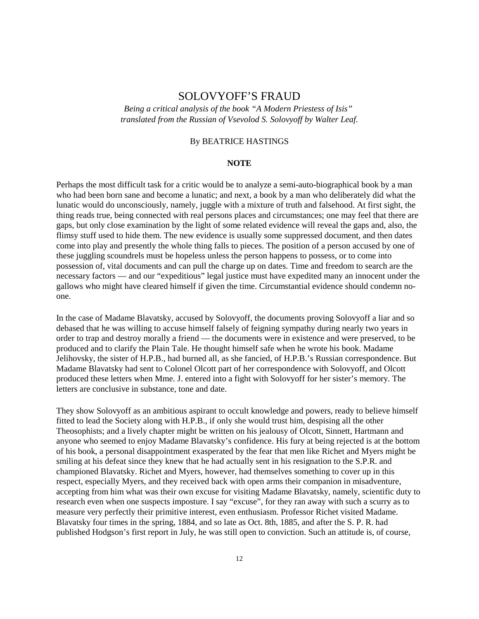## SOLOVYOFF'S FRAUD

*Being a critical analysis of the book "A Modern Priestess of Isis" translated from the Russian of Vsevolod S. Solovyoff by Walter Leaf.*

## By BEATRICE HASTINGS

#### **NOTE**

Perhaps the most difficult task for a critic would be to analyze a semi-auto-biographical book by a man who had been born sane and become a lunatic; and next, a book by a man who deliberately did what the lunatic would do unconsciously, namely, juggle with a mixture of truth and falsehood. At first sight, the thing reads true, being connected with real persons places and circumstances; one may feel that there are gaps, but only close examination by the light of some related evidence will reveal the gaps and, also, the flimsy stuff used to hide them. The new evidence is usually some suppressed document, and then dates come into play and presently the whole thing falls to pieces. The position of a person accused by one of these juggling scoundrels must be hopeless unless the person happens to possess, or to come into possession of, vital documents and can pull the charge up on dates. Time and freedom to search are the necessary factors — and our "expeditious" legal justice must have expedited many an innocent under the gallows who might have cleared himself if given the time. Circumstantial evidence should condemn noone.

In the case of Madame Blavatsky, accused by Solovyoff, the documents proving Solovyoff a liar and so debased that he was willing to accuse himself falsely of feigning sympathy during nearly two years in order to trap and destroy morally a friend — the documents were in existence and were preserved, to be produced and to clarify the Plain Tale. He thought himself safe when he wrote his book. Madame Jelihovsky, the sister of H.P.B., had burned all, as she fancied, of H.P.B.'s Russian correspondence. But Madame Blavatsky had sent to Colonel Olcott part of her correspondence with Solovyoff, and Olcott produced these letters when Mme. J. entered into a fight with Solovyoff for her sister's memory. The letters are conclusive in substance, tone and date.

They show Solovyoff as an ambitious aspirant to occult knowledge and powers, ready to believe himself fitted to lead the Society along with H.P.B., if only she would trust him, despising all the other Theosophists; and a lively chapter might be written on his jealousy of Olcott, Sinnett, Hartmann and anyone who seemed to enjoy Madame Blavatsky's confidence. His fury at being rejected is at the bottom of his book, a personal disappointment exasperated by the fear that men like Richet and Myers might be smiling at his defeat since they knew that he had actually sent in his resignation to the S.P.R. and championed Blavatsky. Richet and Myers, however, had themselves something to cover up in this respect, especially Myers, and they received back with open arms their companion in misadventure, accepting from him what was their own excuse for visiting Madame Blavatsky, namely, scientific duty to research even when one suspects imposture. I say "excuse", for they ran away with such a scurry as to measure very perfectly their primitive interest, even enthusiasm. Professor Richet visited Madame. Blavatsky four times in the spring, 1884, and so late as Oct. 8th, 1885, and after the S. P. R. had published Hodgson's first report in July, he was still open to conviction. Such an attitude is, of course,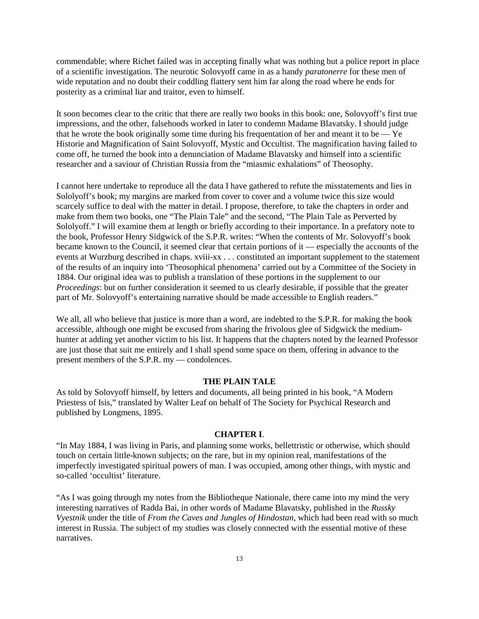commendable; where Richet failed was in accepting finally what was nothing but a police report in place of a scientific investigation. The neurotic Solovyoff came in as a handy *paratonerre* for these men of wide reputation and no doubt their coddling flattery sent him far along the road where he ends for posterity as a criminal liar and traitor, even to himself.

It soon becomes clear to the critic that there are really two books in this book: one, Solovyoff's first true impressions, and the other, falsehoods worked in later to condemn Madame Blavatsky. I should judge that he wrote the book originally some time during his frequentation of her and meant it to be  $-$  Ye Historie and Magnification of Saint Solovyoff, Mystic and Occultist. The magnification having failed to come off, he turned the book into a denunciation of Madame Blavatsky and himself into a scientific researcher and a saviour of Christian Russia from the "miasmic exhalations" of Theosophy.

I cannot here undertake to reproduce all the data I have gathered to refute the misstatements and lies in Sololyoff's book; my margins are marked from cover to cover and a volume twice this size would scarcely suffice to deal with the matter in detail. I propose, therefore, to take the chapters in order and make from them two books, one "The Plain Tale" and the second, "The Plain Tale as Perverted by Sololyoff." I will examine them at length or briefly according to their importance. In a prefatory note to the book, Professor Henry Sidgwick of the S.P.R. writes: "When the contents of Mr. Solovyoff's book became known to the Council, it seemed clear that certain portions of it — especially the accounts of the events at Wurzburg described in chaps. xviii-xx . . . constituted an important supplement to the statement of the results of an inquiry into 'Theosophical phenomena' carried out by a Committee of the Society in 1884. Our original idea was to publish a translation of these portions in the supplement to our *Proceedings*: but on further consideration it seemed to us clearly desirable, if possible that the greater part of Mr. Solovyoff's entertaining narrative should be made accessible to English readers."

We all, all who believe that justice is more than a word, are indebted to the S.P.R. for making the book accessible, although one might be excused from sharing the frivolous glee of Sidgwick the mediumhunter at adding yet another victim to his list. It happens that the chapters noted by the learned Professor are just those that suit me entirely and I shall spend some space on them, offering in advance to the present members of the S.P.R. my — condolences.

#### **THE PLAIN TALE**

As told by Solovyoff himself, by letters and documents, all being printed in his book, "A Modern Priestess of Isis," translated by Walter Leaf on behalf of The Society for Psychical Research and published by Longmens, 1895.

## **CHAPTER I**.

"In May 1884, I was living in Paris, and planning some works, bellettristic or otherwise, which should touch on certain little-known subjects; on the rare, but in my opinion real, manifestations of the imperfectly investigated spiritual powers of man. I was occupied, among other things, with mystic and so-called 'occultist' literature.

"As I was going through my notes from the Bibliotheque Nationale, there came into my mind the very interesting narratives of Radda Bai, in other words of Madame Blavatsky, published in the *Russky Vyestnik* under the title of *From the Caves and Jungles of Hindostan,* which had been read with so much interest in Russia. The subject of my studies was closely connected with the essential motive of these narratives.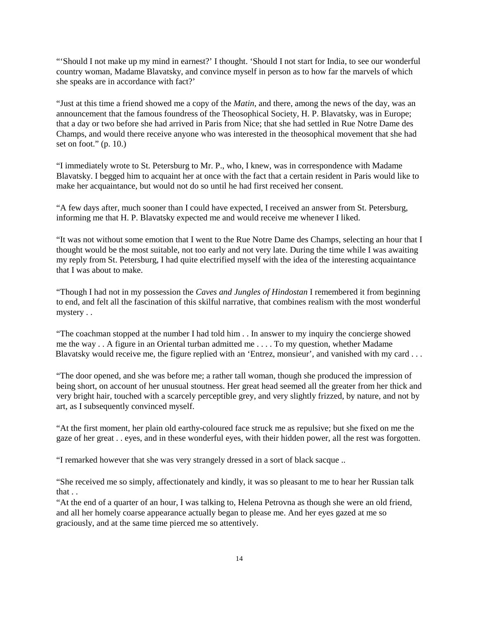"'Should I not make up my mind in earnest?' I thought. 'Should I not start for India, to see our wonderful country woman, Madame Blavatsky, and convince myself in person as to how far the marvels of which she speaks are in accordance with fact?'

"Just at this time a friend showed me a copy of the *Matin*, and there, among the news of the day, was an announcement that the famous foundress of the Theosophical Society, H. P. Blavatsky, was in Europe; that a day or two before she had arrived in Paris from Nice; that she had settled in Rue Notre Dame des Champs, and would there receive anyone who was interested in the theosophical movement that she had set on foot."  $(p. 10)$ .

"I immediately wrote to St. Petersburg to Mr. P., who, I knew, was in correspondence with Madame Blavatsky. I begged him to acquaint her at once with the fact that a certain resident in Paris would like to make her acquaintance, but would not do so until he had first received her consent.

"A few days after, much sooner than I could have expected, I received an answer from St. Petersburg, informing me that H. P. Blavatsky expected me and would receive me whenever I liked.

"It was not without some emotion that I went to the Rue Notre Dame des Champs, selecting an hour that I thought would be the most suitable, not too early and not very late. During the time while I was awaiting my reply from St. Petersburg, I had quite electrified myself with the idea of the interesting acquaintance that I was about to make.

"Though I had not in my possession the *Caves and Jungles of Hindostan* I remembered it from beginning to end, and felt all the fascination of this skilful narrative, that combines realism with the most wonderful mystery . .

"The coachman stopped at the number I had told him . . In answer to my inquiry the concierge showed me the way . . A figure in an Oriental turban admitted me . . . . To my question, whether Madame Blavatsky would receive me, the figure replied with an 'Entrez, monsieur', and vanished with my card . . .

"The door opened, and she was before me; a rather tall woman, though she produced the impression of being short, on account of her unusual stoutness. Her great head seemed all the greater from her thick and very bright hair, touched with a scarcely perceptible grey, and very slightly frizzed, by nature, and not by art, as I subsequently convinced myself.

"At the first moment, her plain old earthy-coloured face struck me as repulsive; but she fixed on me the gaze of her great . . eyes, and in these wonderful eyes, with their hidden power, all the rest was forgotten.

"I remarked however that she was very strangely dressed in a sort of black sacque ..

"She received me so simply, affectionately and kindly, it was so pleasant to me to hear her Russian talk that . .

"At the end of a quarter of an hour, I was talking to, Helena Petrovna as though she were an old friend, and all her homely coarse appearance actually began to please me. And her eyes gazed at me so graciously, and at the same time pierced me so attentively.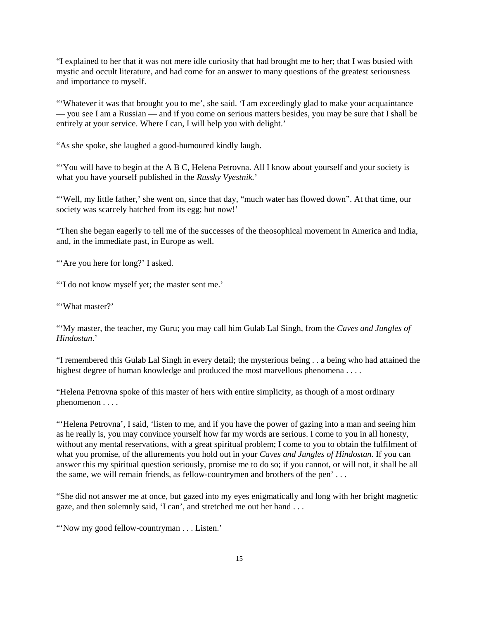"I explained to her that it was not mere idle curiosity that had brought me to her; that I was busied with mystic and occult literature, and had come for an answer to many questions of the greatest seriousness and importance to myself.

"'Whatever it was that brought you to me', she said. 'I am exceedingly glad to make your acquaintance — you see I am a Russian — and if you come on serious matters besides, you may be sure that I shall be entirely at your service. Where I can, I will help you with delight.'

"As she spoke, she laughed a good-humoured kindly laugh.

"You will have to begin at the A B C, Helena Petrovna. All I know about yourself and your society is what you have yourself published in the *Russky Vyestnik.*'

"'Well, my little father,' she went on, since that day, "much water has flowed down". At that time, our society was scarcely hatched from its egg; but now!'

"Then she began eagerly to tell me of the successes of the theosophical movement in America and India, and, in the immediate past, in Europe as well.

"'Are you here for long?' I asked.

"'I do not know myself yet; the master sent me.'

"'What master?'

"'My master, the teacher, my Guru; you may call him Gulab Lal Singh, from the *Caves and Jungles of Hindostan*.'

"I remembered this Gulab Lal Singh in every detail; the mysterious being . . a being who had attained the highest degree of human knowledge and produced the most marvellous phenomena . . . .

"Helena Petrovna spoke of this master of hers with entire simplicity, as though of a most ordinary phenomenon . . . .

"'Helena Petrovna', I said, 'listen to me, and if you have the power of gazing into a man and seeing him as he really is, you may convince yourself how far my words are serious. I come to you in all honesty, without any mental reservations, with a great spiritual problem; I come to you to obtain the fulfilment of what you promise, of the allurements you hold out in your *Caves and Jungles of Hindostan.* If you can answer this my spiritual question seriously, promise me to do so; if you cannot, or will not, it shall be all the same, we will remain friends, as fellow-countrymen and brothers of the pen' . . .

"She did not answer me at once, but gazed into my eyes enigmatically and long with her bright magnetic gaze, and then solemnly said, 'I can', and stretched me out her hand . . .

"'Now my good fellow-countryman . . . Listen.'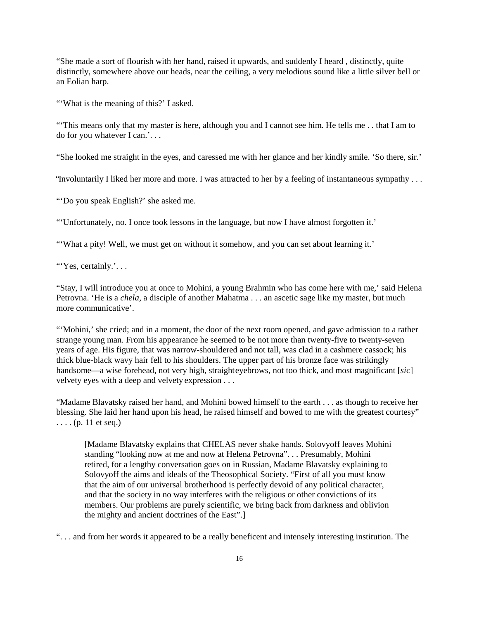"She made a sort of flourish with her hand, raised it upwards, and suddenly I heard , distinctly, quite distinctly, somewhere above our heads, near the ceiling, a very melodious sound like a little silver bell or an Eolian harp.

"'What is the meaning of this?' I asked.

"'This means only that my master is here, although you and I cannot see him. He tells me . . that I am to do for you whatever I can.'. . .

"She looked me straight in the eyes, and caressed me with her glance and her kindly smile. 'So there, sir.'

"Involuntarily I liked her more and more. I was attracted to her by a feeling of instantaneous sympathy . . .

"'Do you speak English?' she asked me.

"'Unfortunately, no. I once took lessons in the language, but now I have almost forgotten it.'

"What a pity! Well, we must get on without it somehow, and you can set about learning it.'

"Yes, certainly.'...

"Stay, I will introduce you at once to Mohini, a young Brahmin who has come here with me,' said Helena Petrovna. 'He is a *chela,* a disciple of another Mahatma . . . an ascetic sage like my master, but much more communicative'.

"'Mohini,' she cried; and in a moment, the door of the next room opened, and gave admission to a rather strange young man. From his appearance he seemed to be not more than twenty-five to twenty-seven years of age. His figure, that was narrow-shouldered and not tall, was clad in a cashmere cassock; his thick blue-black wavy hair fell to his shoulders. The upper part of his bronze face was strikingly handsome—a wise forehead, not very high, straight eyebrows, not too thick, and most magnificant [*sic*] velvety eyes with a deep and velvety expression . . .

"Madame Blavatsky raised her hand, and Mohini bowed himself to the earth . . . as though to receive her blessing. She laid her hand upon his head, he raised himself and bowed to me with the greatest courtesy"  $\ldots$  (p. 11 et seq.)

[Madame Blavatsky explains that CHELAS never shake hands. Solovyoff leaves Mohini standing "looking now at me and now at Helena Petrovna". . . Presumably, Mohini retired, for a lengthy conversation goes on in Russian, Madame Blavatsky explaining to Solovyoff the aims and ideals of the Theosophical Society. "First of all you must know that the aim of our universal brotherhood is perfectly devoid of any political character, and that the society in no way interferes with the religious or other convictions of its members. Our problems are purely scientific, we bring back from darkness and oblivion the mighty and ancient doctrines of the East".]

". . . and from her words it appeared to be a really beneficent and intensely interesting institution. The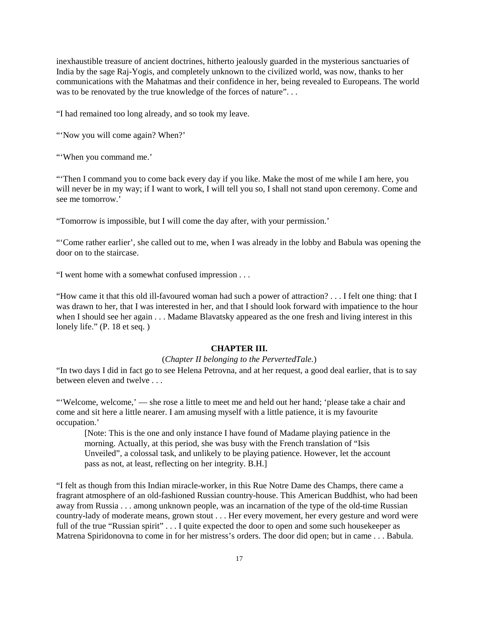inexhaustible treasure of ancient doctrines, hitherto jealously guarded in the mysterious sanctuaries of India by the sage Raj-Yogis, and completely unknown to the civilized world, was now, thanks to her communications with the Mahatmas and their confidence in her, being revealed to Europeans. The world was to be renovated by the true knowledge of the forces of nature"...

"I had remained too long already, and so took my leave.

"'Now you will come again? When?'

"'When you command me.'

"'Then I command you to come back every day if you like. Make the most of me while I am here, you will never be in my way; if I want to work, I will tell you so, I shall not stand upon ceremony. Come and see me tomorrow.'

"Tomorrow is impossible, but I will come the day after, with your permission.'

"'Come rather earlier', she called out to me, when I was already in the lobby and Babula was opening the door on to the staircase.

"I went home with a somewhat confused impression . . .

"How came it that this old ill-favoured woman had such a power of attraction? . . . I felt one thing: that I was drawn to her, that I was interested in her, and that I should look forward with impatience to the hour when I should see her again . . . Madame Blavatsky appeared as the one fresh and living interest in this lonely life." (P. 18 et seq.)

#### **CHAPTER III.**

#### (*Chapter II belonging to the PervertedTale.*)

"In two days I did in fact go to see Helena Petrovna, and at her request, a good deal earlier, that is to say between eleven and twelve . . .

"'Welcome, welcome,' — she rose a little to meet me and held out her hand; 'please take a chair and come and sit here a little nearer. I am amusing myself with a little patience, it is my favourite occupation.'

[Note: This is the one and only instance I have found of Madame playing patience in the morning. Actually, at this period, she was busy with the French translation of "Isis Unveiled", a colossal task, and unlikely to be playing patience. However, let the account pass as not, at least, reflecting on her integrity. B.H.]

"I felt as though from this Indian miracle-worker, in this Rue Notre Dame des Champs, there came a fragrant atmosphere of an old-fashioned Russian country-house. This American Buddhist, who had been away from Russia . . . among unknown people, was an incarnation of the type of the old-time Russian country-lady of moderate means, grown stout . . . Her every movement, her every gesture and word were full of the true "Russian spirit" . . . I quite expected the door to open and some such housekeeper as Matrena Spiridonovna to come in for her mistress's orders. The door did open; but in came . . . Babula.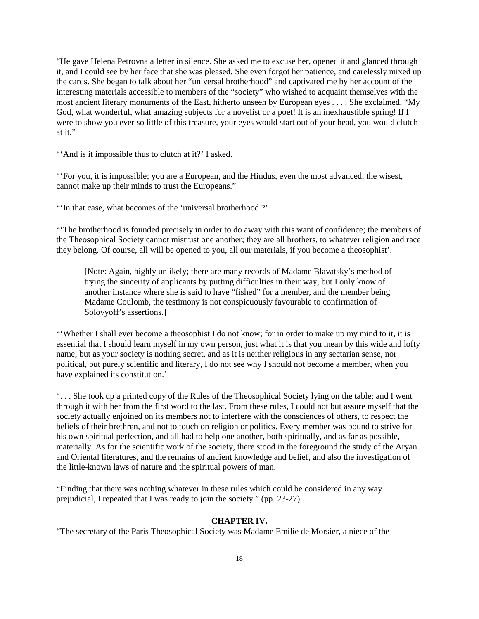"He gave Helena Petrovna a letter in silence. She asked me to excuse her, opened it and glanced through it, and I could see by her face that she was pleased. She even forgot her patience, and carelessly mixed up the cards. She began to talk about her "universal brotherhood" and captivated me by her account of the interesting materials accessible to members of the "society" who wished to acquaint themselves with the most ancient literary monuments of the East, hitherto unseen by European eyes . . . . She exclaimed, "My God, what wonderful, what amazing subjects for a novelist or a poet! It is an inexhaustible spring! If I were to show you ever so little of this treasure, your eyes would start out of your head, you would clutch at it."

"And is it impossible thus to clutch at it?' I asked.

"'For you, it is impossible; you are a European, and the Hindus, even the most advanced, the wisest, cannot make up their minds to trust the Europeans."

"'In that case, what becomes of the 'universal brotherhood ?'

"'The brotherhood is founded precisely in order to do away with this want of confidence; the members of the Theosophical Society cannot mistrust one another; they are all brothers, to whatever religion and race they belong. Of course, all will be opened to you, all our materials, if you become a theosophist'.

[Note: Again, highly unlikely; there are many records of Madame Blavatsky's method of trying the sincerity of applicants by putting difficulties in their way, but I only know of another instance where she is said to have "fished" for a member, and the member being Madame Coulomb, the testimony is not conspicuously favourable to confirmation of Solovyoff's assertions.]

"'Whether I shall ever become a theosophist I do not know; for in order to make up my mind to it, it is essential that I should learn myself in my own person, just what it is that you mean by this wide and lofty name; but as your society is nothing secret, and as it is neither religious in any sectarian sense, nor political, but purely scientific and literary, I do not see why I should not become a member, when you have explained its constitution.'

". . . She took up a printed copy of the Rules of the Theosophical Society lying on the table; and I went through it with her from the first word to the last. From these rules, I could not but assure myself that the society actually enjoined on its members not to interfere with the consciences of others, to respect the beliefs of their brethren, and not to touch on religion or politics. Every member was bound to strive for his own spiritual perfection, and all had to help one another, both spiritually, and as far as possible, materially. As for the scientific work of the society, there stood in the foreground the study of the Aryan and Oriental literatures, and the remains of ancient knowledge and belief, and also the investigation of the little-known laws of nature and the spiritual powers of man.

"Finding that there was nothing whatever in these rules which could be considered in any way prejudicial, I repeated that I was ready to join the society." (pp. 23-27)

## **CHAPTER IV.**

"The secretary of the Paris Theosophical Society was Madame Emilie de Morsier, a niece of the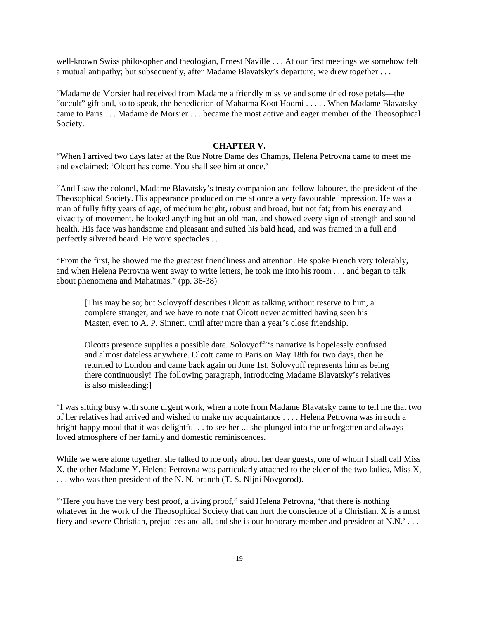well-known Swiss philosopher and theologian, Ernest Naville . . . At our first meetings we somehow felt a mutual antipathy; but subsequently, after Madame Blavatsky's departure, we drew together . . .

"Madame de Morsier had received from Madame a friendly missive and some dried rose petals—the "occult" gift and, so to speak, the benediction of Mahatma Koot Hoomi . . . . . When Madame Blavatsky came to Paris . . . Madame de Morsier . . . became the most active and eager member of the Theosophical Society.

#### **CHAPTER V.**

"When I arrived two days later at the Rue Notre Dame des Champs, Helena Petrovna came to meet me and exclaimed: 'Olcott has come. You shall see him at once.'

"And I saw the colonel, Madame Blavatsky's trusty companion and fellow-labourer, the president of the Theosophical Society. His appearance produced on me at once a very favourable impression. He was a man of fully fifty years of age, of medium height, robust and broad, but not fat; from his energy and vivacity of movement, he looked anything but an old man, and showed every sign of strength and sound health. His face was handsome and pleasant and suited his bald head, and was framed in a full and perfectly silvered beard. He wore spectacles . . .

"From the first, he showed me the greatest friendliness and attention. He spoke French very tolerably, and when Helena Petrovna went away to write letters, he took me into his room . . . and began to talk about phenomena and Mahatmas." (pp. 36-38)

[This may be so; but Solovyoff describes Olcott as talking without reserve to him, a complete stranger, and we have to note that Olcott never admitted having seen his Master, even to A. P. Sinnett, until after more than a year's close friendship.

Olcotts presence supplies a possible date. Solovyoff''s narrative is hopelessly confused and almost dateless anywhere. Olcott came to Paris on May 18th for two days, then he returned to London and came back again on June 1st. Solovyoff represents him as being there continuously! The following paragraph, introducing Madame Blavatsky's relatives is also misleading:]

"I was sitting busy with some urgent work, when a note from Madame Blavatsky came to tell me that two of her relatives had arrived and wished to make my acquaintance . . . . Helena Petrovna was in such a bright happy mood that it was delightful . . to see her ... she plunged into the unforgotten and always loved atmosphere of her family and domestic reminiscences.

While we were alone together, she talked to me only about her dear guests, one of whom I shall call Miss X, the other Madame Y. Helena Petrovna was particularly attached to the elder of the two ladies, Miss X, . . . who was then president of the N. N. branch (T. S. Nijni Novgorod).

"'Here you have the very best proof, a living proof," said Helena Petrovna, 'that there is nothing whatever in the work of the Theosophical Society that can hurt the conscience of a Christian. X is a most fiery and severe Christian, prejudices and all, and she is our honorary member and president at N.N.' . . .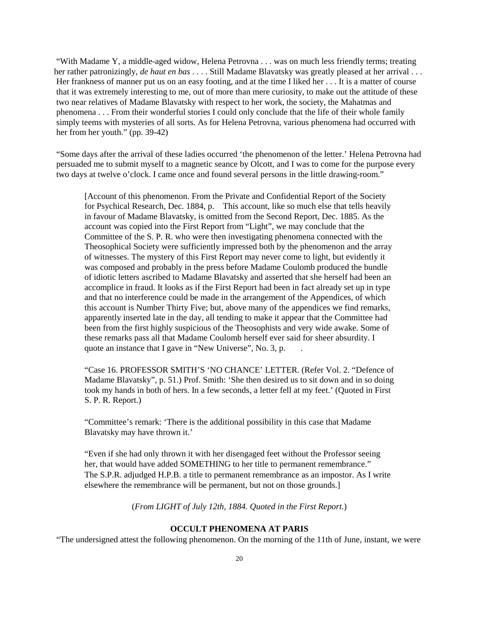"With Madame Y, a middle-aged widow, Helena Petrovna . . . was on much less friendly terms; treating her rather patronizingly, *de haut en bas* . . . . Still Madame Blavatsky was greatly pleased at her arrival . . . Her frankness of manner put us on an easy footing, and at the time I liked her . . . It is a matter of course that it was extremely interesting to me, out of more than mere curiosity, to make out the attitude of these two near relatives of Madame Blavatsky with respect to her work, the society, the Mahatmas and phenomena . . . From their wonderful stories I could only conclude that the life of their whole family simply teems with mysteries of all sorts. As for Helena Petrovna, various phenomena had occurred with her from her youth." (pp. 39-42)

"Some days after the arrival of these ladies occurred 'the phenomenon of the letter.' Helena Petrovna had persuaded me to submit myself to a magnetic seance by Olcott, and I was to come for the purpose every two days at twelve o'clock. I came once and found several persons in the little drawing-room."

[Account of this phenomenon. From the Private and Confidential Report of the Society for Psychical Research, Dec. 1884, p. This account, like so much else that tells heavily in favour of Madame Blavatsky, is omitted from the Second Report, Dec. 1885. As the account was copied into the First Report from "Light", we may conclude that the Committee of the S. P. R. who were then investigating phenomena connected with the Theosophical Society were sufficiently impressed both by the phenomenon and the array of witnesses. The mystery of this First Report may never come to light, but evidently it was composed and probably in the press before Madame Coulomb produced the bundle of idiotic letters ascribed to Madame Blavatsky and asserted that she herself had been an accomplice in fraud. It looks as if the First Report had been in fact already set up in type and that no interference could be made in the arrangement of the Appendices, of which this account is Number Thirty Five; but, above many of the appendices we find remarks, apparently inserted late in the day, all tending to make it appear that the Committee had been from the first highly suspicious of the Theosophists and very wide awake. Some of these remarks pass all that Madame Coulomb herself ever said for sheer absurdity. I quote an instance that I gave in "New Universe", No. 3, p.

"Case 16. PROFESSOR SMITH'S 'NO CHANCE' LETTER. (Refer Vol. 2. "Defence of Madame Blavatsky", p. 51.) Prof. Smith: 'She then desired us to sit down and in so doing took my hands in both of hers. In a few seconds, a letter fell at my feet.' (Quoted in First S. P. R. Report.)

"Committee's remark: 'There is the additional possibility in this case that Madame Blavatsky may have thrown it.'

"Even if she had only thrown it with her disengaged feet without the Professor seeing her, that would have added SOMETHING to her title to permanent remembrance." The S.P.R. adjudged H.P.B. a title to permanent remembrance as an impostor. As I write elsewhere the remembrance will be permanent, but not on those grounds.]

(*From LIGHT of July 12th, 1884. Quoted in the First Report.*)

## **OCCULT PHENOMENA AT PARIS**

"The undersigned attest the following phenomenon. On the morning of the 11th of June, instant, we were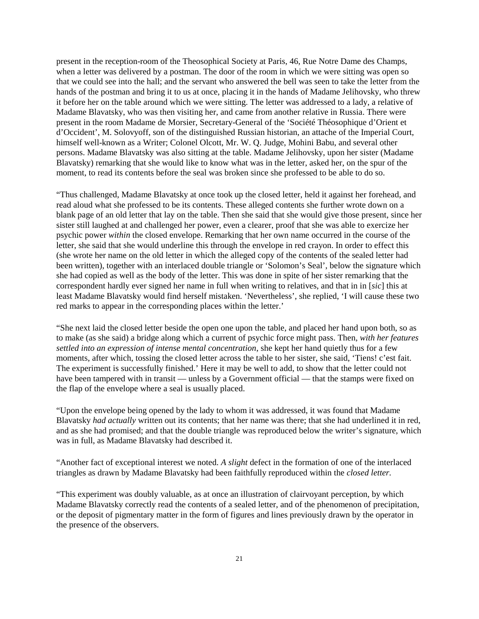present in the reception-room of the Theosophical Society at Paris, 46, Rue Notre Dame des Champs, when a letter was delivered by a postman. The door of the room in which we were sitting was open so that we could see into the hall; and the servant who answered the bell was seen to take the letter from the hands of the postman and bring it to us at once, placing it in the hands of Madame Jelihovsky, who threw it before her on the table around which we were sitting. The letter was addressed to a lady, a relative of Madame Blavatsky, who was then visiting her, and came from another relative in Russia. There were present in the room Madame de Morsier, Secretary-General of the 'Société Théosophique d'Orient et d'Occident', M. Solovyoff, son of the distinguished Russian historian, an attache of the Imperial Court, himself well-known as a Writer; Colonel Olcott, Mr. W. Q. Judge, Mohini Babu, and several other persons. Madame Blavatsky was also sitting at the table. Madame Jelihovsky, upon her sister (Madame Blavatsky) remarking that she would like to know what was in the letter, asked her, on the spur of the moment, to read its contents before the seal was broken since she professed to be able to do so.

"Thus challenged, Madame Blavatsky at once took up the closed letter, held it against her forehead, and read aloud what she professed to be its contents. These alleged contents she further wrote down on a blank page of an old letter that lay on the table. Then she said that she would give those present, since her sister still laughed at and challenged her power, even a clearer, proof that she was able to exercize her psychic power *within* the closed envelope. Remarking that her own name occurred in the course of the letter, she said that she would underline this through the envelope in red crayon. In order to effect this (she wrote her name on the old letter in which the alleged copy of the contents of the sealed letter had been written), together with an interlaced double triangle or 'Solomon's Seal', below the signature which she had copied as well as the body of the letter. This was done in spite of her sister remarking that the correspondent hardly ever signed her name in full when writing to relatives, and that in in [*sic*] this at least Madame Blavatsky would find herself mistaken. 'Nevertheless', she replied, 'I will cause these two red marks to appear in the corresponding places within the letter.'

"She next laid the closed letter beside the open one upon the table, and placed her hand upon both, so as to make (as she said) a bridge along which a current of psychic force might pass. Then, *with her features settled into an expression of intense mental concentration*, she kept her hand quietly thus for a few moments, after which, tossing the closed letter across the table to her sister, she said, 'Tiens! c'est fait. The experiment is successfully finished.' Here it may be well to add, to show that the letter could not have been tampered with in transit — unless by a Government official — that the stamps were fixed on the flap of the envelope where a seal is usually placed.

"Upon the envelope being opened by the lady to whom it was addressed, it was found that Madame Blavatsky *had actually* written out its contents; that her name was there; that she had underlined it in red, and as she had promised; and that the double triangle was reproduced below the writer's signature, which was in full, as Madame Blavatsky had described it.

"Another fact of exceptional interest we noted. *A slight* defect in the formation of one of the interlaced triangles as drawn by Madame Blavatsky had been faithfully reproduced within the *closed letter.*

"This experiment was doubly valuable, as at once an illustration of clairvoyant perception, by which Madame Blavatsky correctly read the contents of a sealed letter, and of the phenomenon of precipitation, or the deposit of pigmentary matter in the form of figures and lines previously drawn by the operator in the presence of the observers.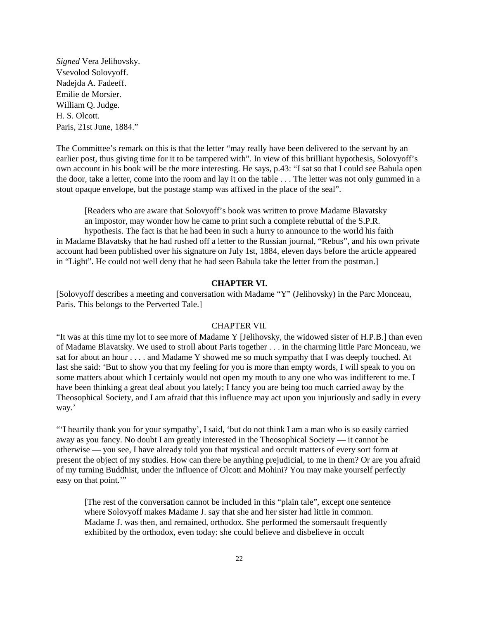*Signed* Vera Jelihovsky. Vsevolod Solovyoff. Nadejda A. Fadeeff. Emilie de Morsier. William Q. Judge. H. S. Olcott. Paris, 21st June, 1884."

The Committee's remark on this is that the letter "may really have been delivered to the servant by an earlier post, thus giving time for it to be tampered with". In view of this brilliant hypothesis, Solovyoff's own account in his book will be the more interesting. He says, p.43: "I sat so that I could see Babula open the door, take a letter, come into the room and lay it on the table . . . The letter was not only gummed in a stout opaque envelope, but the postage stamp was affixed in the place of the seal".

[Readers who are aware that Solovyoff's book was written to prove Madame Blavatsky an impostor, may wonder how he came to print such a complete rebuttal of the S.P.R. hypothesis. The fact is that he had been in such a hurry to announce to the world his faith in Madame Blavatsky that he had rushed off a letter to the Russian journal, "Rebus", and his own private account had been published over his signature on July 1st, 1884, eleven days before the article appeared in "Light". He could not well deny that he had seen Babula take the letter from the postman.]

## **CHAPTER VI.**

[Solovyoff describes a meeting and conversation with Madame "Y" (Jelihovsky) in the Parc Monceau, Paris. This belongs to the Perverted Tale.]

#### CHAPTER VII.

"It was at this time my lot to see more of Madame Y [Jelihovsky, the widowed sister of H.P.B.] than even of Madame Blavatsky. We used to stroll about Paris together . . . in the charming little Parc Monceau, we sat for about an hour . . . . and Madame Y showed me so much sympathy that I was deeply touched. At last she said: 'But to show you that my feeling for you is more than empty words, I will speak to you on some matters about which I certainly would not open my mouth to any one who was indifferent to me. I have been thinking a great deal about you lately; I fancy you are being too much carried away by the Theosophical Society, and I am afraid that this influence may act upon you injuriously and sadly in every way.'

"'I heartily thank you for your sympathy', I said, 'but do not think I am a man who is so easily carried away as you fancy. No doubt I am greatly interested in the Theosophical Society — it cannot be otherwise — you see, I have already told you that mystical and occult matters of every sort form at present the object of my studies. How can there be anything prejudicial, to me in them? Or are you afraid of my turning Buddhist, under the influence of Olcott and Mohini? You may make yourself perfectly easy on that point."

[The rest of the conversation cannot be included in this "plain tale", except one sentence where Solovyoff makes Madame J. say that she and her sister had little in common. Madame J. was then, and remained, orthodox. She performed the somersault frequently exhibited by the orthodox, even today: she could believe and disbelieve in occult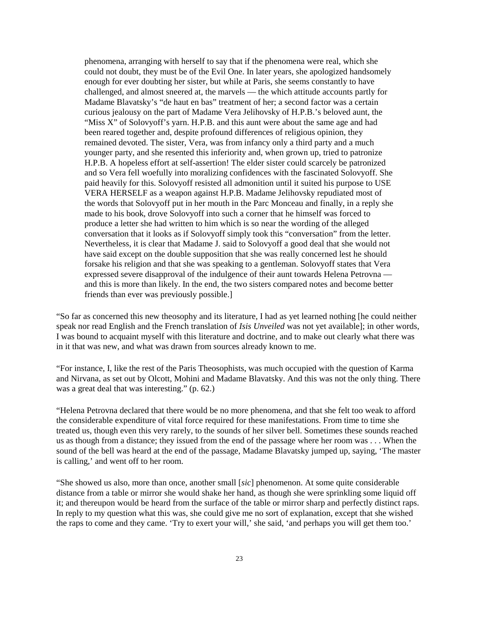phenomena, arranging with herself to say that if the phenomena were real, which she could not doubt, they must be of the Evil One. In later years, she apologized handsomely enough for ever doubting her sister, but while at Paris, she seems constantly to have challenged, and almost sneered at, the marvels — the which attitude accounts partly for Madame Blavatsky's "de haut en bas" treatment of her; a second factor was a certain curious jealousy on the part of Madame Vera Jelihovsky of H.P.B.'s beloved aunt, the "Miss X" of Solovyoff's yarn. H.P.B. and this aunt were about the same age and had been reared together and, despite profound differences of religious opinion, they remained devoted. The sister, Vera, was from infancy only a third party and a much younger party, and she resented this inferiority and, when grown up, tried to patronize H.P.B. A hopeless effort at self-assertion! The elder sister could scarcely be patronized and so Vera fell woefully into moralizing confidences with the fascinated Solovyoff. She paid heavily for this. Solovyoff resisted all admonition until it suited his purpose to USE VERA HERSELF as a weapon against H.P.B. Madame Jelihovsky repudiated most of the words that Solovyoff put in her mouth in the Parc Monceau and finally, in a reply she made to his book, drove Solovyoff into such a corner that he himself was forced to produce a letter she had written to him which is so near the wording of the alleged conversation that it looks as if Solovyoff simply took this "conversation" from the letter. Nevertheless, it is clear that Madame J. said to Solovyoff a good deal that she would not have said except on the double supposition that she was really concerned lest he should forsake his religion and that she was speaking to a gentleman. Solovyoff states that Vera expressed severe disapproval of the indulgence of their aunt towards Helena Petrovna and this is more than likely. In the end, the two sisters compared notes and become better friends than ever was previously possible.]

"So far as concerned this new theosophy and its literature, I had as yet learned nothing [he could neither speak nor read English and the French translation of *Isis Unveiled* was not yet available]; in other words, I was bound to acquaint myself with this literature and doctrine, and to make out clearly what there was in it that was new, and what was drawn from sources already known to me.

"For instance, I, like the rest of the Paris Theosophists, was much occupied with the question of Karma and Nirvana, as set out by Olcott, Mohini and Madame Blavatsky. And this was not the only thing. There was a great deal that was interesting." (p. 62.)

"Helena Petrovna declared that there would be no more phenomena, and that she felt too weak to afford the considerable expenditure of vital force required for these manifestations. From time to time she treated us, though even this very rarely, to the sounds of her silver bell. Sometimes these sounds reached us as though from a distance; they issued from the end of the passage where her room was . . . When the sound of the bell was heard at the end of the passage, Madame Blavatsky jumped up, saying, 'The master is calling,' and went off to her room.

"She showed us also, more than once, another small [*sic*] phenomenon. At some quite considerable distance from a table or mirror she would shake her hand, as though she were sprinkling some liquid off it; and thereupon would be heard from the surface of the table or mirror sharp and perfectly distinct raps. In reply to my question what this was, she could give me no sort of explanation, except that she wished the raps to come and they came. 'Try to exert your will,' she said, 'and perhaps you will get them too.'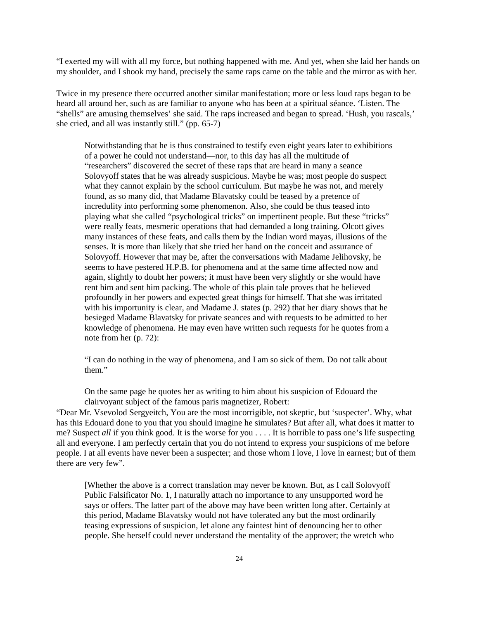"I exerted my will with all my force, but nothing happened with me. And yet, when she laid her hands on my shoulder, and I shook my hand, precisely the same raps came on the table and the mirror as with her.

Twice in my presence there occurred another similar manifestation; more or less loud raps began to be heard all around her, such as are familiar to anyone who has been at a spiritual séance. 'Listen. The "shells" are amusing themselves' she said. The raps increased and began to spread. 'Hush, you rascals,' she cried, and all was instantly still." (pp. 65-7)

Notwithstanding that he is thus constrained to testify even eight years later to exhibitions of a power he could not understand—nor, to this day has all the multitude of "researchers" discovered the secret of these raps that are heard in many a seance Solovyoff states that he was already suspicious. Maybe he was; most people do suspect what they cannot explain by the school curriculum. But maybe he was not, and merely found, as so many did, that Madame Blavatsky could be teased by a pretence of incredulity into performing some phenomenon. Also, she could be thus teased into playing what she called "psychological tricks" on impertinent people. But these "tricks" were really feats, mesmeric operations that had demanded a long training. Olcott gives many instances of these feats, and calls them by the Indian word mayas, illusions of the senses. It is more than likely that she tried her hand on the conceit and assurance of Solovyoff. However that may be, after the conversations with Madame Jelihovsky, he seems to have pestered H.P.B. for phenomena and at the same time affected now and again, slightly to doubt her powers; it must have been very slightly or she would have rent him and sent him packing. The whole of this plain tale proves that he believed profoundly in her powers and expected great things for himself. That she was irritated with his importunity is clear, and Madame J. states (p. 292) that her diary shows that he besieged Madame Blavatsky for private seances and with requests to be admitted to her knowledge of phenomena. He may even have written such requests for he quotes from a note from her (p. 72):

"I can do nothing in the way of phenomena, and I am so sick of them. Do not talk about them."

On the same page he quotes her as writing to him about his suspicion of Edouard the clairvoyant subject of the famous paris magnetizer, Robert:

"Dear Mr. Vsevolod Sergyeitch, You are the most incorrigible, not skeptic, but 'suspecter'. Why, what has this Edouard done to you that you should imagine he simulates? But after all, what does it matter to me? Suspect *all* if you think good. It is the worse for you . . . . It is horrible to pass one's life suspecting all and everyone. I am perfectly certain that you do not intend to express your suspicions of me before people. I at all events have never been a suspecter; and those whom I love, I love in earnest; but of them there are very few".

[Whether the above is a correct translation may never be known. But, as I call Solovyoff Public Falsificator No. 1, I naturally attach no importance to any unsupported word he says or offers. The latter part of the above may have been written long after. Certainly at this period, Madame Blavatsky would not have tolerated any but the most ordinarily teasing expressions of suspicion, let alone any faintest hint of denouncing her to other people. She herself could never understand the mentality of the approver; the wretch who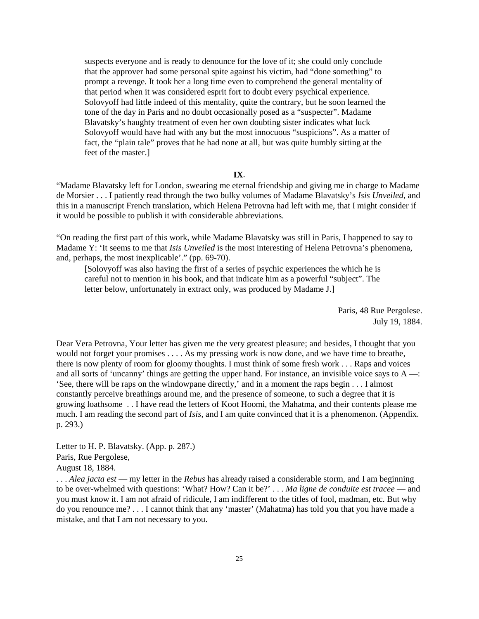suspects everyone and is ready to denounce for the love of it; she could only conclude that the approver had some personal spite against his victim, had "done something" to prompt a revenge. It took her a long time even to comprehend the general mentality of that period when it was considered esprit fort to doubt every psychical experience. Solovyoff had little indeed of this mentality, quite the contrary, but he soon learned the tone of the day in Paris and no doubt occasionally posed as a "suspecter". Madame Blavatsky's haughty treatment of even her own doubting sister indicates what luck Solovyoff would have had with any but the most innocuous "suspicions". As a matter of fact, the "plain tale" proves that he had none at all, but was quite humbly sitting at the feet of the master.]

### **IX**.

"Madame Blavatsky left for London, swearing me eternal friendship and giving me in charge to Madame de Morsier . . . I patiently read through the two bulky volumes of Madame Blavatsky's *Isis Unveiled*, and this in a manuscript French translation, which Helena Petrovna had left with me, that I might consider if it would be possible to publish it with considerable abbreviations.

"On reading the first part of this work, while Madame Blavatsky was still in Paris, I happened to say to Madame Y: 'It seems to me that *Isis Unveiled* is the most interesting of Helena Petrovna's phenomena, and, perhaps, the most inexplicable'." (pp. 69-70).

[Solovyoff was also having the first of a series of psychic experiences the which he is careful not to mention in his book, and that indicate him as a powerful "subject". The letter below, unfortunately in extract only, was produced by Madame J.]

> Paris, 48 Rue Pergolese. July 19, 1884.

Dear Vera Petrovna, Your letter has given me the very greatest pleasure; and besides, I thought that you would not forget your promises . . . . As my pressing work is now done, and we have time to breathe, there is now plenty of room for gloomy thoughts. I must think of some fresh work . . . Raps and voices and all sorts of 'uncanny' things are getting the upper hand. For instance, an invisible voice says to A —: 'See, there will be raps on the windowpane directly,' and in a moment the raps begin . . . I almost constantly perceive breathings around me, and the presence of someone, to such a degree that it is growing loathsome . . I have read the letters of Koot Hoomi, the Mahatma, and their contents please me much. I am reading the second part of *Isis*, and I am quite convinced that it is a phenomenon. (Appendix. p. 293.)

Letter to H. P. Blavatsky. (App. p. 287.) Paris, Rue Pergolese, August 18, 1884.

. . . *Alea jacta est* — my letter in the *Rebus* has already raised a considerable storm, and I am beginning to be over-whelmed with questions: 'What? How? Can it be?' . . . *Ma ligne de conduite est tracee* — and you must know it. I am not afraid of ridicule, I am indifferent to the titles of fool, madman, etc. But why do you renounce me? . . . I cannot think that any 'master' (Mahatma) has told you that you have made a mistake, and that I am not necessary to you.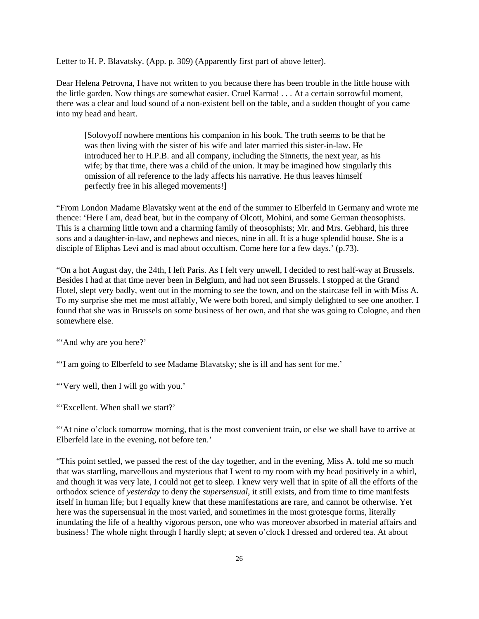Letter to H. P. Blavatsky. (App. p. 309) (Apparently first part of above letter).

Dear Helena Petrovna, I have not written to you because there has been trouble in the little house with the little garden. Now things are somewhat easier. Cruel Karma! . . . At a certain sorrowful moment, there was a clear and loud sound of a non-existent bell on the table, and a sudden thought of you came into my head and heart.

[Solovyoff nowhere mentions his companion in his book. The truth seems to be that he was then living with the sister of his wife and later married this sister-in-law. He introduced her to H.P.B. and all company, including the Sinnetts, the next year, as his wife; by that time, there was a child of the union. It may be imagined how singularly this omission of all reference to the lady affects his narrative. He thus leaves himself perfectly free in his alleged movements!]

"From London Madame Blavatsky went at the end of the summer to Elberfeld in Germany and wrote me thence: 'Here I am, dead beat, but in the company of Olcott, Mohini, and some German theosophists. This is a charming little town and a charming family of theosophists; Mr. and Mrs. Gebhard, his three sons and a daughter-in-law, and nephews and nieces, nine in all. It is a huge splendid house. She is a disciple of Eliphas Levi and is mad about occultism. Come here for a few days.' (p.73).

"On a hot August day, the 24th, I left Paris. As I felt very unwell, I decided to rest half-way at Brussels. Besides I had at that time never been in Belgium, and had not seen Brussels. I stopped at the Grand Hotel, slept very badly, went out in the morning to see the town, and on the staircase fell in with Miss A. To my surprise she met me most affably, We were both bored, and simply delighted to see one another. I found that she was in Brussels on some business of her own, and that she was going to Cologne, and then somewhere else.

"And why are you here?"

"'I am going to Elberfeld to see Madame Blavatsky; she is ill and has sent for me.'

"'Very well, then I will go with you.'

"'Excellent. When shall we start?'

"'At nine o'clock tomorrow morning, that is the most convenient train, or else we shall have to arrive at Elberfeld late in the evening, not before ten.'

"This point settled, we passed the rest of the day together, and in the evening, Miss A. told me so much that was startling, marvellous and mysterious that I went to my room with my head positively in a whirl, and though it was very late, I could not get to sleep. I knew very well that in spite of all the efforts of the orthodox science of *yesterday* to deny the *supersensual*, it still exists, and from time to time manifests itself in human life; but I equally knew that these manifestations are rare, and cannot be otherwise. Yet here was the supersensual in the most varied, and sometimes in the most grotesque forms, literally inundating the life of a healthy vigorous person, one who was moreover absorbed in material affairs and business! The whole night through I hardly slept; at seven o'clock I dressed and ordered tea. At about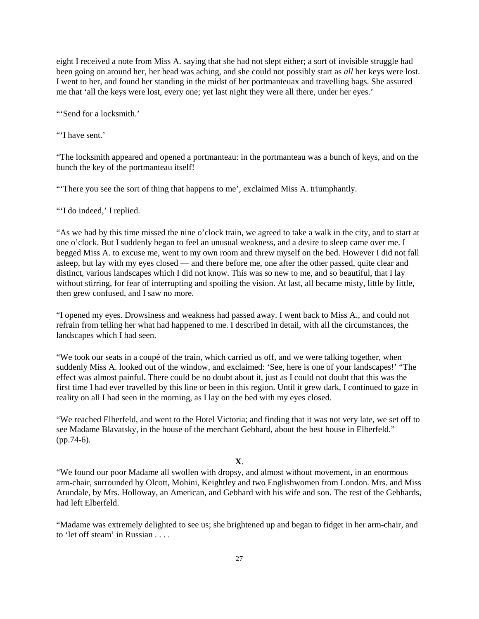eight I received a note from Miss A. saying that she had not slept either; a sort of invisible struggle had been going on around her, her head was aching, and she could not possibly start as *all* her keys were lost. I went to her, and found her standing in the midst of her portmanteuax and travelling bags. She assured me that 'all the keys were lost, every one; yet last night they were all there, under her eyes.'

"'Send for a locksmith.'

"'I have sent.'

"The locksmith appeared and opened a portmanteau: in the portmanteau was a bunch of keys, and on the bunch the key of the portmanteau itself!

"'There you see the sort of thing that happens to me', exclaimed Miss A. triumphantly.

"I do indeed,' I replied.

"As we had by this time missed the nine o'clock train, we agreed to take a walk in the city, and to start at one o'clock. But I suddenly began to feel an unusual weakness, and a desire to sleep came over me. I begged Miss A. to excuse me, went to my own room and threw myself on the bed. However I did not fall asleep, but lay with my eyes closed — and there before me, one after the other passed, quite clear and distinct, various landscapes which I did not know. This was so new to me, and so beautiful, that I lay without stirring, for fear of interrupting and spoiling the vision. At last, all became misty, little by little, then grew confused, and I saw no more.

"I opened my eyes. Drowsiness and weakness had passed away. I went back to Miss A., and could not refrain from telling her what had happened to me. I described in detail, with all the circumstances, the landscapes which I had seen.

"We took our seats in a coupé of the train, which carried us off, and we were talking together, when suddenly Miss A. looked out of the window, and exclaimed: 'See, here is one of your landscapes!' "The effect was almost painful. There could be no doubt about it, just as I could not doubt that this was the first time I had ever travelled by this line or been in this region. Until it grew dark, I continued to gaze in reality on all I had seen in the morning, as I lay on the bed with my eyes closed.

"We reached Elberfeld, and went to the Hotel Victoria; and finding that it was not very late, we set off to see Madame Blavatsky, in the house of the merchant Gebhard, about the best house in Elberfeld." (pp.74-6).

## **X**.

"We found our poor Madame all swollen with dropsy, and almost without movement, in an enormous arm-chair, surrounded by Olcott, Mohini, Keightley and two Englishwomen from London. Mrs. and Miss Arundale, by Mrs. Holloway, an American, and Gebhard with his wife and son. The rest of the Gebhards, had left Elberfeld.

"Madame was extremely delighted to see us; she brightened up and began to fidget in her arm-chair, and to 'let off steam' in Russian . . . .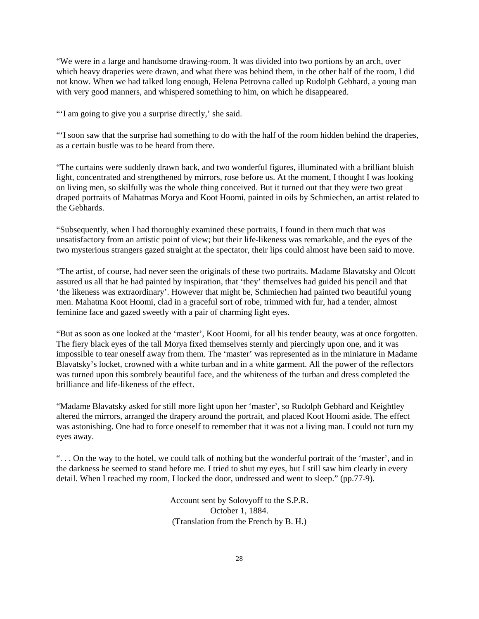"We were in a large and handsome drawing-room. It was divided into two portions by an arch, over which heavy draperies were drawn, and what there was behind them, in the other half of the room, I did not know. When we had talked long enough, Helena Petrovna called up Rudolph Gebhard, a young man with very good manners, and whispered something to him, on which he disappeared.

"'I am going to give you a surprise directly,' she said.

"'I soon saw that the surprise had something to do with the half of the room hidden behind the draperies, as a certain bustle was to be heard from there.

"The curtains were suddenly drawn back, and two wonderful figures, illuminated with a brilliant bluish light, concentrated and strengthened by mirrors, rose before us. At the moment, I thought I was looking on living men, so skilfully was the whole thing conceived. But it turned out that they were two great draped portraits of Mahatmas Morya and Koot Hoomi, painted in oils by Schmiechen, an artist related to the Gebhards.

"Subsequently, when I had thoroughly examined these portraits, I found in them much that was unsatisfactory from an artistic point of view; but their life-likeness was remarkable, and the eyes of the two mysterious strangers gazed straight at the spectator, their lips could almost have been said to move.

"The artist, of course, had never seen the originals of these two portraits. Madame Blavatsky and Olcott assured us all that he had painted by inspiration, that 'they' themselves had guided his pencil and that 'the likeness was extraordinary'. However that might be, Schmiechen had painted two beautiful young men. Mahatma Koot Hoomi, clad in a graceful sort of robe, trimmed with fur, had a tender, almost feminine face and gazed sweetly with a pair of charming light eyes.

"But as soon as one looked at the 'master', Koot Hoomi, for all his tender beauty, was at once forgotten. The fiery black eyes of the tall Morya fixed themselves sternly and piercingly upon one, and it was impossible to tear oneself away from them. The 'master' was represented as in the miniature in Madame Blavatsky's locket, crowned with a white turban and in a white garment. All the power of the reflectors was turned upon this sombrely beautiful face, and the whiteness of the turban and dress completed the brilliance and life-likeness of the effect.

"Madame Blavatsky asked for still more light upon her 'master', so Rudolph Gebhard and Keightley altered the mirrors, arranged the drapery around the portrait, and placed Koot Hoomi aside. The effect was astonishing. One had to force oneself to remember that it was not a living man. I could not turn my eyes away.

". . . On the way to the hotel, we could talk of nothing but the wonderful portrait of the 'master', and in the darkness he seemed to stand before me. I tried to shut my eyes, but I still saw him clearly in every detail. When I reached my room, I locked the door, undressed and went to sleep." (pp.77-9).

> Account sent by Solovyoff to the S.P.R. October 1, 1884. (Translation from the French by B. H.)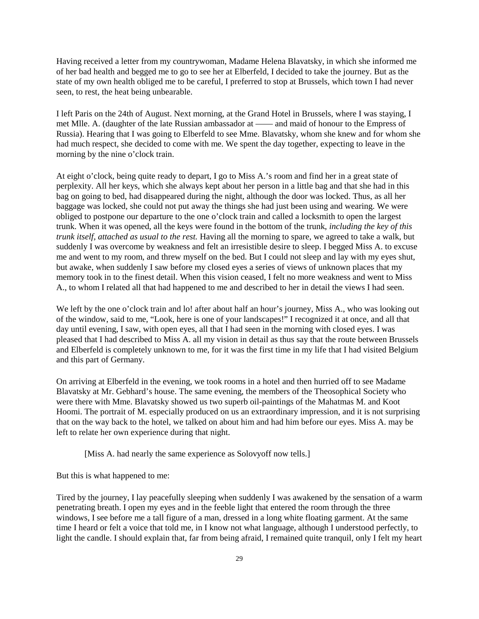Having received a letter from my countrywoman, Madame Helena Blavatsky, in which she informed me of her bad health and begged me to go to see her at Elberfeld, I decided to take the journey. But as the state of my own health obliged me to be careful, I preferred to stop at Brussels, which town I had never seen, to rest, the heat being unbearable.

I left Paris on the 24th of August. Next morning, at the Grand Hotel in Brussels, where I was staying, I met Mlle. A. (daughter of the late Russian ambassador at —— and maid of honour to the Empress of Russia). Hearing that I was going to Elberfeld to see Mme. Blavatsky, whom she knew and for whom she had much respect, she decided to come with me. We spent the day together, expecting to leave in the morning by the nine o'clock train.

At eight o'clock, being quite ready to depart, I go to Miss A.'s room and find her in a great state of perplexity. All her keys, which she always kept about her person in a little bag and that she had in this bag on going to bed, had disappeared during the night, although the door was locked. Thus, as all her baggage was locked, she could not put away the things she had just been using and wearing. We were obliged to postpone our departure to the one o'clock train and called a locksmith to open the largest trunk. When it was opened, all the keys were found in the bottom of the trunk, *including the key of this trunk itself, attached as usual to the rest.* Having all the morning to spare, we agreed to take a walk, but suddenly I was overcome by weakness and felt an irresistible desire to sleep. I begged Miss A. to excuse me and went to my room, and threw myself on the bed. But I could not sleep and lay with my eyes shut, but awake, when suddenly I saw before my closed eyes a series of views of unknown places that my memory took in to the finest detail. When this vision ceased, I felt no more weakness and went to Miss A., to whom I related all that had happened to me and described to her in detail the views I had seen.

We left by the one o'clock train and lo! after about half an hour's journey, Miss A., who was looking out of the window, said to me, "Look, here is one of your landscapes!" I recognized it at once, and all that day until evening, I saw, with open eyes, all that I had seen in the morning with closed eyes. I was pleased that I had described to Miss A. all my vision in detail as thus say that the route between Brussels and Elberfeld is completely unknown to me, for it was the first time in my life that I had visited Belgium and this part of Germany.

On arriving at Elberfeld in the evening, we took rooms in a hotel and then hurried off to see Madame Blavatsky at Mr. Gebhard's house. The same evening, the members of the Theosophical Society who were there with Mme. Blavatsky showed us two superb oil-paintings of the Mahatmas M. and Koot Hoomi. The portrait of M. especially produced on us an extraordinary impression, and it is not surprising that on the way back to the hotel, we talked on about him and had him before our eyes. Miss A. may be left to relate her own experience during that night.

[Miss A. had nearly the same experience as Solovyoff now tells.]

But this is what happened to me:

Tired by the journey, I lay peacefully sleeping when suddenly I was awakened by the sensation of a warm penetrating breath. I open my eyes and in the feeble light that entered the room through the three windows, I see before me a tall figure of a man, dressed in a long white floating garment. At the same time I heard or felt a voice that told me, in I know not what language, although I understood perfectly, to light the candle. I should explain that, far from being afraid, I remained quite tranquil, only I felt my heart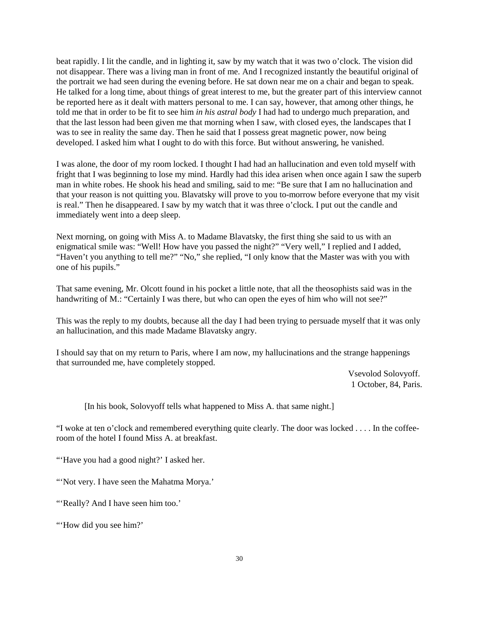beat rapidly. I lit the candle, and in lighting it, saw by my watch that it was two o'clock. The vision did not disappear. There was a living man in front of me. And I recognized instantly the beautiful original of the portrait we had seen during the evening before. He sat down near me on a chair and began to speak. He talked for a long time, about things of great interest to me, but the greater part of this interview cannot be reported here as it dealt with matters personal to me. I can say, however, that among other things, he told me that in order to be fit to see him *in his astral body* I had had to undergo much preparation, and that the last lesson had been given me that morning when I saw, with closed eyes, the landscapes that I was to see in reality the same day. Then he said that I possess great magnetic power, now being developed. I asked him what I ought to do with this force. But without answering, he vanished.

I was alone, the door of my room locked. I thought I had had an hallucination and even told myself with fright that I was beginning to lose my mind. Hardly had this idea arisen when once again I saw the superb man in white robes. He shook his head and smiling, said to me: "Be sure that I am no hallucination and that your reason is not quitting you. Blavatsky will prove to you to-morrow before everyone that my visit is real." Then he disappeared. I saw by my watch that it was three o'clock. I put out the candle and immediately went into a deep sleep.

Next morning, on going with Miss A. to Madame Blavatsky, the first thing she said to us with an enigmatical smile was: "Well! How have you passed the night?" "Very well," I replied and I added, "Haven't you anything to tell me?" "No," she replied, "I only know that the Master was with you with one of his pupils."

That same evening, Mr. Olcott found in his pocket a little note, that all the theosophists said was in the handwriting of M.: "Certainly I was there, but who can open the eyes of him who will not see?"

This was the reply to my doubts, because all the day I had been trying to persuade myself that it was only an hallucination, and this made Madame Blavatsky angry.

I should say that on my return to Paris, where I am now, my hallucinations and the strange happenings that surrounded me, have completely stopped.

> Vsevolod Solovyoff. 1 October, 84, Paris.

[In his book, Solovyoff tells what happened to Miss A. that same night.]

"I woke at ten o'clock and remembered everything quite clearly. The door was locked . . . . In the coffeeroom of the hotel I found Miss A. at breakfast.

"Have you had a good night?' I asked her.

"Not very. I have seen the Mahatma Morya."

"'Really? And I have seen him too.'

"How did you see him?"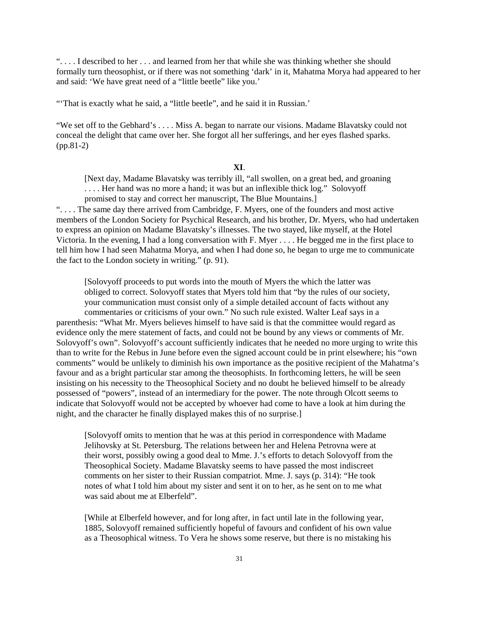". . . . I described to her . . . and learned from her that while she was thinking whether she should formally turn theosophist, or if there was not something 'dark' in it, Mahatma Morya had appeared to her and said: 'We have great need of a "little beetle" like you.'

"That is exactly what he said, a "little beetle", and he said it in Russian.'

"We set off to the Gebhard's . . . . Miss A. began to narrate our visions. Madame Blavatsky could not conceal the delight that came over her. She forgot all her sufferings, and her eyes flashed sparks. (pp.81-2)

## **XI**.

[Next day, Madame Blavatsky was terribly ill, "all swollen, on a great bed, and groaning . . . . Her hand was no more a hand; it was but an inflexible thick log." Solovyoff promised to stay and correct her manuscript, The Blue Mountains.]

". . . . The same day there arrived from Cambridge, F. Myers, one of the founders and most active members of the London Society for Psychical Research, and his brother, Dr. Myers, who had undertaken to express an opinion on Madame Blavatsky's illnesses. The two stayed, like myself, at the Hotel Victoria. In the evening, I had a long conversation with F. Myer . . . . He begged me in the first place to tell him how I had seen Mahatma Morya, and when I had done so, he began to urge me to communicate the fact to the London society in writing." (p. 91).

[Solovyoff proceeds to put words into the mouth of Myers the which the latter was obliged to correct. Solovyoff states that Myers told him that "by the rules of our society, your communication must consist only of a simple detailed account of facts without any commentaries or criticisms of your own." No such rule existed. Walter Leaf says in a parenthesis: "What Mr. Myers believes himself to have said is that the committee would regard as evidence only the mere statement of facts, and could not be bound by any views or comments of Mr. Solovyoff's own". Solovyoff's account sufficiently indicates that he needed no more urging to write this than to write for the Rebus in June before even the signed account could be in print elsewhere; his "own comments" would be unlikely to diminish his own importance as the positive recipient of the Mahatma's favour and as a bright particular star among the theosophists. In forthcoming letters, he will be seen insisting on his necessity to the Theosophical Society and no doubt he believed himself to be already possessed of "powers", instead of an intermediary for the power. The note through Olcott seems to indicate that Solovyoff would not be accepted by whoever had come to have a look at him during the night, and the character he finally displayed makes this of no surprise.]

[Solovyoff omits to mention that he was at this period in correspondence with Madame Jelihovsky at St. Petersburg. The relations between her and Helena Petrovna were at their worst, possibly owing a good deal to Mme. J.'s efforts to detach Solovyoff from the Theosophical Society. Madame Blavatsky seems to have passed the most indiscreet comments on her sister to their Russian compatriot. Mme. J. says (p. 314): "He took notes of what I told him about my sister and sent it on to her, as he sent on to me what was said about me at Elberfeld".

[While at Elberfeld however, and for long after, in fact until late in the following year, 1885, Solovyoff remained sufficiently hopeful of favours and confident of his own value as a Theosophical witness. To Vera he shows some reserve, but there is no mistaking his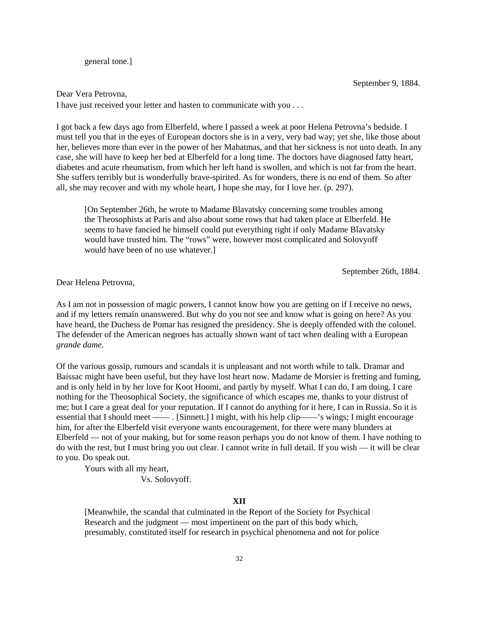general tone.]

September 9, 1884.

### Dear Vera Petrovna,

I have just received your letter and hasten to communicate with you . . .

I got back a few days ago from Elberfeld, where I passed a week at poor Helena Petrovna's bedside. I must tell you that in the eyes of European doctors she is in a very, very bad way; yet she, like those about her, believes more than ever in the power of her Mahatmas, and that her sickness is not unto death. In any case, she will have to keep her bed at Elberfeld for a long time. The doctors have diagnosed fatty heart, diabetes and acute rheumatism, from which her left hand is swollen, and which is not far from the heart. She suffers terribly but is wonderfully brave-spirited. As for wonders, there is no end of them. So after all, she may recover and with my whole heart, I hope she may, for I love her. (p. 297).

[On September 26th, he wrote to Madame Blavatsky concerning some troubles among the Theosophists at Paris and also about some rows that had taken place at Elberfeld. He seems to have fancied he himself could put everything right if only Madame Blavatsky would have trusted him. The "rows" were, however most complicated and Solovyoff would have been of no use whatever.]

September 26th, 1884.

Dear Helena Petrovna,

As I am not in possession of magic powers, I cannot know how you are getting on if I receive no news, and if my letters remain unanswered. But why do you not see and know what is going on here? As you have heard, the Duchess de Pomar has resigned the presidency. She is deeply offended with the colonel. The defender of the American negroes has actually shown want of tact when dealing with a European *grande dame.*

Of the various gossip, rumours and scandals it is unpleasant and not worth while to talk. Dramar and Baissac might have been useful, but they have lost heart now. Madame de Morsier is fretting and fuming, and is only held in by her love for Koot Hoomi, and partly by myself. What I can do, I am doing. I care nothing for the Theosophical Society, the significance of which escapes me, thanks to your distrust of me; but I care a great deal for your reputation. If I cannot do anything for it here, I can in Russia. So it is essential that I should meet —— . [Sinnett.] I might, with his help clip——'s wings; I might encourage him, for after the Elberfeld visit everyone wants encouragement, for there were many blunders at Elberfeld — not of your making, but for some reason perhaps you do not know of them. I have nothing to do with the rest, but I must bring you out clear. I cannot write in full detail. If you wish — it will be clear to you. Do speak out.

Yours with all my heart,

Vs. Solovyoff.

#### **XII**

[Meanwhile, the scandal that culminated in the Report of the Society for Psychical Research and the judgment — most impertinent on the part of this body which, presumably, constituted itself for research in psychical phenomena and not for police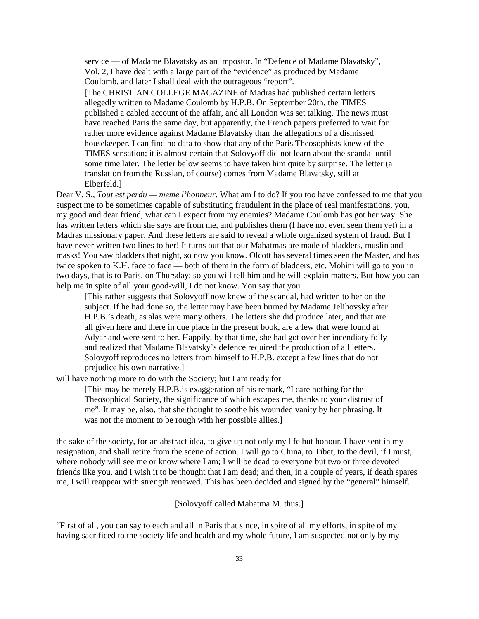service — of Madame Blavatsky as an impostor. In "Defence of Madame Blavatsky", Vol. 2, I have dealt with a large part of the "evidence" as produced by Madame Coulomb, and later I shall deal with the outrageous "report".

[The CHRISTIAN COLLEGE MAGAZINE of Madras had published certain letters allegedly written to Madame Coulomb by H.P.B. On September 20th, the TIMES published a cabled account of the affair, and all London was set talking. The news must have reached Paris the same day, but apparently, the French papers preferred to wait for rather more evidence against Madame Blavatsky than the allegations of a dismissed housekeeper. I can find no data to show that any of the Paris Theosophists knew of the TIMES sensation; it is almost certain that Solovyoff did not learn about the scandal until some time later. The letter below seems to have taken him quite by surprise. The letter (a translation from the Russian, of course) comes from Madame Blavatsky, still at Elberfeld.]

Dear V. S., *Tout est perdu — meme l'honneur*. What am I to do? If you too have confessed to me that you suspect me to be sometimes capable of substituting fraudulent in the place of real manifestations, you, my good and dear friend, what can I expect from my enemies? Madame Coulomb has got her way. She has written letters which she says are from me, and publishes them (I have not even seen them yet) in a Madras missionary paper. And these letters are said to reveal a whole organized system of fraud. But I have never written two lines to her! It turns out that our Mahatmas are made of bladders, muslin and masks! You saw bladders that night, so now you know. Olcott has several times seen the Master, and has twice spoken to K.H. face to face — both of them in the form of bladders, etc. Mohini will go to you in two days, that is to Paris, on Thursday; so you will tell him and he will explain matters. But how you can help me in spite of all your good-will, I do not know. You say that you

[This rather suggests that Solovyoff now knew of the scandal, had written to her on the subject. If he had done so, the letter may have been burned by Madame Jelihovsky after H.P.B.'s death, as alas were many others. The letters she did produce later, and that are all given here and there in due place in the present book, are a few that were found at Adyar and were sent to her. Happily, by that time, she had got over her incendiary folly and realized that Madame Blavatsky's defence required the production of all letters. Solovyoff reproduces no letters from himself to H.P.B. except a few lines that do not prejudice his own narrative.]

will have nothing more to do with the Society; but I am ready for

[This may be merely H.P.B.'s exaggeration of his remark, "I care nothing for the Theosophical Society, the significance of which escapes me, thanks to your distrust of me". It may be, also, that she thought to soothe his wounded vanity by her phrasing. It was not the moment to be rough with her possible allies.]

the sake of the society, for an abstract idea, to give up not only my life but honour. I have sent in my resignation, and shall retire from the scene of action. I will go to China, to Tibet, to the devil, if I must, where nobody will see me or know where I am; I will be dead to everyone but two or three devoted friends like you, and I wish it to be thought that I am dead; and then, in a couple of years, if death spares me, I will reappear with strength renewed. This has been decided and signed by the "general" himself.

[Solovyoff called Mahatma M. thus.]

"First of all, you can say to each and all in Paris that since, in spite of all my efforts, in spite of my having sacrificed to the society life and health and my whole future, I am suspected not only by my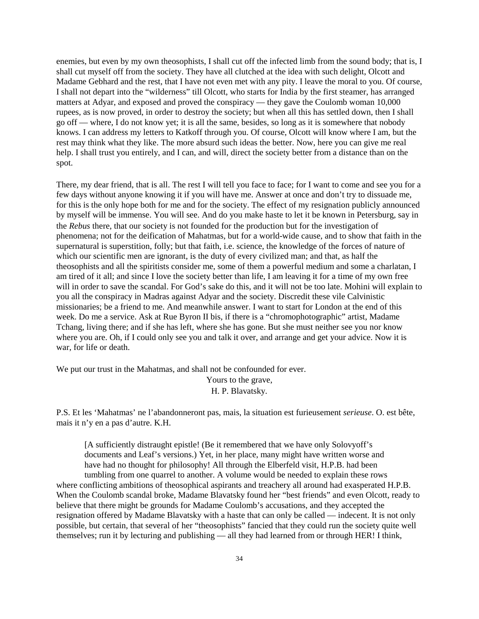enemies, but even by my own theosophists, I shall cut off the infected limb from the sound body; that is, I shall cut myself off from the society. They have all clutched at the idea with such delight, Olcott and Madame Gebhard and the rest, that I have not even met with any pity. I leave the moral to you. Of course, I shall not depart into the "wilderness" till Olcott, who starts for India by the first steamer, has arranged matters at Adyar, and exposed and proved the conspiracy — they gave the Coulomb woman 10,000 rupees, as is now proved, in order to destroy the society; but when all this has settled down, then I shall go off — where, I do not know yet; it is all the same, besides, so long as it is somewhere that nobody knows. I can address my letters to Katkoff through you. Of course, Olcott will know where I am, but the rest may think what they like. The more absurd such ideas the better. Now, here you can give me real help. I shall trust you entirely, and I can, and will, direct the society better from a distance than on the spot.

There, my dear friend, that is all. The rest I will tell you face to face; for I want to come and see you for a few days without anyone knowing it if you will have me. Answer at once and don't try to dissuade me, for this is the only hope both for me and for the society. The effect of my resignation publicly announced by myself will be immense. You will see. And do you make haste to let it be known in Petersburg, say in the *Rebus* there, that our society is not founded for the production but for the investigation of phenomena; not for the deification of Mahatmas, but for a world-wide cause, and to show that faith in the supernatural is superstition, folly; but that faith, i.e. science, the knowledge of the forces of nature of which our scientific men are ignorant, is the duty of every civilized man; and that, as half the theosophists and all the spiritists consider me, some of them a powerful medium and some a charlatan, I am tired of it all; and since I love the society better than life, I am leaving it for a time of my own free will in order to save the scandal. For God's sake do this, and it will not be too late. Mohini will explain to you all the conspiracy in Madras against Adyar and the society. Discredit these vile Calvinistic missionaries; be a friend to me. And meanwhile answer. I want to start for London at the end of this week. Do me a service. Ask at Rue Byron II bis, if there is a "chromophotographic" artist, Madame Tchang, living there; and if she has left, where she has gone. But she must neither see you nor know where you are. Oh, if I could only see you and talk it over, and arrange and get your advice. Now it is war, for life or death.

We put our trust in the Mahatmas, and shall not be confounded for ever.

Yours to the grave,

H. P. Blavatsky.

P.S. Et les 'Mahatmas' ne l'abandonneront pas, mais, la situation est furieusement *serieuse*. O. est bête, mais it n'y en a pas d'autre. K.H.

[A sufficiently distraught epistle! (Be it remembered that we have only Solovyoff's documents and Leaf's versions.) Yet, in her place, many might have written worse and have had no thought for philosophy! All through the Elberfeld visit, H.P.B. had been

tumbling from one quarrel to another. A volume would be needed to explain these rows where conflicting ambitions of theosophical aspirants and treachery all around had exasperated H.P.B. When the Coulomb scandal broke, Madame Blavatsky found her "best friends" and even Olcott, ready to believe that there might be grounds for Madame Coulomb's accusations, and they accepted the resignation offered by Madame Blavatsky with a haste that can only be called — indecent. It is not only possible, but certain, that several of her "theosophists" fancied that they could run the society quite well themselves; run it by lecturing and publishing — all they had learned from or through HER! I think,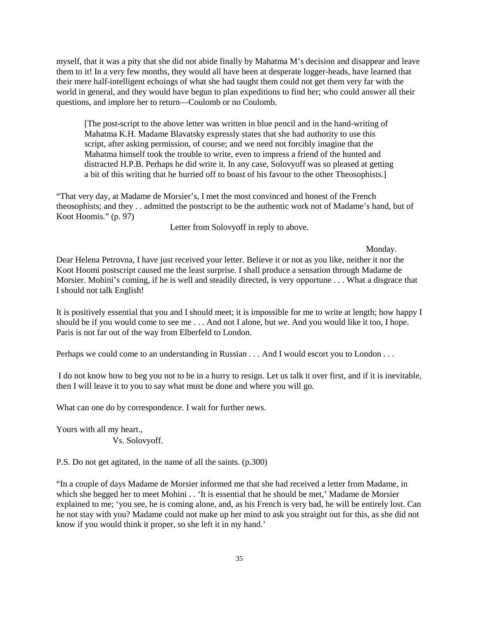myself, that it was a pity that she did not abide finally by Mahatma M's decision and disappear and leave them to it! In a very few months, they would all have been at desperate logger-heads, have learned that their mere half-intelligent echoings of what she had taught them could not get them very far with the world in general, and they would have begun to plan expeditions to find her; who could answer all their questions, and implore her to return—Coulomb or no Coulomb.

[The post-script to the above letter was written in blue pencil and in the hand-writing of Mahatma K.H. Madame Blavatsky expressly states that she had authority to use this script, after asking permission, of course; and we need not forcibly imagine that the Mahatma himself took the trouble to write, even to impress a friend of the hunted and distracted H.P.B. Perhaps he did write it. In any case, Solovyoff was so pleased at getting a bit of this writing that he hurried off to boast of his favour to the other Theosophists.]

"That very day, at Madame de Morsier's, I met the most convinced and honest of the French theosophists; and they . . admitted the postscript to be the authentic work not of Madame's hand, but of Koot Hoomis." (p. 97)

Letter from Solovyoff in reply to above.

### Monday.

Dear Helena Petrovna, I have just received your letter. Believe it or not as you like, neither it nor the Koot Hoomi postscript caused me the least surprise. I shall produce a sensation through Madame de Morsier. Mohini's coming, if he is well and steadily directed, is very opportune . . . What a disgrace that I should not talk English!

It is positively essential that you and I should meet; it is impossible for me to write at length; how happy I should be if you would come to see me . . . And not I alone, but *we*. And you would like it too, I hope. Paris is not far out of the way from Elberfeld to London.

Perhaps we could come to an understanding in Russian . . . And I would escort you to London . . .

 I do not know how to beg you not to be in a hurry to resign. Let us talk it over first, and if it is inevitable, then I will leave it to you to say what must be done and where you will go.

What can one do by correspondence. I wait for further news.

Yours with all my heart.,

Vs. Solovyoff.

P.S. Do not get agitated, in the name of all the saints. (p.300)

"In a couple of days Madame de Morsier informed me that she had received a letter from Madame, in which she begged her to meet Mohini . . 'It is essential that he should be met,' Madame de Morsier explained to me; 'you see, he is coming alone, and, as his French is very bad, he will be entirely lost. Can he not stay with you? Madame could not make up her mind to ask you straight out for this, as she did not know if you would think it proper, so she left it in my hand.'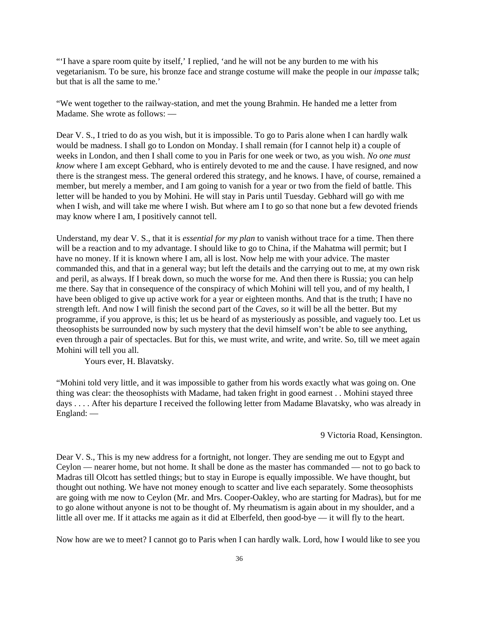"'I have a spare room quite by itself,' I replied, 'and he will not be any burden to me with his vegetarianism. To be sure, his bronze face and strange costume will make the people in our *impasse* talk; but that is all the same to me.'

"We went together to the railway-station, and met the young Brahmin. He handed me a letter from Madame. She wrote as follows: —

Dear V. S., I tried to do as you wish, but it is impossible. To go to Paris alone when I can hardly walk would be madness. I shall go to London on Monday. I shall remain (for I cannot help it) a couple of weeks in London, and then I shall come to you in Paris for one week or two, as you wish. *No one must know* where I am except Gebhard, who is entirely devoted to me and the cause. I have resigned, and now there is the strangest mess. The general ordered this strategy, and he knows. I have, of course, remained a member, but merely a member, and I am going to vanish for a year or two from the field of battle. This letter will be handed to you by Mohini. He will stay in Paris until Tuesday. Gebhard will go with me when I wish, and will take me where I wish. But where am I to go so that none but a few devoted friends may know where I am, I positively cannot tell.

Understand, my dear V. S., that it is *essential for my plan* to vanish without trace for a time. Then there will be a reaction and to my advantage. I should like to go to China, if the Mahatma will permit; but I have no money. If it is known where I am, all is lost. Now help me with your advice. The master commanded this, and that in a general way; but left the details and the carrying out to me, at my own risk and peril, as always. If I break down, so much the worse for me. And then there is Russia; you can help me there. Say that in consequence of the conspiracy of which Mohini will tell you, and of my health, I have been obliged to give up active work for a year or eighteen months. And that is the truth; I have no strength left. And now I will finish the second part of the *Caves, so* it will be all the better. But my programme, if you approve, is this; let us be heard of as mysteriously as possible, and vaguely too. Let us theosophists be surrounded now by such mystery that the devil himself won't be able to see anything, even through a pair of spectacles. But for this, we must write, and write, and write. So, till we meet again Mohini will tell you all.

Yours ever, H. Blavatsky.

"Mohini told very little, and it was impossible to gather from his words exactly what was going on. One thing was clear: the theosophists with Madame, had taken fright in good earnest . . Mohini stayed three days . . . . After his departure I received the following letter from Madame Blavatsky, who was already in England: —

## 9 Victoria Road, Kensington.

Dear V. S., This is my new address for a fortnight, not longer. They are sending me out to Egypt and Ceylon — nearer home, but not home. It shall be done as the master has commanded — not to go back to Madras till Olcott has settled things; but to stay in Europe is equally impossible. We have thought, but thought out nothing. We have not money enough to scatter and live each separately. Some theosophists are going with me now to Ceylon (Mr. and Mrs. Cooper-Oakley, who are starting for Madras), but for me to go alone without anyone is not to be thought of. My rheumatism is again about in my shoulder, and a little all over me. If it attacks me again as it did at Elberfeld, then good-bye — it will fly to the heart.

Now how are we to meet? I cannot go to Paris when I can hardly walk. Lord, how I would like to see you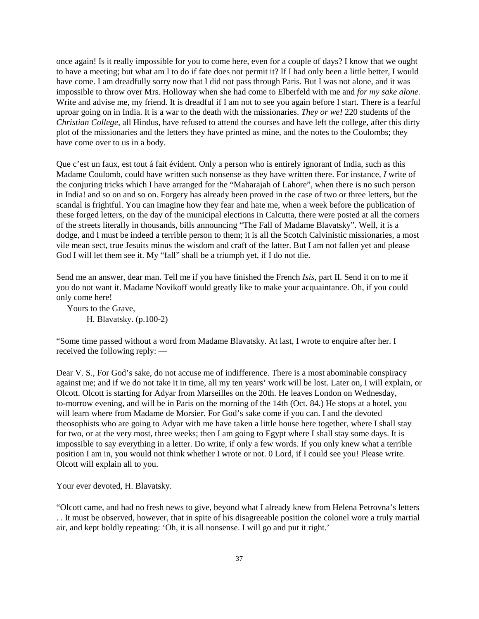once again! Is it really impossible for you to come here, even for a couple of days? I know that we ought to have a meeting; but what am I to do if fate does not permit it? If I had only been a little better, I would have come. I am dreadfully sorry now that I did not pass through Paris. But I was not alone, and it was impossible to throw over Mrs. Holloway when she had come to Elberfeld with me and *for my sake alone.* Write and advise me, my friend. It is dreadful if I am not to see you again before I start. There is a fearful uproar going on in India. It is a war to the death with the missionaries. *They or we!* 220 students of the *Christian College,* all Hindus, have refused to attend the courses and have left the college, after this dirty plot of the missionaries and the letters they have printed as mine, and the notes to the Coulombs; they have come over to us in a body.

Que c'est un faux, est tout á fait évident. Only a person who is entirely ignorant of India, such as this Madame Coulomb, could have written such nonsense as they have written there. For instance, *I* write of the conjuring tricks which I have arranged for the "Maharajah of Lahore", when there is no such person in India! and so on and so on. Forgery has already been proved in the case of two or three letters, but the scandal is frightful. You can imagine how they fear and hate me, when a week before the publication of these forged letters, on the day of the municipal elections in Calcutta, there were posted at all the corners of the streets literally in thousands, bills announcing "The Fall of Madame Blavatsky". Well, it is a dodge, and I must be indeed a terrible person to them; it is all the Scotch Calvinistic missionaries, a most vile mean sect, true Jesuits minus the wisdom and craft of the latter. But I am not fallen yet and please God I will let them see it. My "fall" shall be a triumph yet, if I do not die.

Send me an answer, dear man. Tell me if you have finished the French *Isis*, part II. Send it on to me if you do not want it. Madame Novikoff would greatly like to make your acquaintance. Oh, if you could only come here!

 Yours to the Grave, H. Blavatsky. (p.100-2)

"Some time passed without a word from Madame Blavatsky. At last, I wrote to enquire after her. I received the following reply: —

Dear V. S., For God's sake, do not accuse me of indifference. There is a most abominable conspiracy against me; and if we do not take it in time, all my ten years' work will be lost. Later on, I will explain, or Olcott. Olcott is starting for Adyar from Marseilles on the 20th. He leaves London on Wednesday, to-morrow evening, and will be in Paris on the morning of the 14th (Oct. 84.) He stops at a hotel, you will learn where from Madame de Morsier. For God's sake come if you can. I and the devoted theosophists who are going to Adyar with me have taken a little house here together, where I shall stay for two, or at the very most, three weeks; then I am going to Egypt where I shall stay some days. It is impossible to say everything in a letter. Do write, if only a few words. If you only knew what a terrible position I am in, you would not think whether I wrote or not. 0 Lord, if I could see you! Please write. Olcott will explain all to you.

Your ever devoted, H. Blavatsky.

"Olcott came, and had no fresh news to give, beyond what I already knew from Helena Petrovna's letters . . It must be observed, however, that in spite of his disagreeable position the colonel wore a truly martial air, and kept boldly repeating: 'Oh, it is all nonsense. I will go and put it right.'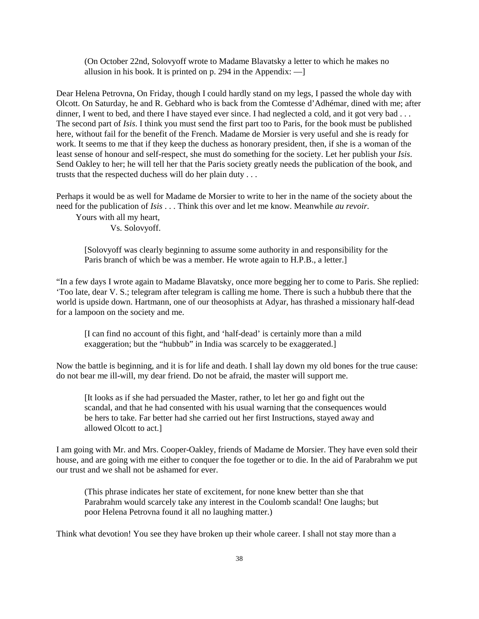(On October 22nd, Solovyoff wrote to Madame Blavatsky a letter to which he makes no allusion in his book. It is printed on p. 294 in the Appendix:  $-$ 

Dear Helena Petrovna, On Friday, though I could hardly stand on my legs, I passed the whole day with Olcott. On Saturday, he and R. Gebhard who is back from the Comtesse d'Adhémar, dined with me; after dinner, I went to bed, and there I have stayed ever since. I had neglected a cold, and it got very bad . . . The second part of *Isis*. I think you must send the first part too to Paris, for the book must be published here, without fail for the benefit of the French. Madame de Morsier is very useful and she is ready for work. It seems to me that if they keep the duchess as honorary president, then, if she is a woman of the least sense of honour and self-respect, she must do something for the society. Let her publish your *Isis*. Send Oakley to her; he will tell her that the Paris society greatly needs the publication of the book, and trusts that the respected duchess will do her plain duty . . .

Perhaps it would be as well for Madame de Morsier to write to her in the name of the society about the need for the publication of *Isis* . . . Think this over and let me know. Meanwhile *au revoir.*

 Yours with all my heart, Vs. Solovyoff.

[Solovyoff was clearly beginning to assume some authority in and responsibility for the Paris branch of which be was a member. He wrote again to H.P.B., a letter.]

"In a few days I wrote again to Madame Blavatsky, once more begging her to come to Paris. She replied: 'Too late, dear V. S.; telegram after telegram is calling me home. There is such a hubbub there that the world is upside down. Hartmann, one of our theosophists at Adyar, has thrashed a missionary half-dead for a lampoon on the society and me.

[I can find no account of this fight, and 'half-dead' is certainly more than a mild exaggeration; but the "hubbub" in India was scarcely to be exaggerated.]

Now the battle is beginning, and it is for life and death. I shall lay down my old bones for the true cause: do not bear me ill-will, my dear friend. Do not be afraid, the master will support me.

[It looks as if she had persuaded the Master, rather, to let her go and fight out the scandal, and that he had consented with his usual warning that the consequences would be hers to take. Far better had she carried out her first Instructions, stayed away and allowed Olcott to act.]

I am going with Mr. and Mrs. Cooper-Oakley, friends of Madame de Morsier. They have even sold their house, and are going with me either to conquer the foe together or to die. In the aid of Parabrahm we put our trust and we shall not be ashamed for ever.

(This phrase indicates her state of excitement, for none knew better than she that Parabrahm would scarcely take any interest in the Coulomb scandal! One laughs; but poor Helena Petrovna found it all no laughing matter.)

Think what devotion! You see they have broken up their whole career. I shall not stay more than a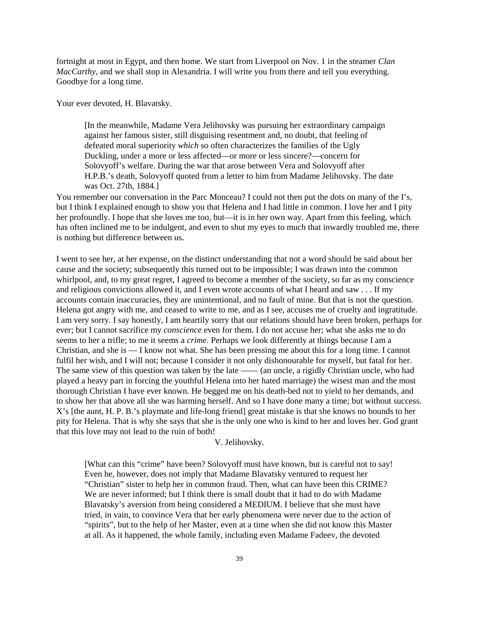fortnight at most in Egypt, and then home. We start from Liverpool on Nov. 1 in the steamer *Clan MacCarthy*, and we shall stop in Alexandria. I will write you from there and tell you everything. Goodbye for a long time.

Your ever devoted, H. Blavatsky.

[In the meanwhile, Madame Vera Jelihovsky was pursuing her extraordinary campaign against her famous sister, still disguising resentment and, no doubt, that feeling of defeated moral superiority *which* so often characterizes the families of the Ugly Duckling, under a more or less affected—or more or less sincere?—concern for Solovyoff's welfare. During the war that arose between Vera and Solovyoff after H.P.B.'s death, Solovyoff quoted from a letter to him from Madame Jelihovsky. The date was Oct. 27th, 1884.]

You remember our conversation in the Parc Monceau? I could not then put the dots on many of the I's, but I think I explained enough to show you that Helena and I had little in common. I love her and I pity her profoundly. I hope that she loves me too, but—it is in her own way. Apart from this feeling, which has often inclined me to be indulgent, and even to shut my eyes to much that inwardly troubled me, there is nothing but difference between us.

I went to see her, at her expense, on the distinct understanding that not a word should be said about her cause and the society; subsequently this turned out to be impossible; I was drawn into the common whirlpool, and, to my great regret, I agreed to become a member of the society, so far as my conscience and religious convictions allowed it, and I even wrote accounts of what I heard and saw . . . If my accounts contain inaccuracies, they are unintentional, and no fault of mine. But that is not the question. Helena got angry with me, and ceased to write to me, and as I see, accuses me of cruelty and ingratitude. I am very sorry. I say honestly, I am heartily sorry that our relations should have been broken, perhaps for ever; but I cannot sacrifice my *conscience* even for them. I do not accuse her; what she asks me to do seems to her a trifle; to me it seems a *crime*. Perhaps we look differently at things because I am a Christian, and she is — I know not what. She has been pressing me about this for a long time. I cannot fulfil her wish, and I will not; because I consider it not only dishonourable for myself, but fatal for her. The same view of this question was taken by the late —— (an uncle, a rigidly Christian uncle, who had played a heavy part in forcing the youthful Helena into her hated marriage) the wisest man and the most thorough Christian I have ever known. He begged me on his death-bed not to yield to her demands, and to show her that above all she was harming herself. And so I have done many a time; but without success. X's [the aunt, H. P. B.'s playmate and life-long friend] great mistake is that she knows no bounds to her pity for Helena. That is why she says that she is the only one who is kind to her and loves her. God grant that this love may not lead to the ruin of both!

#### V. Jelihovsky.

[What can this "crime" have been? Solovyoff must have known, but is careful not to say! Even he, however, does not imply that Madame Blavatsky ventured to request her "Christian" sister to help her in common fraud. Then, what can have been this CRIME? We are never informed; but I think there is small doubt that it had to do with Madame Blavatsky's aversion from being considered a MEDIUM. I believe that she must have tried, in vain, to convince Vera that her early phenomena were never due to the action of "spirits", but to the help of her Master, even at a time when she did not know this Master at all. As it happened, the whole family, including even Madame Fadeev, the devoted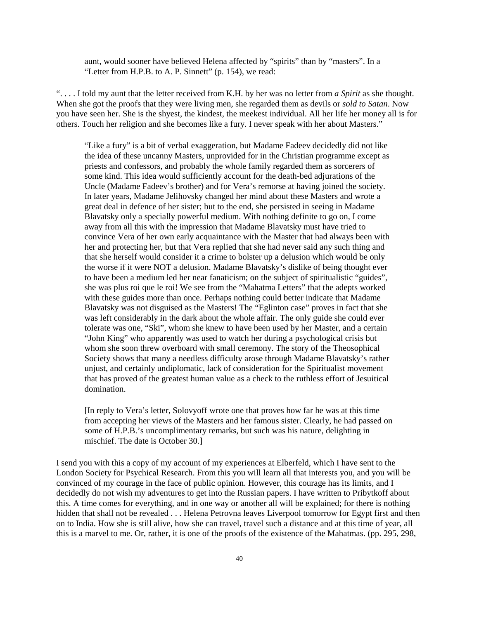aunt, would sooner have believed Helena affected by "spirits" than by "masters". In a "Letter from H.P.B. to A. P. Sinnett" (p. 154), we read:

". . . . I told my aunt that the letter received from K.H. by her was no letter from *a Spirit* as she thought. When she got the proofs that they were living men, she regarded them as devils or *sold to Satan*. Now you have seen her. She is the shyest, the kindest, the meekest individual. All her life her money all is for others. Touch her religion and she becomes like a fury. I never speak with her about Masters."

"Like a fury" is a bit of verbal exaggeration, but Madame Fadeev decidedly did not like the idea of these uncanny Masters, unprovided for in the Christian programme except as priests and confessors, and probably the whole family regarded them as sorcerers of some kind. This idea would sufficiently account for the death-bed adjurations of the Uncle (Madame Fadeev's brother) and for Vera's remorse at having joined the society. In later years, Madame Jelihovsky changed her mind about these Masters and wrote a great deal in defence of her sister; but to the end, she persisted in seeing in Madame Blavatsky only a specially powerful medium. With nothing definite to go on, I come away from all this with the impression that Madame Blavatsky must have tried to convince Vera of her own early acquaintance with the Master that had always been with her and protecting her, but that Vera replied that she had never said any such thing and that she herself would consider it a crime to bolster up a delusion which would be only the worse if it were NOT a delusion. Madame Blavatsky's dislike of being thought ever to have been a medium led her near fanaticism; on the subject of spiritualistic "guides", she was plus roi que le roi! We see from the "Mahatma Letters" that the adepts worked with these guides more than once. Perhaps nothing could better indicate that Madame Blavatsky was not disguised as the Masters! The "Eglinton case" proves in fact that she was left considerably in the dark about the whole affair. The only guide she could ever tolerate was one, "Ski", whom she knew to have been used by her Master, and a certain "John King" who apparently was used to watch her during a psychological crisis but whom she soon threw overboard with small ceremony. The story of the Theosophical Society shows that many a needless difficulty arose through Madame Blavatsky's rather unjust, and certainly undiplomatic, lack of consideration for the Spiritualist movement that has proved of the greatest human value as a check to the ruthless effort of Jesuitical domination.

[In reply to Vera's letter, Solovyoff wrote one that proves how far he was at this time from accepting her views of the Masters and her famous sister. Clearly, he had passed on some of H.P.B.'s uncomplimentary remarks, but such was his nature, delighting in mischief. The date is October 30.]

I send you with this a copy of my account of my experiences at Elberfeld, which I have sent to the London Society for Psychical Research. From this you will learn all that interests you, and you will be convinced of my courage in the face of public opinion. However, this courage has its limits, and I decidedly do not wish my adventures to get into the Russian papers. I have written to Pribytkoff about this. A time comes for everything, and in one way or another all will be explained; for there is nothing hidden that shall not be revealed . . . Helena Petrovna leaves Liverpool tomorrow for Egypt first and then on to India. How she is still alive, how she can travel, travel such a distance and at this time of year, all this is a marvel to me. Or, rather, it is one of the proofs of the existence of the Mahatmas. (pp. 295, 298,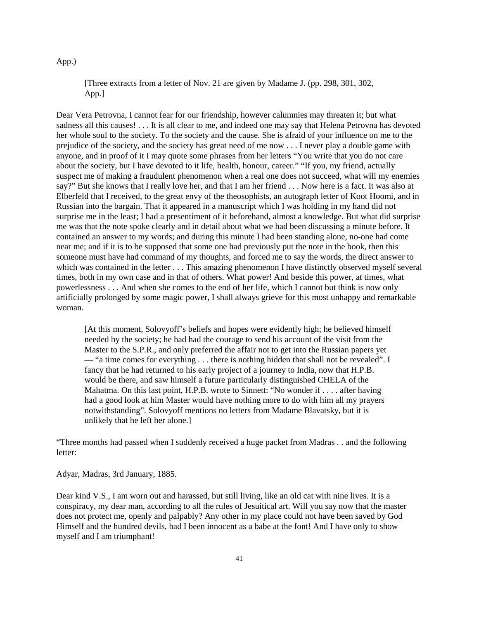### App.)

[Three extracts from a letter of Nov. 21 are given by Madame J. (pp. 298, 301, 302, App.]

Dear Vera Petrovna, I cannot fear for our friendship, however calumnies may threaten it; but what sadness all this causes! . . . It is all clear to me, and indeed one may say that Helena Petrovna has devoted her whole soul to the society. To the society and the cause. She is afraid of your influence on me to the prejudice of the society, and the society has great need of me now . . . I never play a double game with anyone, and in proof of it I may quote some phrases from her letters "You write that you do not care about the society, but I have devoted to it life, health, honour, career." "If you, my friend, actually suspect me of making a fraudulent phenomenon when a real one does not succeed, what will my enemies say?" But she knows that I really love her, and that I am her friend . . . Now here is a fact. It was also at Elberfeld that I received, to the great envy of the theosophists, an autograph letter of Koot Hoomi, and in Russian into the bargain. That it appeared in a manuscript which I was holding in my hand did not surprise me in the least; I had a presentiment of it beforehand, almost a knowledge. But what did surprise me was that the note spoke clearly and in detail about what we had been discussing a minute before. It contained an answer to my words; and during this minute I had been standing alone, no-one had come near me; and if it is to be supposed that some one had previously put the note in the book, then this someone must have had command of my thoughts, and forced me to say the words, the direct answer to which was contained in the letter . . . This amazing phenomenon I have distinctly observed myself several times, both in my own case and in that of others. What power! And beside this power, at times, what powerlessness . . . And when she comes to the end of her life, which I cannot but think is now only artificially prolonged by some magic power, I shall always grieve for this most unhappy and remarkable woman.

[At this moment, Solovyoff's beliefs and hopes were evidently high; he believed himself needed by the society; he had had the courage to send his account of the visit from the Master to the S.P.R., and only preferred the affair not to get into the Russian papers yet — "a time comes for everything . . . there is nothing hidden that shall not be revealed". I fancy that he had returned to his early project of a journey to India, now that H.P.B. would be there, and saw himself a future particularly distinguished CHELA of the Mahatma. On this last point, H.P.B. wrote to Sinnett: "No wonder if . . . . after having had a good look at him Master would have nothing more to do with him all my prayers notwithstanding". Solovyoff mentions no letters from Madame Blavatsky, but it is unlikely that he left her alone.]

"Three months had passed when I suddenly received a huge packet from Madras . . and the following letter:

Adyar, Madras, 3rd January, 1885.

Dear kind V.S., I am worn out and harassed, but still living, like an old cat with nine lives. It is a conspiracy, my dear man, according to all the rules of Jesuitical art. Will you say now that the master does not protect me, openly and palpably? Any other in my place could not have been saved by God Himself and the hundred devils, had I been innocent as a babe at the font! And I have only to show myself and I am triumphant!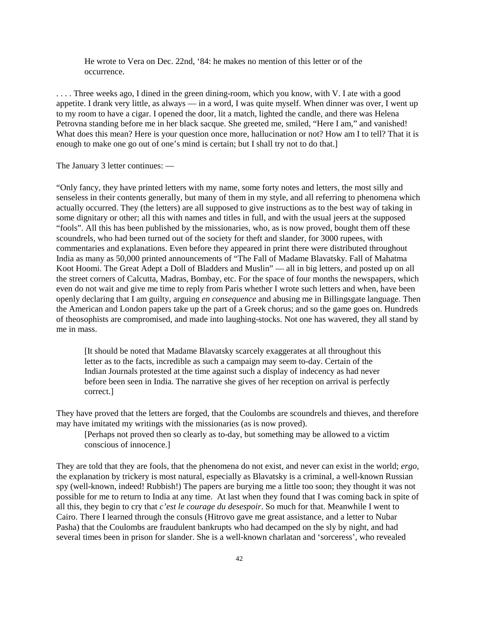He wrote to Vera on Dec. 22nd, '84: he makes no mention of this letter or of the occurrence.

. . . . Three weeks ago, I dined in the green dining-room, which you know, with V. I ate with a good appetite. I drank very little, as always — in a word, I was quite myself. When dinner was over, I went up to my room to have a cigar. I opened the door, lit a match, lighted the candle, and there was Helena Petrovna standing before me in her black sacque. She greeted me, smiled, "Here I am," and vanished! What does this mean? Here is your question once more, hallucination or not? How am I to tell? That it is enough to make one go out of one's mind is certain; but I shall try not to do that.]

The January 3 letter continues: —

"Only fancy, they have printed letters with my name, some forty notes and letters, the most silly and senseless in their contents generally, but many of them in my style, and all referring to phenomena which actually occurred. They (the letters) are all supposed to give instructions as to the best way of taking in some dignitary or other; all this with names and titles in full, and with the usual jeers at the supposed "fools". All this has been published by the missionaries, who, as is now proved, bought them off these scoundrels, who had been turned out of the society for theft and slander, for 3000 rupees, with commentaries and explanations. Even before they appeared in print there were distributed throughout India as many as 50,000 printed announcements of "The Fall of Madame Blavatsky. Fall of Mahatma Koot Hoomi. The Great Adept a Doll of Bladders and Muslin" — all in big letters, and posted up on all the street corners of Calcutta, Madras, Bombay, etc. For the space of four months the newspapers, which even do not wait and give me time to reply from Paris whether I wrote such letters and when, have been openly declaring that I am guilty, arguing *en consequence* and abusing me in Billingsgate language. Then the American and London papers take up the part of a Greek chorus; and so the game goes on. Hundreds of theosophists are compromised, and made into laughing-stocks. Not one has wavered, they all stand by me in mass.

[It should be noted that Madame Blavatsky scarcely exaggerates at all throughout this letter as to the facts, incredible as such a campaign may seem to-day. Certain of the Indian Journals protested at the time against such a display of indecency as had never before been seen in India. The narrative she gives of her reception on arrival is perfectly correct.]

They have proved that the letters are forged, that the Coulombs are scoundrels and thieves, and therefore may have imitated my writings with the missionaries (as is now proved).

[Perhaps not proved then so clearly as to-day, but something may be allowed to a victim conscious of innocence.]

They are told that they are fools, that the phenomena do not exist, and never can exist in the world; *ergo*, the explanation by trickery is most natural, especially as Blavatsky is a criminal, a well-known Russian spy (well-known, indeed! Rubbish!) The papers are burying me a little too soon; they thought it was not possible for me to return to India at any time. At last when they found that I was coming back in spite of all this, they begin to cry that *c'est le courage du desespoir*. So much for that. Meanwhile I went to Cairo. There I learned through the consuls (Hitrovo gave me great assistance, and a letter to Nubar Pasha) that the Coulombs are fraudulent bankrupts who had decamped on the sly by night, and had several times been in prison for slander. She is a well-known charlatan and 'sorceress', who revealed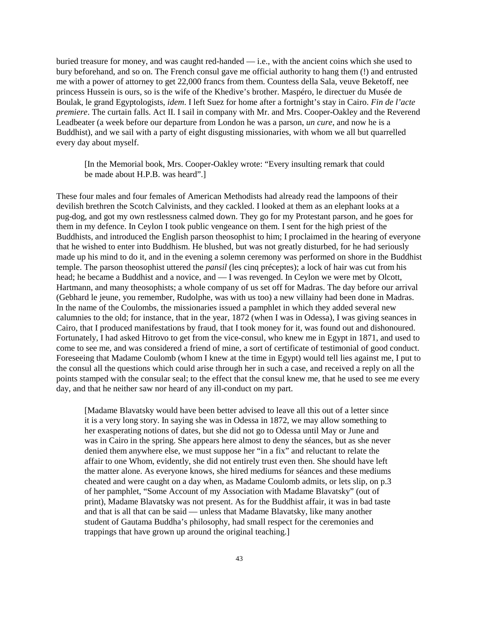buried treasure for money, and was caught red-handed — i.e., with the ancient coins which she used to bury beforehand, and so on. The French consul gave me official authority to hang them (!) and entrusted me with a power of attorney to get 22,000 francs from them. Countess della Sala, veuve Beketoff, nee princess Hussein is ours, so is the wife of the Khedive's brother. Maspéro, le directuer du Musée de Boulak, le grand Egyptologists, *idem*. I left Suez for home after a fortnight's stay in Cairo. *Fin de l'acte premiere*. The curtain falls. Act II. I sail in company with Mr. and Mrs. Cooper-Oakley and the Reverend Leadbeater (a week before our departure from London he was a parson, *un cure*, and now he is a Buddhist), and we sail with a party of eight disgusting missionaries, with whom we all but quarrelled every day about myself.

[In the Memorial book, Mrs. Cooper-Oakley wrote: "Every insulting remark that could be made about H.P.B. was heard".]

These four males and four females of American Methodists had already read the lampoons of their devilish brethren the Scotch Calvinists, and they cackled. I looked at them as an elephant looks at a pug-dog, and got my own restlessness calmed down. They go for my Protestant parson, and he goes for them in my defence. In Ceylon I took public vengeance on them. I sent for the high priest of the Buddhists, and introduced the English parson theosophist to him; I proclaimed in the hearing of everyone that he wished to enter into Buddhism. He blushed, but was not greatly disturbed, for he had seriously made up his mind to do it, and in the evening a solemn ceremony was performed on shore in the Buddhist temple. The parson theosophist uttered the *pansil* (les cinq préceptes); a lock of hair was cut from his head; he became a Buddhist and a novice, and — I was revenged. In Ceylon we were met by Olcott, Hartmann, and many theosophists; a whole company of us set off for Madras. The day before our arrival (Gebhard le jeune, you remember, Rudolphe, was with us too) a new villainy had been done in Madras. In the name of the Coulombs, the missionaries issued a pamphlet in which they added several new calumnies to the old; for instance, that in the year, 1872 (when I was in Odessa), I was giving seances in Cairo, that I produced manifestations by fraud, that I took money for it, was found out and dishonoured. Fortunately, I had asked Hitrovo to get from the vice-consul, who knew me in Egypt in 1871, and used to come to see me, and was considered a friend of mine, a sort of certificate of testimonial of good conduct. Foreseeing that Madame Coulomb (whom I knew at the time in Egypt) would tell lies against me, I put to the consul all the questions which could arise through her in such a case, and received a reply on all the points stamped with the consular seal; to the effect that the consul knew me, that he used to see me every day, and that he neither saw nor heard of any ill-conduct on my part.

[Madame Blavatsky would have been better advised to leave all this out of a letter since it is a very long story. In saying she was in Odessa in 1872, we may allow something to her exasperating notions of dates, but she did not go to Odessa until May or June and was in Cairo in the spring. She appears here almost to deny the séances, but as she never denied them anywhere else, we must suppose her "in a fix" and reluctant to relate the affair to one Whom, evidently, she did not entirely trust even then. She should have left the matter alone. As everyone knows, she hired mediums for séances and these mediums cheated and were caught on a day when, as Madame Coulomb admits, or lets slip, on p.3 of her pamphlet, "Some Account of my Association with Madame Blavatsky" (out of print), Madame Blavatsky was not present. As for the Buddhist affair, it was in bad taste and that is all that can be said — unless that Madame Blavatsky, like many another student of Gautama Buddha's philosophy, had small respect for the ceremonies and trappings that have grown up around the original teaching.]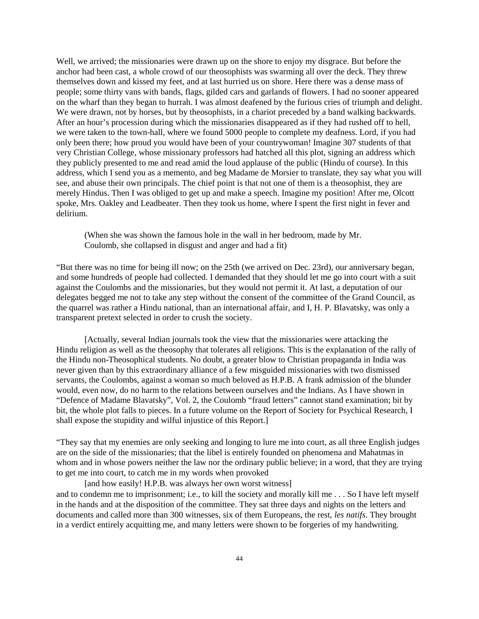Well, we arrived; the missionaries were drawn up on the shore to enjoy my disgrace. But before the anchor had been cast, a whole crowd of our theosophists was swarming all over the deck. They threw themselves down and kissed my feet, and at last hurried us on shore. Here there was a dense mass of people; some thirty vans with bands, flags, gilded cars and garlands of flowers. I had no sooner appeared on the wharf than they began to hurrah. I was almost deafened by the furious cries of triumph and delight. We were drawn, not by horses, but by theosophists, in a chariot preceded by a band walking backwards. After an hour's procession during which the missionaries disappeared as if they had rushed off to hell, we were taken to the town-hall, where we found 5000 people to complete my deafness. Lord, if you had only been there; how proud you would have been of your countrywoman! Imagine 307 students of that very Christian College, whose missionary professors had hatched all this plot, signing an address which they publicly presented to me and read amid the loud applause of the public (Hindu of course). In this address, which I send you as a memento, and beg Madame de Morsier to translate, they say what you will see, and abuse their own principals. The chief point is that not one of them is a theosophist, they are merely Hindus. Then I was obliged to get up and make a speech. Imagine my position! After me, Olcott spoke, Mrs. Oakley and Leadbeater. Then they took us home, where I spent the first night in fever and delirium.

(When she was shown the famous hole in the wall in her bedroom, made by Mr. Coulomb, she collapsed in disgust and anger and had a fit)

"But there was no time for being ill now; on the 25th (we arrived on Dec. 23rd), our anniversary began, and some hundreds of people had collected. I demanded that they should let me go into court with a suit against the Coulombs and the missionaries, but they would not permit it. At last, a deputation of our delegates begged me not to take any step without the consent of the committee of the Grand Council, as the quarrel was rather a Hindu national, than an international affair, and I, H. P. Blavatsky, was only a transparent pretext selected in order to crush the society.

[Actually, several Indian journals took the view that the missionaries were attacking the Hindu religion as well as the theosophy that tolerates all religions. This is the explanation of the rally of the Hindu non-Theosophical students. No doubt, a greater blow to Christian propaganda in India was never given than by this extraordinary alliance of a few misguided missionaries with two dismissed servants, the Coulombs, against a woman so much beloved as H.P.B. A frank admission of the blunder would, even now, do no harm to the relations between ourselves and the Indians. As I have shown in "Defence of Madame Blavatsky", Vol. 2, the Coulomb "fraud letters" cannot stand examination; bit by bit, the whole plot falls to pieces. In a future volume on the Report of Society for Psychical Research, I shall expose the stupidity and wilful injustice of this Report.]

"They say that my enemies are only seeking and longing to lure me into court, as all three English judges are on the side of the missionaries; that the libel is entirely founded on phenomena and Mahatmas in whom and in whose powers neither the law nor the ordinary public believe; in a word, that they are trying to get me into court, to catch me in my words when provoked

[and how easily! H.P.B. was always her own worst witness] and to condemn me to imprisonment; i.e., to kill the society and morally kill me . . . So I have left myself in the hands and at the disposition of the committee. They sat three days and nights on the letters and documents and called more than 300 witnesses, six of them Europeans, the rest, *les natifs*. They brought in a verdict entirely acquitting me, and many letters were shown to be forgeries of my handwriting.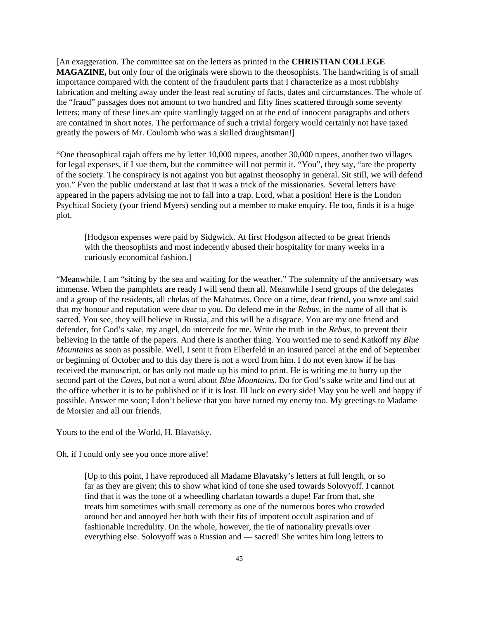[An exaggeration. The committee sat on the letters as printed in the **CHRISTIAN COLLEGE MAGAZINE,** but only four of the originals were shown to the theosophists. The handwriting is of small importance compared with the content of the fraudulent parts that I characterize as a most rubbishy fabrication and melting away under the least real scrutiny of facts, dates and circumstances. The whole of the "fraud" passages does not amount to two hundred and fifty lines scattered through some seventy letters; many of these lines are quite startlingly tagged on at the end of innocent paragraphs and others are contained in short notes. The performance of such a trivial forgery would certainly not have taxed greatly the powers of Mr. Coulomb who was a skilled draughtsman!]

"One theosophical rajah offers me by letter 10,000 rupees, another 30,000 rupees, another two villages for legal expenses, if I sue them, but the committee will not permit it. "You", they say, "are the property of the society. The conspiracy is not against you but against theosophy in general. Sit still, we will defend you." Even the public understand at last that it was a trick of the missionaries. Several letters have appeared in the papers advising me not to fall into a trap. Lord, what a position! Here is the London Psychical Society (your friend Myers) sending out a member to make enquiry. He too, finds it is a huge plot.

[Hodgson expenses were paid by Sidgwick. At first Hodgson affected to be great friends with the theosophists and most indecently abused their hospitality for many weeks in a curiously economical fashion.]

"Meanwhile, I am "sitting by the sea and waiting for the weather." The solemnity of the anniversary was immense. When the pamphlets are ready I will send them all. Meanwhile I send groups of the delegates and a group of the residents, all chelas of the Mahatmas. Once on a time, dear friend, you wrote and said that my honour and reputation were dear to you. Do defend me in the *Rebus*, in the name of all that is sacred. You see, they will believe in Russia, and this will be a disgrace. You are my one friend and defender, for God's sake, my angel, do intercede for me. Write the truth in the *Rebus*, to prevent their believing in the tattle of the papers. And there is another thing. You worried me to send Katkoff my *Blue Mountains* as soon as possible. Well, I sent it from Elberfeld in an insured parcel at the end of September or beginning of October and to this day there is not a word from him. I do not even know if he has received the manuscript, or has only not made up his mind to print. He is writing me to hurry up the second part of the *Caves*, but not a word about *Blue Mountains*. Do for God's sake write and find out at the office whether it is to be published or if it is lost. Ill luck on every side! May you be well and happy if possible. Answer me soon; I don't believe that you have turned my enemy too. My greetings to Madame de Morsier and all our friends.

Yours to the end of the World, H. Blavatsky.

Oh, if I could only see you once more alive!

[Up to this point, I have reproduced all Madame Blavatsky's letters at full length, or so far as they are given; this to show what kind of tone she used towards Solovyoff. I cannot find that it was the tone of a wheedling charlatan towards a dupe! Far from that, she treats him sometimes with small ceremony as one of the numerous bores who crowded around her and annoyed her both with their fits of impotent occult aspiration and of fashionable incredulity. On the whole, however, the tie of nationality prevails over everything else. Solovyoff was a Russian and — sacred! She writes him long letters to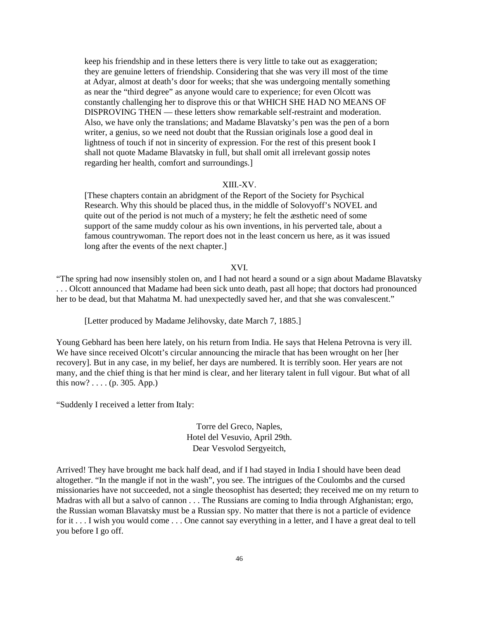keep his friendship and in these letters there is very little to take out as exaggeration; they are genuine letters of friendship. Considering that she was very ill most of the time at Adyar, almost at death's door for weeks; that she was undergoing mentally something as near the "third degree" as anyone would care to experience; for even Olcott was constantly challenging her to disprove this or that WHICH SHE HAD NO MEANS OF DISPROVING THEN — these letters show remarkable self-restraint and moderation. Also, we have only the translations; and Madame Blavatsky's pen was the pen of a born writer, a genius, so we need not doubt that the Russian originals lose a good deal in lightness of touch if not in sincerity of expression. For the rest of this present book I shall not quote Madame Blavatsky in full, but shall omit all irrelevant gossip notes regarding her health, comfort and surroundings.]

## XIII.-XV.

[These chapters contain an abridgment of the Report of the Society for Psychical Research. Why this should be placed thus, in the middle of Solovyoff's NOVEL and quite out of the period is not much of a mystery; he felt the æsthetic need of some support of the same muddy colour as his own inventions, in his perverted tale, about a famous countrywoman. The report does not in the least concern us here, as it was issued long after the events of the next chapter.]

### XVI.

"The spring had now insensibly stolen on, and I had not heard a sound or a sign about Madame Blavatsky . . . Olcott announced that Madame had been sick unto death, past all hope; that doctors had pronounced her to be dead, but that Mahatma M. had unexpectedly saved her, and that she was convalescent."

[Letter produced by Madame Jelihovsky, date March 7, 1885.]

Young Gebhard has been here lately, on his return from India. He says that Helena Petrovna is very ill. We have since received Olcott's circular announcing the miracle that has been wrought on her [her recovery]. But in any case, in my belief, her days are numbered. It is terribly soon. Her years are not many, and the chief thing is that her mind is clear, and her literary talent in full vigour. But what of all this now? .... (p. 305. App.)

"Suddenly I received a letter from Italy:

Torre del Greco, Naples, Hotel del Vesuvio, April 29th. Dear Vesvolod Sergyeitch,

Arrived! They have brought me back half dead, and if I had stayed in India I should have been dead altogether. "In the mangle if not in the wash", you see. The intrigues of the Coulombs and the cursed missionaries have not succeeded, not a single theosophist has deserted; they received me on my return to Madras with all but a salvo of cannon . . . The Russians are coming to India through Afghanistan; ergo, the Russian woman Blavatsky must be a Russian spy. No matter that there is not a particle of evidence for it . . . I wish you would come . . . One cannot say everything in a letter, and I have a great deal to tell you before I go off.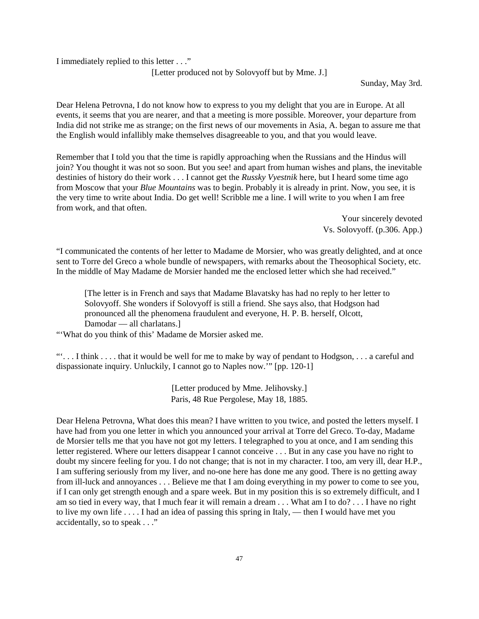I immediately replied to this letter . . ."

[Letter produced not by Solovyoff but by Mme. J.]

Sunday, May 3rd.

Dear Helena Petrovna, I do not know how to express to you my delight that you are in Europe. At all events, it seems that you are nearer, and that a meeting is more possible. Moreover, your departure from India did not strike me as strange; on the first news of our movements in Asia, A. began to assure me that the English would infallibly make themselves disagreeable to you, and that you would leave.

Remember that I told you that the time is rapidly approaching when the Russians and the Hindus will join? You thought it was not so soon. But you see! and apart from human wishes and plans, the inevitable destinies of history do their work . . . I cannot get the *Russky Vyestnik* here, but I heard some time ago from Moscow that your *Blue Mountains* was to begin. Probably it is already in print. Now, you see, it is the very time to write about India. Do get well! Scribble me a line. I will write to you when I am free from work, and that often.

> Your sincerely devoted Vs. Solovyoff. (p.306. App.)

"I communicated the contents of her letter to Madame de Morsier, who was greatly delighted, and at once sent to Torre del Greco a whole bundle of newspapers, with remarks about the Theosophical Society, etc. In the middle of May Madame de Morsier handed me the enclosed letter which she had received."

[The letter is in French and says that Madame Blavatsky has had no reply to her letter to Solovyoff. She wonders if Solovyoff is still a friend. She says also, that Hodgson had pronounced all the phenomena fraudulent and everyone, H. P. B. herself, Olcott, Damodar — all charlatans.]

"'What do you think of this' Madame de Morsier asked me.

"'. . . I think . . . . that it would be well for me to make by way of pendant to Hodgson, . . . a careful and dispassionate inquiry. Unluckily, I cannot go to Naples now.'" [pp. 120-1]

> [Letter produced by Mme. Jelihovsky.] Paris, 48 Rue Pergolese, May 18, 1885.

Dear Helena Petrovna, What does this mean? I have written to you twice, and posted the letters myself. I have had from you one letter in which you announced your arrival at Torre del Greco. To-day, Madame de Morsier tells me that you have not got my letters. I telegraphed to you at once, and I am sending this letter registered. Where our letters disappear I cannot conceive . . . But in any case you have no right to doubt my sincere feeling for you. I do not change; that is not in my character. I too, am very ill, dear H.P., I am suffering seriously from my liver, and no-one here has done me any good. There is no getting away from ill-luck and annoyances . . . Believe me that I am doing everything in my power to come to see you, if I can only get strength enough and a spare week. But in my position this is so extremely difficult, and I am so tied in every way, that I much fear it will remain a dream . . . What am I to do? . . . I have no right to live my own life . . . . I had an idea of passing this spring in Italy, — then I would have met you accidentally, so to speak . . ."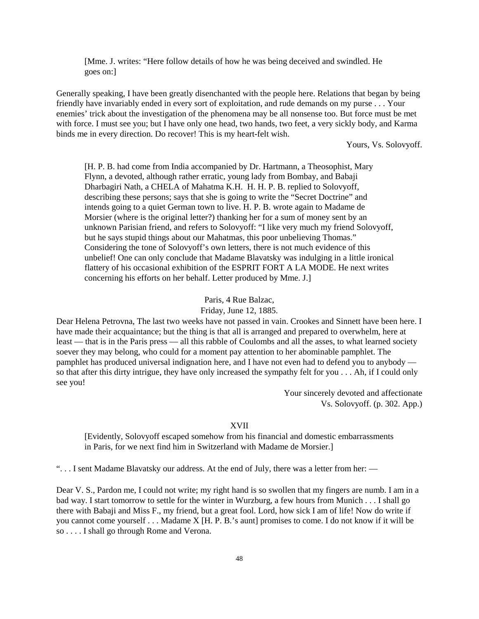[Mme. J. writes: "Here follow details of how he was being deceived and swindled. He goes on:]

Generally speaking, I have been greatly disenchanted with the people here. Relations that began by being friendly have invariably ended in every sort of exploitation, and rude demands on my purse . . . Your enemies' trick about the investigation of the phenomena may be all nonsense too. But force must be met with force. I must see you; but I have only one head, two hands, two feet, a very sickly body, and Karma binds me in every direction. Do recover! This is my heart-felt wish.

Yours, Vs. Solovyoff.

[H. P. B. had come from India accompanied by Dr. Hartmann, a Theosophist, Mary Flynn, a devoted, although rather erratic, young lady from Bombay, and Babaji Dharbagiri Nath, a CHELA of Mahatma K.H. H. H. P. B. replied to Solovyoff, describing these persons; says that she is going to write the "Secret Doctrine" and intends going to a quiet German town to live. H. P. B. wrote again to Madame de Morsier (where is the original letter?) thanking her for a sum of money sent by an unknown Parisian friend, and refers to Solovyoff: "I like very much my friend Solovyoff, but he says stupid things about our Mahatmas, this poor unbelieving Thomas." Considering the tone of Solovyoff's own letters, there is not much evidence of this unbelief! One can only conclude that Madame Blavatsky was indulging in a little ironical flattery of his occasional exhibition of the ESPRIT FORT A LA MODE. He next writes concerning his efforts on her behalf. Letter produced by Mme. J.]

### Paris, 4 Rue Balzac,

#### Friday, June 12, 1885.

Dear Helena Petrovna, The last two weeks have not passed in vain. Crookes and Sinnett have been here. I have made their acquaintance; but the thing is that all is arranged and prepared to overwhelm, here at least — that is in the Paris press — all this rabble of Coulombs and all the asses, to what learned society soever they may belong, who could for a moment pay attention to her abominable pamphlet. The pamphlet has produced universal indignation here, and I have not even had to defend you to anybody so that after this dirty intrigue, they have only increased the sympathy felt for you . . . Ah, if I could only see you!

> Your sincerely devoted and affectionate Vs. Solovyoff. (p. 302. App.)

## XVII

[Evidently, Solovyoff escaped somehow from his financial and domestic embarrassments in Paris, for we next find him in Switzerland with Madame de Morsier.]

". . . I sent Madame Blavatsky our address. At the end of July, there was a letter from her: —

Dear V. S., Pardon me, I could not write; my right hand is so swollen that my fingers are numb. I am in a bad way. I start tomorrow to settle for the winter in Wurzburg, a few hours from Munich . . . I shall go there with Babaji and Miss F., my friend, but a great fool. Lord, how sick I am of life! Now do write if you cannot come yourself . . . Madame X [H. P. B.'s aunt] promises to come. I do not know if it will be so . . . . I shall go through Rome and Verona.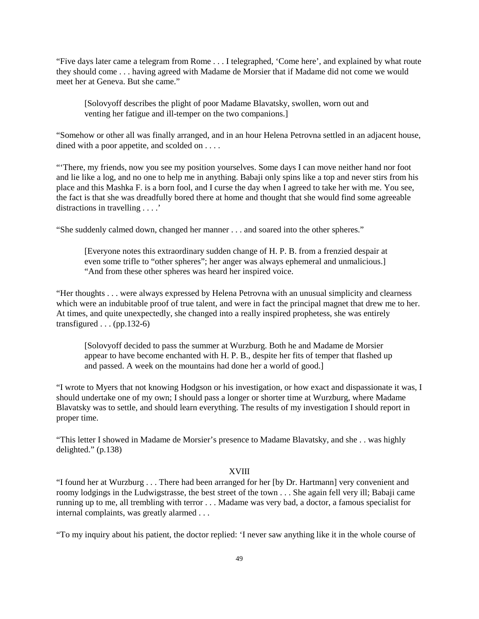"Five days later came a telegram from Rome . . . I telegraphed, 'Come here', and explained by what route they should come . . . having agreed with Madame de Morsier that if Madame did not come we would meet her at Geneva. But she came."

[Solovyoff describes the plight of poor Madame Blavatsky, swollen, worn out and venting her fatigue and ill-temper on the two companions.]

"Somehow or other all was finally arranged, and in an hour Helena Petrovna settled in an adjacent house, dined with a poor appetite, and scolded on . . . .

"There, my friends, now you see my position yourselves. Some days I can move neither hand nor foot and lie like a log, and no one to help me in anything. Babaji only spins like a top and never stirs from his place and this Mashka F. is a born fool, and I curse the day when I agreed to take her with me. You see, the fact is that she was dreadfully bored there at home and thought that she would find some agreeable distractions in travelling . . . .'

"She suddenly calmed down, changed her manner . . . and soared into the other spheres."

[Everyone notes this extraordinary sudden change of H. P. B. from a frenzied despair at even some trifle to "other spheres"; her anger was always ephemeral and unmalicious.] "And from these other spheres was heard her inspired voice.

"Her thoughts . . . were always expressed by Helena Petrovna with an unusual simplicity and clearness which were an indubitable proof of true talent, and were in fact the principal magnet that drew me to her. At times, and quite unexpectedly, she changed into a really inspired prophetess, she was entirely transfigured  $\ldots$  (pp. 132-6)

[Solovyoff decided to pass the summer at Wurzburg. Both he and Madame de Morsier appear to have become enchanted with H. P. B., despite her fits of temper that flashed up and passed. A week on the mountains had done her a world of good.]

"I wrote to Myers that not knowing Hodgson or his investigation, or how exact and dispassionate it was, I should undertake one of my own; I should pass a longer or shorter time at Wurzburg, where Madame Blavatsky was to settle, and should learn everything. The results of my investigation I should report in proper time.

"This letter I showed in Madame de Morsier's presence to Madame Blavatsky, and she . . was highly delighted." (p.138)

### XVIII

"I found her at Wurzburg . . . There had been arranged for her [by Dr. Hartmann] very convenient and roomy lodgings in the Ludwigstrasse, the best street of the town . . . She again fell very ill; Babaji came running up to me, all trembling with terror . . . Madame was very bad, a doctor, a famous specialist for internal complaints, was greatly alarmed . . .

"To my inquiry about his patient, the doctor replied: 'I never saw anything like it in the whole course of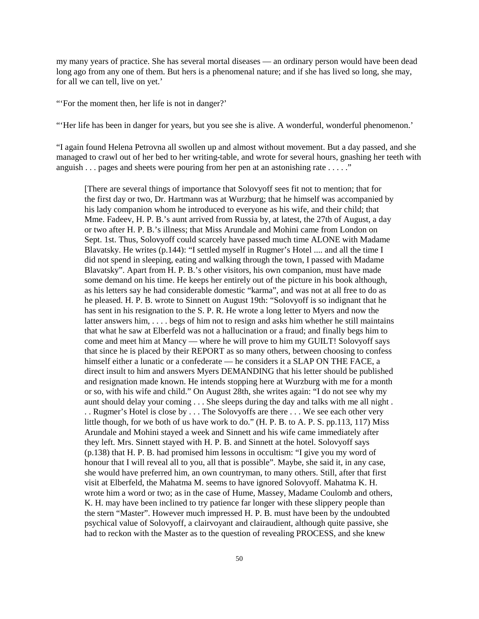my many years of practice. She has several mortal diseases — an ordinary person would have been dead long ago from any one of them. But hers is a phenomenal nature; and if she has lived so long, she may, for all we can tell, live on yet.'

"'For the moment then, her life is not in danger?'

"'Her life has been in danger for years, but you see she is alive. A wonderful, wonderful phenomenon.'

"I again found Helena Petrovna all swollen up and almost without movement. But a day passed, and she managed to crawl out of her bed to her writing-table, and wrote for several hours, gnashing her teeth with anguish . . . pages and sheets were pouring from her pen at an astonishing rate . . . . ."

[There are several things of importance that Solovyoff sees fit not to mention; that for the first day or two, Dr. Hartmann was at Wurzburg; that he himself was accompanied by his lady companion whom he introduced to everyone as his wife, and their child; that Mme. Fadeev, H. P. B.'s aunt arrived from Russia by, at latest, the 27th of August, a day or two after H. P. B.'s illness; that Miss Arundale and Mohini came from London on Sept. 1st. Thus, Solovyoff could scarcely have passed much time ALONE with Madame Blavatsky. He writes (p.144): "I settled myself in Rugmer's Hotel .... and all the time I did not spend in sleeping, eating and walking through the town, I passed with Madame Blavatsky". Apart from H. P. B.'s other visitors, his own companion, must have made some demand on his time. He keeps her entirely out of the picture in his book although, as his letters say he had considerable domestic "karma", and was not at all free to do as he pleased. H. P. B. wrote to Sinnett on August 19th: "Solovyoff is so indignant that he has sent in his resignation to the S. P. R. He wrote a long letter to Myers and now the latter answers him, . . . . begs of him not to resign and asks him whether he still maintains that what he saw at Elberfeld was not a hallucination or a fraud; and finally begs him to come and meet him at Mancy — where he will prove to him my GUILT! Solovyoff says that since he is placed by their REPORT as so many others, between choosing to confess himself either a lunatic or a confederate — he considers it a SLAP ON THE FACE, a direct insult to him and answers Myers DEMANDING that his letter should be published and resignation made known. He intends stopping here at Wurzburg with me for a month or so, with his wife and child." On August 28th, she writes again: "I do not see why my aunt should delay your coming . . . She sleeps during the day and talks with me all night . . . Rugmer's Hotel is close by . . . The Solovyoffs are there . . . We see each other very little though, for we both of us have work to do." (H. P. B. to A. P. S. pp.113, 117) Miss Arundale and Mohini stayed a week and Sinnett and his wife came immediately after they left. Mrs. Sinnett stayed with H. P. B. and Sinnett at the hotel. Solovyoff says (p.138) that H. P. B. had promised him lessons in occultism: "I give you my word of honour that I will reveal all to you, all that is possible". Maybe, she said it, in any case, she would have preferred him, an own countryman, to many others. Still, after that first visit at Elberfeld, the Mahatma M. seems to have ignored Solovyoff. Mahatma K. H. wrote him a word or two; as in the case of Hume, Massey, Madame Coulomb and others, K. H. may have been inclined to try patience far longer with these slippery people than the stern "Master". However much impressed H. P. B. must have been by the undoubted psychical value of Solovyoff, a clairvoyant and clairaudient, although quite passive, she had to reckon with the Master as to the question of revealing PROCESS, and she knew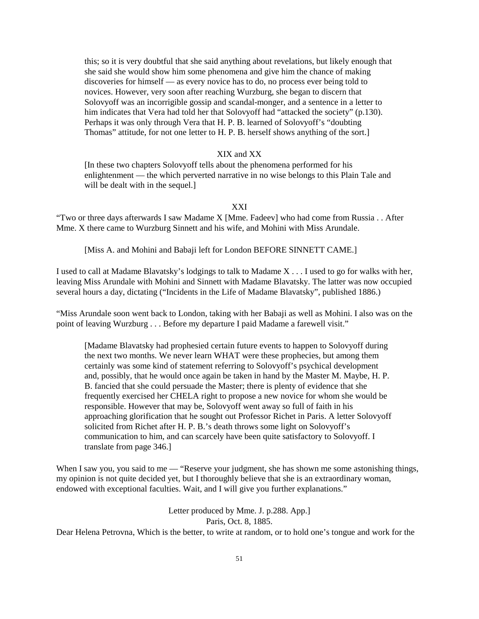this; so it is very doubtful that she said anything about revelations, but likely enough that she said she would show him some phenomena and give him the chance of making discoveries for himself — as every novice has to do, no process ever being told to novices. However, very soon after reaching Wurzburg, she began to discern that Solovyoff was an incorrigible gossip and scandal-monger, and a sentence in a letter to him indicates that Vera had told her that Solovyoff had "attacked the society" (p.130). Perhaps it was only through Vera that H. P. B. learned of Solovyoff's "doubting Thomas" attitude, for not one letter to H. P. B. herself shows anything of the sort.]

### XIX and XX

[In these two chapters Solovyoff tells about the phenomena performed for his enlightenment — the which perverted narrative in no wise belongs to this Plain Tale and will be dealt with in the sequel.]

#### XXI

"Two or three days afterwards I saw Madame X [Mme. Fadeev] who had come from Russia . . After Mme. X there came to Wurzburg Sinnett and his wife, and Mohini with Miss Arundale.

[Miss A. and Mohini and Babaji left for London BEFORE SINNETT CAME.]

I used to call at Madame Blavatsky's lodgings to talk to Madame X . . . I used to go for walks with her, leaving Miss Arundale with Mohini and Sinnett with Madame Blavatsky. The latter was now occupied several hours a day, dictating ("Incidents in the Life of Madame Blavatsky", published 1886.)

"Miss Arundale soon went back to London, taking with her Babaji as well as Mohini. I also was on the point of leaving Wurzburg . . . Before my departure I paid Madame a farewell visit."

[Madame Blavatsky had prophesied certain future events to happen to Solovyoff during the next two months. We never learn WHAT were these prophecies, but among them certainly was some kind of statement referring to Solovyoff's psychical development and, possibly, that he would once again be taken in hand by the Master M. Maybe, H. P. B. fancied that she could persuade the Master; there is plenty of evidence that she frequently exercised her CHELA right to propose a new novice for whom she would be responsible. However that may be, Solovyoff went away so full of faith in his approaching glorification that he sought out Professor Richet in Paris. A letter Solovyoff solicited from Richet after H. P. B.'s death throws some light on Solovyoff's communication to him, and can scarcely have been quite satisfactory to Solovyoff. I translate from page 346.]

When I saw you, you said to me — "Reserve your judgment, she has shown me some astonishing things, my opinion is not quite decided yet, but I thoroughly believe that she is an extraordinary woman, endowed with exceptional faculties. Wait, and I will give you further explanations."

> Letter produced by Mme. J. p.288. App.] Paris, Oct. 8, 1885.

Dear Helena Petrovna, Which is the better, to write at random, or to hold one's tongue and work for the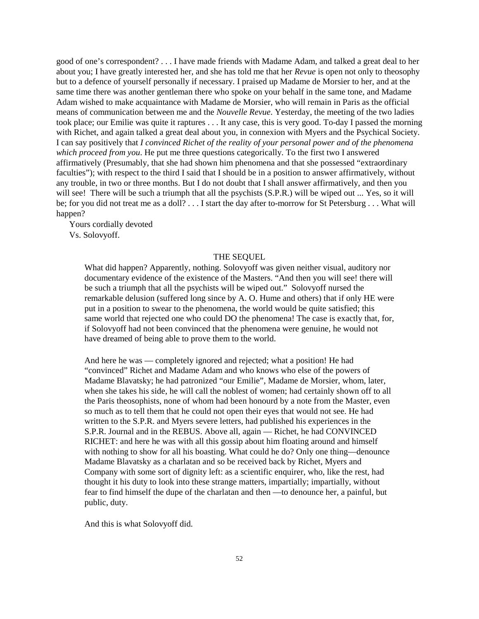good of one's correspondent? . . . I have made friends with Madame Adam, and talked a great deal to her about you; I have greatly interested her, and she has told me that her *Revue* is open not only to theosophy but to a defence of yourself personally if necessary. I praised up Madame de Morsier to her, and at the same time there was another gentleman there who spoke on your behalf in the same tone, and Madame Adam wished to make acquaintance with Madame de Morsier, who will remain in Paris as the official means of communication between me and the *Nouvelle Revue*. Yesterday, the meeting of the two ladies took place; our Emilie was quite it raptures . . . It any case, this is very good. To-day I passed the morning with Richet, and again talked a great deal about you, in connexion with Myers and the Psychical Society. I can say positively that *I convinced Richet of the reality of your personal power and of the phenomena which proceed from you*. He put me three questions categorically. To the first two I answered affirmatively (Presumably, that she had shown him phenomena and that she possessed "extraordinary faculties"); with respect to the third I said that I should be in a position to answer affirmatively, without any trouble, in two or three months. But I do not doubt that I shall answer affirmatively, and then you will see! There will be such a triumph that all the psychists (S.P.R.) will be wiped out ... Yes, so it will be; for you did not treat me as a doll? . . . I start the day after to-morrow for St Petersburg . . . What will happen?

 Yours cordially devoted Vs. Solovyoff.

### THE SEQUEL

What did happen? Apparently, nothing. Solovyoff was given neither visual, auditory nor documentary evidence of the existence of the Masters. "And then you will see! there will be such a triumph that all the psychists will be wiped out." Solovyoff nursed the remarkable delusion (suffered long since by A. O. Hume and others) that if only HE were put in a position to swear to the phenomena, the world would be quite satisfied; this same world that rejected one who could DO the phenomena! The case is exactly that, for, if Solovyoff had not been convinced that the phenomena were genuine, he would not have dreamed of being able to prove them to the world.

And here he was — completely ignored and rejected; what a position! He had "convinced" Richet and Madame Adam and who knows who else of the powers of Madame Blavatsky; he had patronized "our Emilie", Madame de Morsier, whom, later, when she takes his side, he will call the noblest of women; had certainly shown off to all the Paris theosophists, none of whom had been honourd by a note from the Master, even so much as to tell them that he could not open their eyes that would not see. He had written to the S.P.R. and Myers severe letters, had published his experiences in the S.P.R. Journal and in the REBUS. Above all, again — Richet, he had CONVINCED RICHET: and here he was with all this gossip about him floating around and himself with nothing to show for all his boasting. What could he do? Only one thing—denounce Madame Blavatsky as a charlatan and so be received back by Richet, Myers and Company with some sort of dignity left: as a scientific enquirer, who, like the rest, had thought it his duty to look into these strange matters, impartially; impartially, without fear to find himself the dupe of the charlatan and then —to denounce her, a painful, but public, duty.

And this is what Solovyoff did.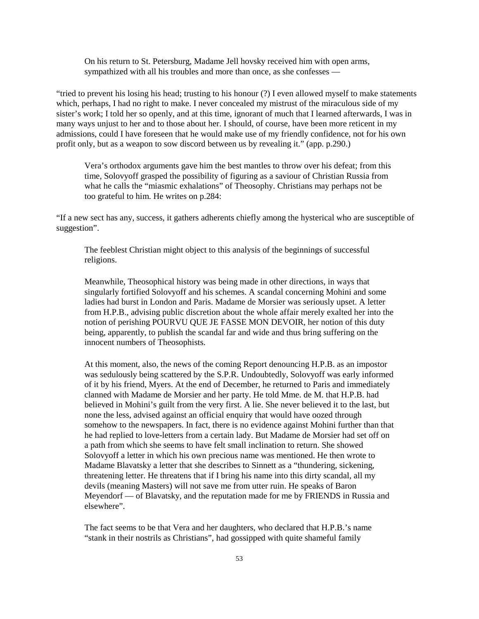On his return to St. Petersburg, Madame Jell hovsky received him with open arms, sympathized with all his troubles and more than once, as she confesses —

"tried to prevent his losing his head; trusting to his honour (?) I even allowed myself to make statements which, perhaps, I had no right to make. I never concealed my mistrust of the miraculous side of my sister's work; I told her so openly, and at this time, ignorant of much that I learned afterwards, I was in many ways unjust to her and to those about her. I should, of course, have been more reticent in my admissions, could I have foreseen that he would make use of my friendly confidence, not for his own profit only, but as a weapon to sow discord between us by revealing it." (app. p.290.)

Vera's orthodox arguments gave him the best mantles to throw over his defeat; from this time, Solovyoff grasped the possibility of figuring as a saviour of Christian Russia from what he calls the "miasmic exhalations" of Theosophy. Christians may perhaps not be too grateful to him. He writes on p.284:

"If a new sect has any, success, it gathers adherents chiefly among the hysterical who are susceptible of suggestion".

The feeblest Christian might object to this analysis of the beginnings of successful religions.

Meanwhile, Theosophical history was being made in other directions, in ways that singularly fortified Solovyoff and his schemes. A scandal concerning Mohini and some ladies had burst in London and Paris. Madame de Morsier was seriously upset. A letter from H.P.B., advising public discretion about the whole affair merely exalted her into the notion of perishing POURVU QUE JE FASSE MON DEVOIR, her notion of this duty being, apparently, to publish the scandal far and wide and thus bring suffering on the innocent numbers of Theosophists.

At this moment, also, the news of the coming Report denouncing H.P.B. as an impostor was sedulously being scattered by the S.P.R. Undoubtedly, Solovyoff was early informed of it by his friend, Myers. At the end of December, he returned to Paris and immediately clanned with Madame de Morsier and her party. He told Mme. de M. that H.P.B. had believed in Mohini's guilt from the very first. A lie. She never believed it to the last, but none the less, advised against an official enquiry that would have oozed through somehow to the newspapers. In fact, there is no evidence against Mohini further than that he had replied to love-letters from a certain lady. But Madame de Morsier had set off on a path from which she seems to have felt small inclination to return. She showed Solovyoff a letter in which his own precious name was mentioned. He then wrote to Madame Blavatsky a letter that she describes to Sinnett as a "thundering, sickening, threatening letter. He threatens that if I bring his name into this dirty scandal, all my devils (meaning Masters) will not save me from utter ruin. He speaks of Baron Meyendorf — of Blavatsky, and the reputation made for me by FRIENDS in Russia and elsewhere".

The fact seems to be that Vera and her daughters, who declared that H.P.B.'s name "stank in their nostrils as Christians", had gossipped with quite shameful family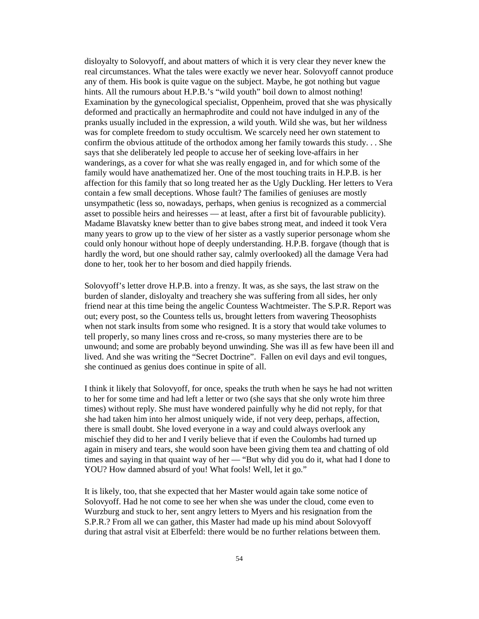disloyalty to Solovyoff, and about matters of which it is very clear they never knew the real circumstances. What the tales were exactly we never hear. Solovyoff cannot produce any of them. His book is quite vague on the subject. Maybe, he got nothing but vague hints. All the rumours about H.P.B.'s "wild youth" boil down to almost nothing! Examination by the gynecological specialist, Oppenheim, proved that she was physically deformed and practically an hermaphrodite and could not have indulged in any of the pranks usually included in the expression, a wild youth. Wild she was, but her wildness was for complete freedom to study occultism. We scarcely need her own statement to confirm the obvious attitude of the orthodox among her family towards this study. . . She says that she deliberately led people to accuse her of seeking love-affairs in her wanderings, as a cover for what she was really engaged in, and for which some of the family would have anathematized her. One of the most touching traits in H.P.B. is her affection for this family that so long treated her as the Ugly Duckling. Her letters to Vera contain a few small deceptions. Whose fault? The families of geniuses are mostly unsympathetic (less so, nowadays, perhaps, when genius is recognized as a commercial asset to possible heirs and heiresses — at least, after a first bit of favourable publicity). Madame Blavatsky knew better than to give babes strong meat, and indeed it took Vera many years to grow up to the view of her sister as a vastly superior personage whom she could only honour without hope of deeply understanding. H.P.B. forgave (though that is hardly the word, but one should rather say, calmly overlooked) all the damage Vera had done to her, took her to her bosom and died happily friends.

Solovyoff's letter drove H.P.B. into a frenzy. It was, as she says, the last straw on the burden of slander, disloyalty and treachery she was suffering from all sides, her only friend near at this time being the angelic Countess Wachtmeister. The S.P.R. Report was out; every post, so the Countess tells us, brought letters from wavering Theosophists when not stark insults from some who resigned. It is a story that would take volumes to tell properly, so many lines cross and re-cross, so many mysteries there are to be unwound; and some are probably beyond unwinding. She was ill as few have been ill and lived. And she was writing the "Secret Doctrine". Fallen on evil days and evil tongues, she continued as genius does continue in spite of all.

I think it likely that Solovyoff, for once, speaks the truth when he says he had not written to her for some time and had left a letter or two (she says that she only wrote him three times) without reply. She must have wondered painfully why he did not reply, for that she had taken him into her almost uniquely wide, if not very deep, perhaps, affection, there is small doubt. She loved everyone in a way and could always overlook any mischief they did to her and I verily believe that if even the Coulombs had turned up again in misery and tears, she would soon have been giving them tea and chatting of old times and saying in that quaint way of her — "But why did you do it, what had I done to YOU? How damned absurd of you! What fools! Well, let it go."

It is likely, too, that she expected that her Master would again take some notice of Solovyoff. Had he not come to see her when she was under the cloud, come even to Wurzburg and stuck to her, sent angry letters to Myers and his resignation from the S.P.R.? From all we can gather, this Master had made up his mind about Solovyoff during that astral visit at Elberfeld: there would be no further relations between them.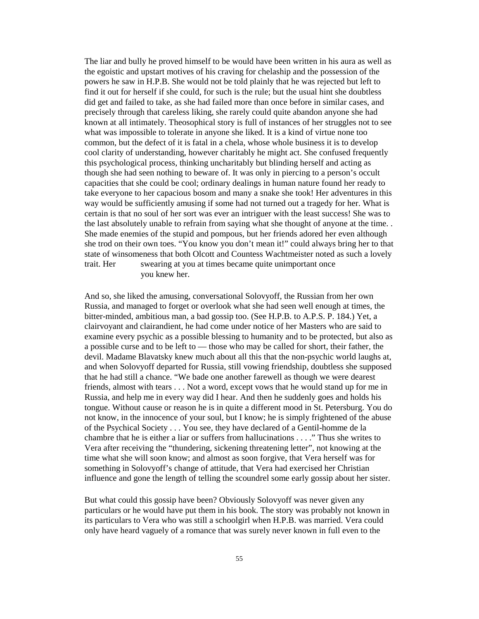The liar and bully he proved himself to be would have been written in his aura as well as the egoistic and upstart motives of his craving for chelaship and the possession of the powers he saw in H.P.B. She would not be told plainly that he was rejected but left to find it out for herself if she could, for such is the rule; but the usual hint she doubtless did get and failed to take, as she had failed more than once before in similar cases, and precisely through that careless liking, she rarely could quite abandon anyone she had known at all intimately. Theosophical story is full of instances of her struggles not to see what was impossible to tolerate in anyone she liked. It is a kind of virtue none too common, but the defect of it is fatal in a chela, whose whole business it is to develop cool clarity of understanding, however charitably he might act. She confused frequently this psychological process, thinking uncharitably but blinding herself and acting as though she had seen nothing to beware of. It was only in piercing to a person's occult capacities that she could be cool; ordinary dealings in human nature found her ready to take everyone to her capacious bosom and many a snake she took! Her adventures in this way would be sufficiently amusing if some had not turned out a tragedy for her. What is certain is that no soul of her sort was ever an intriguer with the least success! She was to the last absolutely unable to refrain from saying what she thought of anyone at the time. . She made enemies of the stupid and pompous, but her friends adored her even although she trod on their own toes. "You know you don't mean it!" could always bring her to that state of winsomeness that both Olcott and Countess Wachtmeister noted as such a lovely trait. Her swearing at you at times became quite unimportant once you knew her.

And so, she liked the amusing, conversational Solovyoff, the Russian from her own Russia, and managed to forget or overlook what she had seen well enough at times, the bitter-minded, ambitious man, a bad gossip too. (See H.P.B. to A.P.S. P. 184.) Yet, a clairvoyant and clairandient, he had come under notice of her Masters who are said to examine every psychic as a possible blessing to humanity and to be protected, but also as a possible curse and to be left to — those who may be called for short, their father, the devil. Madame Blavatsky knew much about all this that the non-psychic world laughs at, and when Solovyoff departed for Russia, still vowing friendship, doubtless she supposed that he had still a chance. "We bade one another farewell as though we were dearest friends, almost with tears . . . Not a word, except vows that he would stand up for me in Russia, and help me in every way did I hear. And then he suddenly goes and holds his tongue. Without cause or reason he is in quite a different mood in St. Petersburg. You do not know, in the innocence of your soul, but I know; he is simply frightened of the abuse of the Psychical Society . . . You see, they have declared of a Gentil-homme de la chambre that he is either a liar or suffers from hallucinations . . . ." Thus she writes to Vera after receiving the "thundering, sickening threatening letter", not knowing at the time what she will soon know; and almost as soon forgive, that Vera herself was for something in Solovyoff's change of attitude, that Vera had exercised her Christian influence and gone the length of telling the scoundrel some early gossip about her sister.

But what could this gossip have been? Obviously Solovyoff was never given any particulars or he would have put them in his book. The story was probably not known in its particulars to Vera who was still a schoolgirl when H.P.B. was married. Vera could only have heard vaguely of a romance that was surely never known in full even to the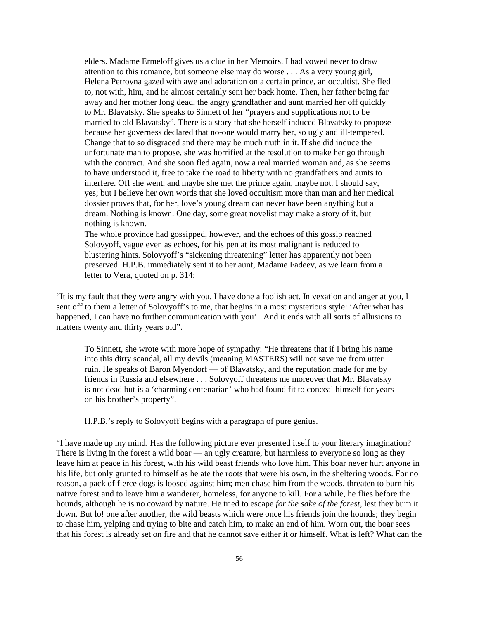elders. Madame Ermeloff gives us a clue in her Memoirs. I had vowed never to draw attention to this romance, but someone else may do worse . . . As a very young girl, Helena Petrovna gazed with awe and adoration on a certain prince, an occultist. She fled to, not with, him, and he almost certainly sent her back home. Then, her father being far away and her mother long dead, the angry grandfather and aunt married her off quickly to Mr. Blavatsky. She speaks to Sinnett of her "prayers and supplications not to be married to old Blavatsky". There is a story that she herself induced Blavatsky to propose because her governess declared that no-one would marry her, so ugly and ill-tempered. Change that to so disgraced and there may be much truth in it. If she did induce the unfortunate man to propose, she was horrified at the resolution to make her go through with the contract. And she soon fled again, now a real married woman and, as she seems to have understood it, free to take the road to liberty with no grandfathers and aunts to interfere. Off she went, and maybe she met the prince again, maybe not. I should say, yes; but I believe her own words that she loved occultism more than man and her medical dossier proves that, for her, love's young dream can never have been anything but a dream. Nothing is known. One day, some great novelist may make a story of it, but nothing is known.

The whole province had gossipped, however, and the echoes of this gossip reached Solovyoff, vague even as echoes, for his pen at its most malignant is reduced to blustering hints. Solovyoff's "sickening threatening" letter has apparently not been preserved. H.P.B. immediately sent it to her aunt, Madame Fadeev, as we learn from a letter to Vera, quoted on p. 314:

"It is my fault that they were angry with you. I have done a foolish act. In vexation and anger at you, I sent off to them a letter of Solovyoff's to me, that begins in a most mysterious style: 'After what has happened, I can have no further communication with you'. And it ends with all sorts of allusions to matters twenty and thirty years old".

To Sinnett, she wrote with more hope of sympathy: "He threatens that if I bring his name into this dirty scandal, all my devils (meaning MASTERS) will not save me from utter ruin. He speaks of Baron Myendorf — of Blavatsky, and the reputation made for me by friends in Russia and elsewhere . . . Solovyoff threatens me moreover that Mr. Blavatsky is not dead but is a 'charming centenarian' who had found fit to conceal himself for years on his brother's property".

H.P.B.'s reply to Solovyoff begins with a paragraph of pure genius.

"I have made up my mind. Has the following picture ever presented itself to your literary imagination? There is living in the forest a wild boar — an ugly creature, but harmless to everyone so long as they leave him at peace in his forest, with his wild beast friends who love him. This boar never hurt anyone in his life, but only grunted to himself as he ate the roots that were his own, in the sheltering woods. For no reason, a pack of fierce dogs is loosed against him; men chase him from the woods, threaten to burn his native forest and to leave him a wanderer, homeless, for anyone to kill. For a while, he flies before the hounds, although he is no coward by nature. He tried to escape *for the sake of the forest*, lest they burn it down. But lo! one after another, the wild beasts which were once his friends join the hounds; they begin to chase him, yelping and trying to bite and catch him, to make an end of him. Worn out, the boar sees that his forest is already set on fire and that he cannot save either it or himself. What is left? What can the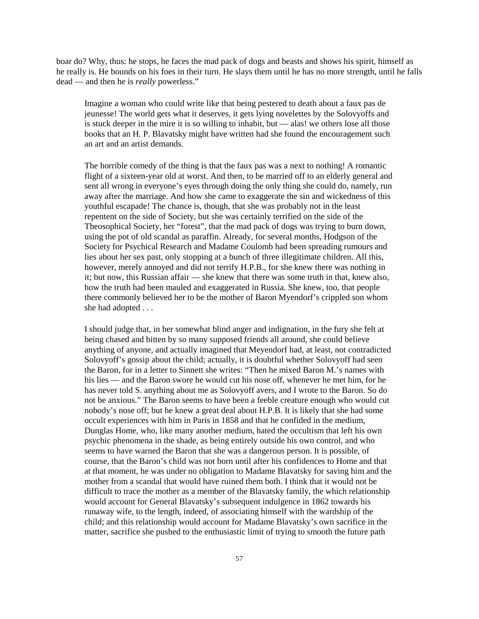boar do? Why, thus: he stops, he faces the mad pack of dogs and beasts and shows his spirit, himself as he really is. He bounds on his foes in their turn. He slays them until he has no more strength, until he falls dead — and then he is *really* powerless."

Imagine a woman who could write like that being pestered to death about a faux pas de jeunesse! The world gets what it deserves, it gets lying novelettes by the Solovyoffs and is stuck deeper in the mire it is so willing to inhabit, but — alas! we others lose all those books that an H. P. Blavatsky might have written had she found the encouragement such an art and an artist demands.

The horrible comedy of the thing is that the faux pas was a next to nothing! A romantic flight of a sixteen-year old at worst. And then, to be married off to an elderly general and sent all wrong in everyone's eyes through doing the only thing she could do, namely, run away after the marriage. And how she came to exaggerate the sin and wickedness of this youthful escapade! The chance is, though, that she was probably not in the least repentent on the side of Society, but she was certainly terrified on the side of the Theosophical Society, her "forest", that the mad pack of dogs was trying to burn down, using the pot of old scandal as paraffin. Already, for several months, Hodgson of the Society for Psychical Research and Madame Coulomb had been spreading rumours and lies about her sex past, only stopping at a bunch of three illegitimate children. All this, however, merely annoyed and did not terrify H.P.B., for she knew there was nothing in it; but now, this Russian affair — she knew that there was some truth in that, knew also, how the truth had been mauled and exaggerated in Russia. She knew, too, that people there commonly believed her to be the mother of Baron Myendorf's crippled son whom she had adopted . . .

I should judge that, in her somewhat blind anger and indignation, in the fury she felt at being chased and bitten by so many supposed friends all around, she could believe anything of anyone, and actually imagined that Meyendorf had, at least, not contradicted Solovyoff's gossip about the child; actually, it is doubtful whether Solovyoff had seen the Baron, for in a letter to Sinnett she writes: "Then he mixed Baron M.'s names with his lies — and the Baron swore he would cut his nose off, whenever he met him, for he has never told S. anything about me as Solovyoff avers, and I wrote to the Baron. So do not be anxious." The Baron seems to have been a feeble creature enough who would cut nobody's nose off; but he knew a great deal about H.P.B. It is likely that she had some occult experiences with him in Paris in 1858 and that he confided in the medium, Dunglas Home, who, like many another medium, hated the occultism that left his own psychic phenomena in the shade, as being entirely outside his own control, and who seems to have warned the Baron that she was a dangerous person. It is possible, of course, that the Baron's child was not born until after his confidences to Home and that at that moment, he was under no obligation to Madame Blavatsky for saving him and the mother from a scandal that would have ruined them both. I think that it would not be difficult to trace the mother as a member of the Blavatsky family, the which relationship would account for General Blavatsky's subsequent indulgence in 1862 towards his runaway wife, to the length, indeed, of associating himself with the wardship of the child; and this relationship would account for Madame Blavatsky's own sacrifice in the matter, sacrifice she pushed to the enthusiastic limit of trying to smooth the future path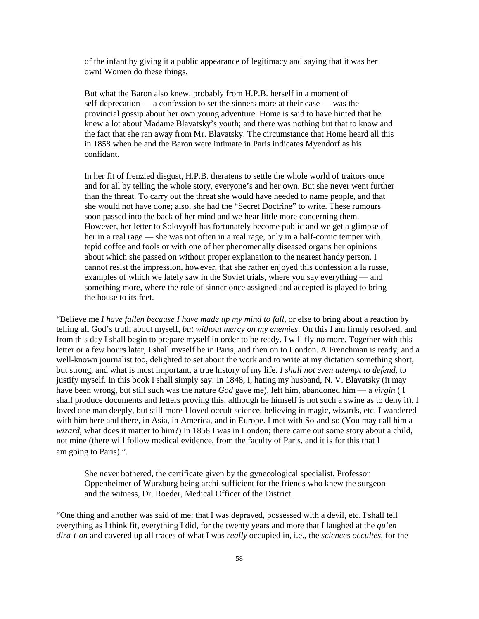of the infant by giving it a public appearance of legitimacy and saying that it was her own! Women do these things.

But what the Baron also knew, probably from H.P.B. herself in a moment of self-deprecation — a confession to set the sinners more at their ease — was the provincial gossip about her own young adventure. Home is said to have hinted that he knew a lot about Madame Blavatsky's youth; and there was nothing but that to know and the fact that she ran away from Mr. Blavatsky. The circumstance that Home heard all this in 1858 when he and the Baron were intimate in Paris indicates Myendorf as his confidant.

In her fit of frenzied disgust, H.P.B. theratens to settle the whole world of traitors once and for all by telling the whole story, everyone's and her own. But she never went further than the threat. To carry out the threat she would have needed to name people, and that she would not have done; also, she had the "Secret Doctrine" to write. These rumours soon passed into the back of her mind and we hear little more concerning them. However, her letter to Solovyoff has fortunately become public and we get a glimpse of her in a real rage — she was not often in a real rage, only in a half-comic temper with tepid coffee and fools or with one of her phenomenally diseased organs her opinions about which she passed on without proper explanation to the nearest handy person. I cannot resist the impression, however, that she rather enjoyed this confession a la russe, examples of which we lately saw in the Soviet trials, where you say everything — and something more, where the role of sinner once assigned and accepted is played to bring the house to its feet.

"Believe me *I have fallen because I have made up my mind to fall*, or else to bring about a reaction by telling all God's truth about myself, *but without mercy on my enemies*. On this I am firmly resolved, and from this day I shall begin to prepare myself in order to be ready. I will fly no more. Together with this letter or a few hours later, I shall myself be in Paris, and then on to London. A Frenchman is ready, and a well-known journalist too, delighted to set about the work and to write at my dictation something short, but strong, and what is most important, a true history of my life. *I shall not even attempt to defend*, to justify myself. In this book I shall simply say: In 1848, I, hating my husband, N. V. Blavatsky (it may have been wrong, but still such was the nature *God* gave me), left him, abandoned him — a *virgin* ( I shall produce documents and letters proving this, although he himself is not such a swine as to deny it). I loved one man deeply, but still more I loved occult science, believing in magic, wizards, etc. I wandered with him here and there, in Asia, in America, and in Europe. I met with So-and-so (You may call him a *wizard*, what does it matter to him?) In 1858 I was in London; there came out some story about a child, not mine (there will follow medical evidence, from the faculty of Paris, and it is for this that I am going to Paris).".

She never bothered, the certificate given by the gynecological specialist, Professor Oppenheimer of Wurzburg being archi-sufficient for the friends who knew the surgeon and the witness, Dr. Roeder, Medical Officer of the District.

"One thing and another was said of me; that I was depraved, possessed with a devil, etc. I shall tell everything as I think fit, everything I did, for the twenty years and more that I laughed at the *qu'en dira-t-on* and covered up all traces of what I was *really* occupied in, i.e., the *sciences occultes*, for the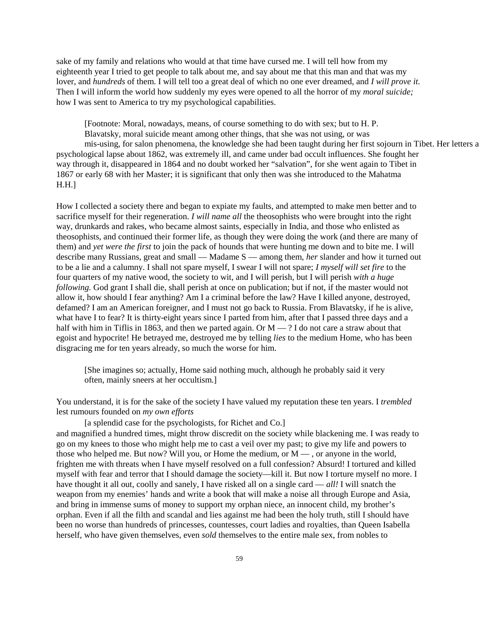sake of my family and relations who would at that time have cursed me. I will tell how from my eighteenth year I tried to get people to talk about me, and say about me that this man and that was my lover, and *hundreds* of them. I will tell too a great deal of which no one ever dreamed, and *I will prove it.* Then I will inform the world how suddenly my eyes were opened to all the horror of my *moral suicide;* how I was sent to America to try my psychological capabilities.

[Footnote: Moral, nowadays, means, of course something to do with sex; but to H. P. Blavatsky, moral suicide meant among other things, that she was not using, or was mis-using, for salon phenomena, the knowledge she had been taught during her first sojourn in Tibet. Her letters a psychological lapse about 1862, was extremely ill, and came under bad occult influences. She fought her way through it, disappeared in 1864 and no doubt worked her "salvation", for she went again to Tibet in 1867 or early 68 with her Master; it is significant that only then was she introduced to the Mahatma H.H.]

How I collected a society there and began to expiate my faults, and attempted to make men better and to sacrifice myself for their regeneration. *I will name all* the theosophists who were brought into the right way, drunkards and rakes, who became almost saints, especially in India, and those who enlisted as theosophists, and continued their former life, as though they were doing the work (and there are many of them) and *yet were the first* to join the pack of hounds that were hunting me down and to bite me. I will describe many Russians, great and small — Madame S — among them, *her* slander and how it turned out to be a lie and a calumny. I shall not spare myself, I swear I will not spare; *I myself will set fire* to the four quarters of my native wood, the society to wit, and I will perish, but I will perish *with a huge following.* God grant I shall die, shall perish at once on publication; but if not, if the master would not allow it, how should I fear anything? Am I a criminal before the law? Have I killed anyone, destroyed, defamed? I am an American foreigner, and I must not go back to Russia. From Blavatsky, if he is alive, what have I to fear? It is thirty-eight years since I parted from him, after that I passed three days and a half with him in Tiflis in 1863, and then we parted again. Or  $M - ?$  I do not care a straw about that egoist and hypocrite! He betrayed me, destroyed me by telling *lies* to the medium Home, who has been disgracing me for ten years already, so much the worse for him.

[She imagines so; actually, Home said nothing much, although he probably said it very often, mainly sneers at her occultism.]

You understand, it is for the sake of the society I have valued my reputation these ten years. I *trembled* lest rumours founded on *my own efforts*

[a splendid case for the psychologists, for Richet and Co.]

and magnified a hundred times, might throw discredit on the society while blackening me. I was ready to go on my knees to those who might help me to cast a veil over my past; to give my life and powers to those who helped me. But now? Will you, or Home the medium, or  $M -$ , or anyone in the world, frighten me with threats when I have myself resolved on a full confession? Absurd! I tortured and killed myself with fear and terror that I should damage the society—kill it. But now I torture myself no more. I have thought it all out, coolly and sanely, I have risked all on a single card — *all!* I will snatch the weapon from my enemies' hands and write a book that will make a noise all through Europe and Asia, and bring in immense sums of money to support my orphan niece, an innocent child, my brother's orphan. Even if all the filth and scandal and lies against me had been the holy truth, still I should have been no worse than hundreds of princesses, countesses, court ladies and royalties, than Queen Isabella herself, who have given themselves, even *sold* themselves to the entire male sex, from nobles to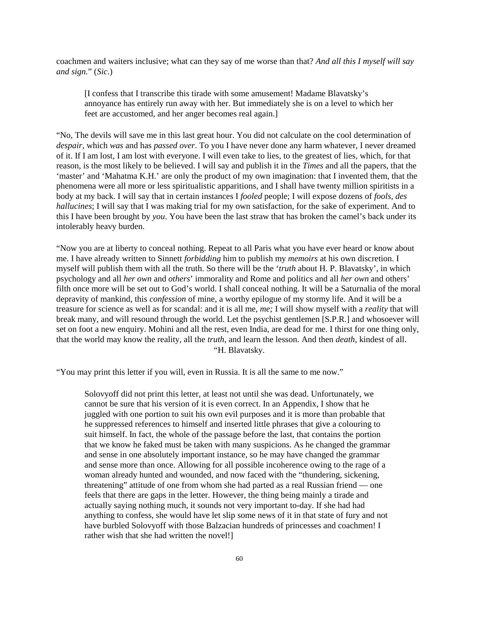coachmen and waiters inclusive; what can they say of me worse than that? *And all this I myself will say and sign.*" (*Sic*.)

[I confess that I transcribe this tirade with some amusement! Madame Blavatsky's annoyance has entirely run away with her. But immediately she is on a level to which her feet are accustomed, and her anger becomes real again.]

"No, The devils will save me in this last great hour. You did not calculate on the cool determination of *despair*, which *was* and has *passed over*. To you I have never done any harm whatever, I never dreamed of it. If I am lost, I am lost with everyone. I will even take to lies, to the greatest of lies, which, for that reason, is the most likely to be believed. I will say and publish it in the *Times* and all the papers, that the 'master' and 'Mahatma K.H.' are only the product of my own imagination: that I invented them, that the phenomena were all more or less spiritualistic apparitions, and I shall have twenty million spiritists in a body at my back. I will say that in certain instances I *fooled* people; I will expose dozens of *fools, des hallucines*; I will say that I was making trial for my own satisfaction, for the sake of experiment. And to this I have been brought by *you*. You have been the last straw that has broken the camel's back under its intolerably heavy burden.

"Now you are at liberty to conceal nothing. Repeat to all Paris what you have ever heard or know about me. I have already written to Sinnett *forbidding* him to publish my *memoirs* at his own discretion. I myself will publish them with all the truth. So there will be the '*truth* about H. P. Blavatsky', in which psychology and all *her own* and *others*' immorality and Rome and politics and all *her own* and others' filth once more will be set out to God's world. I shall conceal nothing. It will be a Saturnalia of the moral depravity of mankind, this *confession* of mine, a worthy epilogue of my stormy life. And it will be a treasure for science as well as for scandal: and it is all me, *me;* I will show myself with a *reality* that will break many, and will resound through the world. Let the psychist gentlemen [S.P.R.] and whosoever will set on foot a new enquiry. Mohini and all the rest, even India, are dead for me. I thirst for one thing only, that the world may know the reality, all the *truth*, and learn the lesson. And then *death*, kindest of all. "H. Blavatsky.

"You may print this letter if you will, even in Russia. It is all the same to me now."

Solovyoff did not print this letter, at least not until she was dead. Unfortunately, we cannot be sure that his version of it is even correct. In an Appendix, I show that he juggled with one portion to suit his own evil purposes and it is more than probable that he suppressed references to himself and inserted little phrases that give a colouring to suit himself. In fact, the whole of the passage before the last, that contains the portion that we know he faked must be taken with many suspicions. As he changed the grammar and sense in one absolutely important instance, so he may have changed the grammar and sense more than once. Allowing for all possible incoherence owing to the rage of a woman already hunted and wounded, and now faced with the "thundering, sickening, threatening" attitude of one from whom she had parted as a real Russian friend — one feels that there are gaps in the letter. However, the thing being mainly a tirade and actually saying nothing much, it sounds not very important to-day. If she had had anything to confess, she would have let slip some news of it in that state of fury and not have burbled Solovyoff with those Balzacian hundreds of princesses and coachmen! I rather wish that she had written the novel!]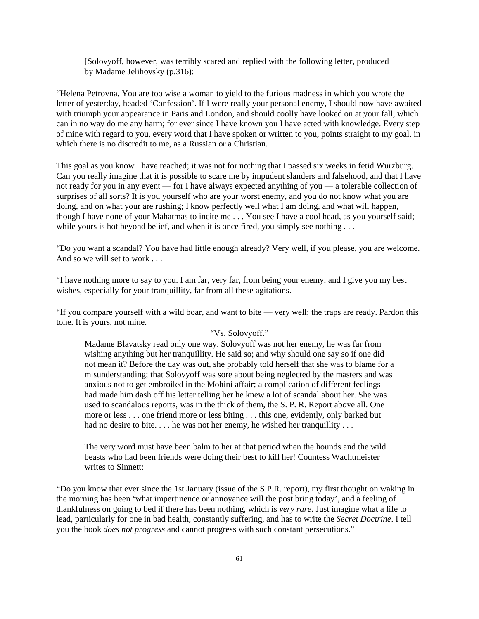[Solovyoff, however, was terribly scared and replied with the following letter, produced by Madame Jelihovsky (p.316):

"Helena Petrovna, You are too wise a woman to yield to the furious madness in which you wrote the letter of yesterday, headed 'Confession'. If I were really your personal enemy, I should now have awaited with triumph your appearance in Paris and London, and should coolly have looked on at your fall, which can in no way do me any harm; for ever since I have known you I have acted with knowledge. Every step of mine with regard to you, every word that I have spoken or written to you, points straight to my goal, in which there is no discredit to me, as a Russian or a Christian.

This goal as you know I have reached; it was not for nothing that I passed six weeks in fetid Wurzburg. Can you really imagine that it is possible to scare me by impudent slanders and falsehood, and that I have not ready for you in any event — for I have always expected anything of you — a tolerable collection of surprises of all sorts? It is you yourself who are your worst enemy, and you do not know what you are doing, and on what your are rushing; I know perfectly well what I am doing, and what will happen, though I have none of your Mahatmas to incite me . . . You see I have a cool head, as you yourself said; while yours is hot beyond belief, and when it is once fired, you simply see nothing ...

"Do you want a scandal? You have had little enough already? Very well, if you please, you are welcome. And so we will set to work . . .

"I have nothing more to say to you. I am far, very far, from being your enemy, and I give you my best wishes, especially for your tranquillity, far from all these agitations.

"If you compare yourself with a wild boar, and want to bite — very well; the traps are ready. Pardon this tone. It is yours, not mine.

# "Vs. Solovyoff."

Madame Blavatsky read only one way. Solovyoff was not her enemy, he was far from wishing anything but her tranquillity. He said so; and why should one say so if one did not mean it? Before the day was out, she probably told herself that she was to blame for a misunderstanding; that Solovyoff was sore about being neglected by the masters and was anxious not to get embroiled in the Mohini affair; a complication of different feelings had made him dash off his letter telling her he knew a lot of scandal about her. She was used to scandalous reports, was in the thick of them, the S. P. R. Report above all. One more or less . . . one friend more or less biting . . . this one, evidently, only barked but had no desire to bite. . . . he was not her enemy, he wished her tranquillity . . .

The very word must have been balm to her at that period when the hounds and the wild beasts who had been friends were doing their best to kill her! Countess Wachtmeister writes to Sinnett:

"Do you know that ever since the 1st January (issue of the S.P.R. report), my first thought on waking in the morning has been 'what impertinence or annoyance will the post bring today', and a feeling of thankfulness on going to bed if there has been nothing, which is *very rare*. Just imagine what a life to lead, particularly for one in bad health, constantly suffering, and has to write the *Secret Doctrine*. I tell you the book *does not progress* and cannot progress with such constant persecutions."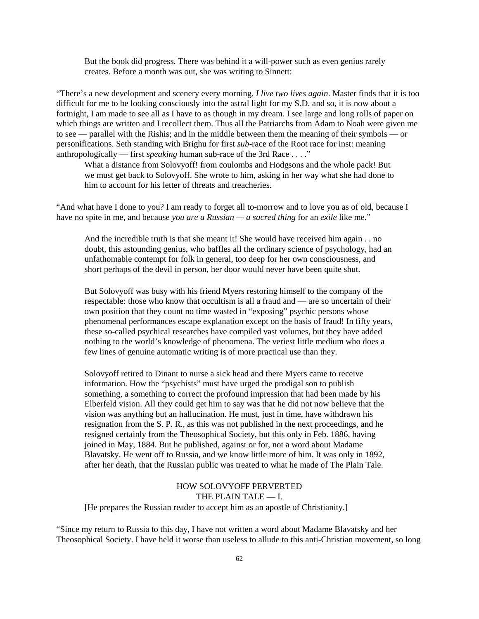But the book did progress. There was behind it a will-power such as even genius rarely creates. Before a month was out, she was writing to Sinnett:

"There's a new development and scenery every morning. *I live two lives again*. Master finds that it is too difficult for me to be looking consciously into the astral light for my S.D. and so, it is now about a fortnight, I am made to see all as I have to as though in my dream. I see large and long rolls of paper on which things are written and I recollect them. Thus all the Patriarchs from Adam to Noah were given me to see — parallel with the Rishis; and in the middle between them the meaning of their symbols — or personifications. Seth standing with Brighu for first *sub*-race of the Root race for inst: meaning anthropologically — first *speaking* human sub-race of the 3rd Race . . . ."

What a distance from Solovyoff! from coulombs and Hodgsons and the whole pack! But we must get back to Solovyoff. She wrote to him, asking in her way what she had done to him to account for his letter of threats and treacheries.

"And what have I done to you? I am ready to forget all to-morrow and to love you as of old, because I have no spite in me, and because *you are a Russian — a sacred thing* for an *exile* like me."

And the incredible truth is that she meant it! She would have received him again . . no doubt, this astounding genius, who baffles all the ordinary science of psychology, had an unfathomable contempt for folk in general, too deep for her own consciousness, and short perhaps of the devil in person, her door would never have been quite shut.

But Solovyoff was busy with his friend Myers restoring himself to the company of the respectable: those who know that occultism is all a fraud and — are so uncertain of their own position that they count no time wasted in "exposing" psychic persons whose phenomenal performances escape explanation except on the basis of fraud! In fifty years, these so-called psychical researches have compiled vast volumes, but they have added nothing to the world's knowledge of phenomena. The veriest little medium who does a few lines of genuine automatic writing is of more practical use than they.

Solovyoff retired to Dinant to nurse a sick head and there Myers came to receive information. How the "psychists" must have urged the prodigal son to publish something, a something to correct the profound impression that had been made by his Elberfeld vision. All they could get him to say was that he did not now believe that the vision was anything but an hallucination. He must, just in time, have withdrawn his resignation from the S. P. R., as this was not published in the next proceedings, and he resigned certainly from the Theosophical Society, but this only in Feb. 1886, having joined in May, 1884. But he published, against or for, not a word about Madame Blavatsky. He went off to Russia, and we know little more of him. It was only in 1892, after her death, that the Russian public was treated to what he made of The Plain Tale.

## HOW SOLOVYOFF PERVERTED THE PLAIN TALE — I.

[He prepares the Russian reader to accept him as an apostle of Christianity.]

"Since my return to Russia to this day, I have not written a word about Madame Blavatsky and her Theosophical Society. I have held it worse than useless to allude to this anti-Christian movement, so long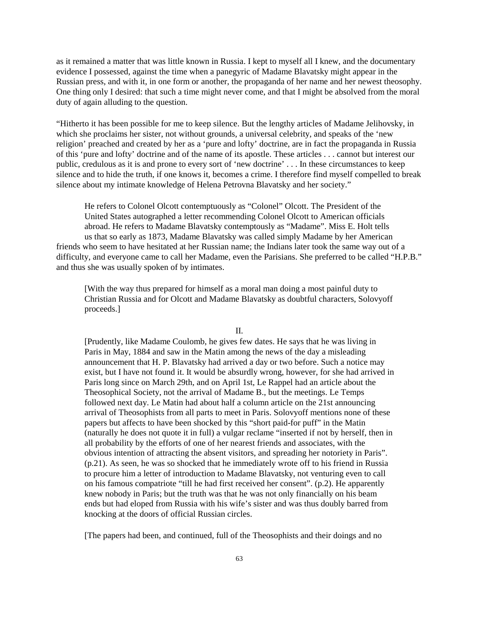as it remained a matter that was little known in Russia. I kept to myself all I knew, and the documentary evidence I possessed, against the time when a panegyric of Madame Blavatsky might appear in the Russian press, and with it, in one form or another, the propaganda of her name and her newest theosophy. One thing only I desired: that such a time might never come, and that I might be absolved from the moral duty of again alluding to the question.

"Hitherto it has been possible for me to keep silence. But the lengthy articles of Madame Jelihovsky, in which she proclaims her sister, not without grounds, a universal celebrity, and speaks of the 'new religion' preached and created by her as a 'pure and lofty' doctrine, are in fact the propaganda in Russia of this 'pure and lofty' doctrine and of the name of its apostle. These articles . . . cannot but interest our public, credulous as it is and prone to every sort of 'new doctrine' . . . In these circumstances to keep silence and to hide the truth, if one knows it, becomes a crime. I therefore find myself compelled to break silence about my intimate knowledge of Helena Petrovna Blavatsky and her society."

He refers to Colonel Olcott contemptuously as "Colonel" Olcott. The President of the United States autographed a letter recommending Colonel Olcott to American officials abroad. He refers to Madame Blavatsky contemptously as "Madame". Miss E. Holt tells us that so early as 1873, Madame Blavatsky was called simply Madame by her American friends who seem to have hesitated at her Russian name; the Indians later took the same way out of a difficulty, and everyone came to call her Madame, even the Parisians. She preferred to be called "H.P.B." and thus she was usually spoken of by intimates.

[With the way thus prepared for himself as a moral man doing a most painful duty to Christian Russia and for Olcott and Madame Blavatsky as doubtful characters, Solovyoff proceeds.]

 $\mathbf{I}$ 

[Prudently, like Madame Coulomb, he gives few dates. He says that he was living in Paris in May, 1884 and saw in the Matin among the news of the day a misleading announcement that H. P. Blavatsky had arrived a day or two before. Such a notice may exist, but I have not found it. It would be absurdly wrong, however, for she had arrived in Paris long since on March 29th, and on April 1st, Le Rappel had an article about the Theosophical Society, not the arrival of Madame B., but the meetings. Le Temps followed next day. Le Matin had about half a column article on the 21st announcing arrival of Theosophists from all parts to meet in Paris. Solovyoff mentions none of these papers but affects to have been shocked by this "short paid-for puff" in the Matin (naturally he does not quote it in full) a vulgar reclame "inserted if not by herself, then in all probability by the efforts of one of her nearest friends and associates, with the obvious intention of attracting the absent visitors, and spreading her notoriety in Paris". (p.21). As seen, he was so shocked that he immediately wrote off to his friend in Russia to procure him a letter of introduction to Madame Blavatsky, not venturing even to call on his famous compatriote "till he had first received her consent". (p.2). He apparently knew nobody in Paris; but the truth was that he was not only financially on his beam ends but had eloped from Russia with his wife's sister and was thus doubly barred from knocking at the doors of official Russian circles.

[The papers had been, and continued, full of the Theosophists and their doings and no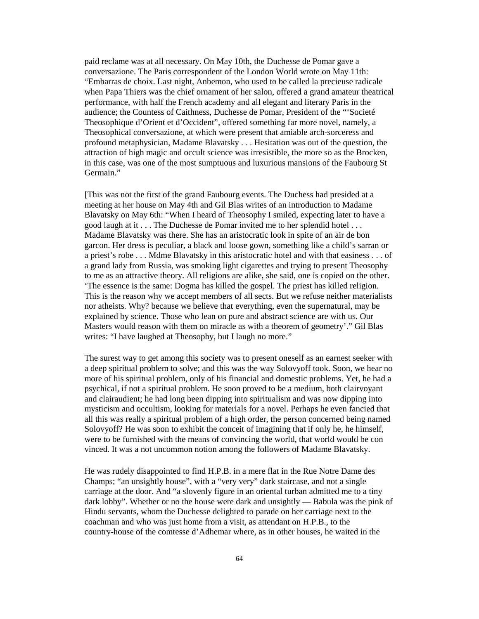paid reclame was at all necessary. On May 10th, the Duchesse de Pomar gave a conversazione. The Paris correspondent of the London World wrote on May 11th: "Embarras de choix. Last night, Anbemon, who used to be called la precieuse radicale when Papa Thiers was the chief ornament of her salon, offered a grand amateur theatrical performance, with half the French academy and all elegant and literary Paris in the audience; the Countess of Caithness, Duchesse de Pomar, President of the "'Societé Theosophique d'Orient et d'Occident", offered something far more novel, namely, a Theosophical conversazione, at which were present that amiable arch-sorceress and profound metaphysician, Madame Blavatsky . . . Hesitation was out of the question, the attraction of high magic and occult science was irresistible, the more so as the Brocken, in this case, was one of the most sumptuous and luxurious mansions of the Faubourg St Germain."

[This was not the first of the grand Faubourg events. The Duchess had presided at a meeting at her house on May 4th and Gil Blas writes of an introduction to Madame Blavatsky on May 6th: "When I heard of Theosophy I smiled, expecting later to have a good laugh at it . . . The Duchesse de Pomar invited me to her splendid hotel . . . Madame Blavatsky was there. She has an aristocratic look in spite of an air de bon garcon. Her dress is peculiar, a black and loose gown, something like a child's sarran or a priest's robe . . . Mdme Blavatsky in this aristocratic hotel and with that easiness . . . of a grand lady from Russia, was smoking light cigarettes and trying to present Theosophy to me as an attractive theory. All religions are alike, she said, one is copied on the other. 'The essence is the same: Dogma has killed the gospel. The priest has killed religion. This is the reason why we accept members of all sects. But we refuse neither materialists nor atheists. Why? because we believe that everything, even the supernatural, may be explained by science. Those who lean on pure and abstract science are with us. Our Masters would reason with them on miracle as with a theorem of geometry'." Gil Blas writes: "I have laughed at Theosophy, but I laugh no more."

The surest way to get among this society was to present oneself as an earnest seeker with a deep spiritual problem to solve; and this was the way Solovyoff took. Soon, we hear no more of his spiritual problem, only of his financial and domestic problems. Yet, he had a psychical, if not a spiritual problem. He soon proved to be a medium, both clairvoyant and clairaudient; he had long been dipping into spiritualism and was now dipping into mysticism and occultism, looking for materials for a novel. Perhaps he even fancied that all this was really a spiritual problem of a high order, the person concerned being named Solovyoff? He was soon to exhibit the conceit of imagining that if only he, he himself, were to be furnished with the means of convincing the world, that world would be con vinced. It was a not uncommon notion among the followers of Madame Blavatsky.

He was rudely disappointed to find H.P.B. in a mere flat in the Rue Notre Dame des Champs; "an unsightly house", with a "very very" dark staircase, and not a single carriage at the door. And "a slovenly figure in an oriental turban admitted me to a tiny dark lobby". Whether or no the house were dark and unsightly — Babula was the pink of Hindu servants, whom the Duchesse delighted to parade on her carriage next to the coachman and who was just home from a visit, as attendant on H.P.B., to the country-house of the comtesse d'Adhemar where, as in other houses, he waited in the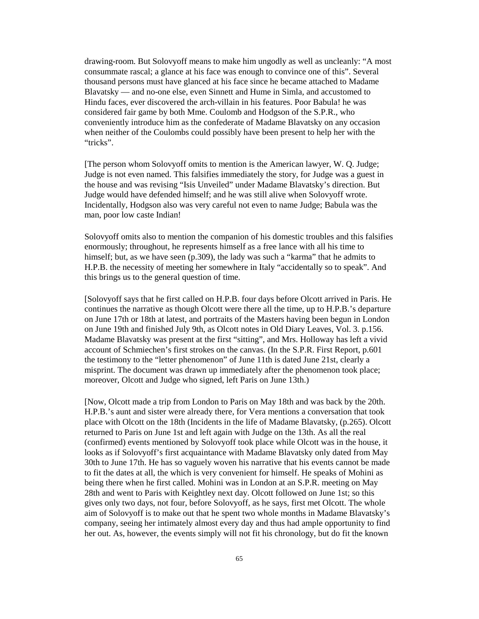drawing-room. But Solovyoff means to make him ungodly as well as uncleanly: "A most consummate rascal; a glance at his face was enough to convince one of this". Several thousand persons must have glanced at his face since he became attached to Madame Blavatsky — and no-one else, even Sinnett and Hume in Simla, and accustomed to Hindu faces, ever discovered the arch-villain in his features. Poor Babula! he was considered fair game by both Mme. Coulomb and Hodgson of the S.P.R., who conveniently introduce him as the confederate of Madame Blavatsky on any occasion when neither of the Coulombs could possibly have been present to help her with the "tricks".

[The person whom Solovyoff omits to mention is the American lawyer, W. Q. Judge; Judge is not even named. This falsifies immediately the story, for Judge was a guest in the house and was revising "Isis Unveiled" under Madame Blavatsky's direction. But Judge would have defended himself; and he was still alive when Solovyoff wrote. Incidentally, Hodgson also was very careful not even to name Judge; Babula was the man, poor low caste Indian!

Solovyoff omits also to mention the companion of his domestic troubles and this falsifies enormously; throughout, he represents himself as a free lance with all his time to himself; but, as we have seen (p.309), the lady was such a "karma" that he admits to H.P.B. the necessity of meeting her somewhere in Italy "accidentally so to speak". And this brings us to the general question of time.

[Solovyoff says that he first called on H.P.B. four days before Olcott arrived in Paris. He continues the narrative as though Olcott were there all the time, up to H.P.B.'s departure on June 17th or 18th at latest, and portraits of the Masters having been begun in London on June 19th and finished July 9th, as Olcott notes in Old Diary Leaves, Vol. 3. p.156. Madame Blavatsky was present at the first "sitting", and Mrs. Holloway has left a vivid account of Schmiechen's first strokes on the canvas. (In the S.P.R. First Report, p.601 the testimony to the "letter phenomenon" of June 11th is dated June 21st, clearly a misprint. The document was drawn up immediately after the phenomenon took place; moreover, Olcott and Judge who signed, left Paris on June 13th.)

[Now, Olcott made a trip from London to Paris on May 18th and was back by the 20th. H.P.B.'s aunt and sister were already there, for Vera mentions a conversation that took place with Olcott on the 18th (Incidents in the life of Madame Blavatsky, (p.265). Olcott returned to Paris on June 1st and left again with Judge on the 13th. As all the real (confirmed) events mentioned by Solovyoff took place while Olcott was in the house, it looks as if Solovyoff's first acquaintance with Madame Blavatsky only dated from May 30th to June 17th. He has so vaguely woven his narrative that his events cannot be made to fit the dates at all, the which is very convenient for himself. He speaks of Mohini as being there when he first called. Mohini was in London at an S.P.R. meeting on May 28th and went to Paris with Keightley next day. Olcott followed on June 1st; so this gives only two days, not four, before Solovyoff, as he says, first met Olcott. The whole aim of Solovyoff is to make out that he spent two whole months in Madame Blavatsky's company, seeing her intimately almost every day and thus had ample opportunity to find her out. As, however, the events simply will not fit his chronology, but do fit the known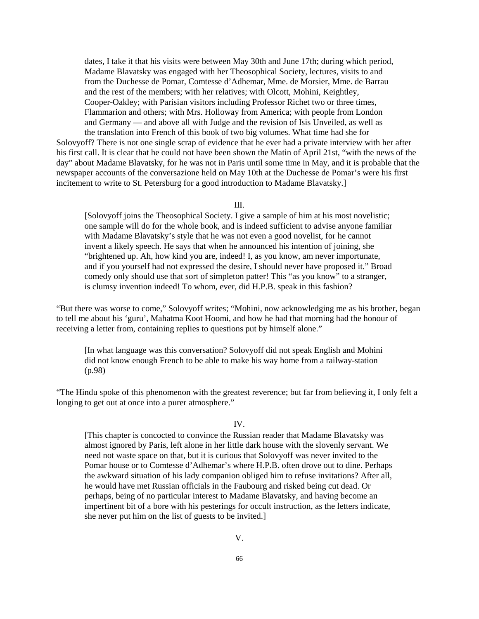dates, I take it that his visits were between May 30th and June 17th; during which period, Madame Blavatsky was engaged with her Theosophical Society, lectures, visits to and from the Duchesse de Pomar, Comtesse d'Adhemar, Mme. de Morsier, Mme. de Barrau and the rest of the members; with her relatives; with Olcott, Mohini, Keightley, Cooper-Oakley; with Parisian visitors including Professor Richet two or three times, Flammarion and others; with Mrs. Holloway from America; with people from London and Germany — and above all with Judge and the revision of Isis Unveiled, as well as the translation into French of this book of two big volumes. What time had she for

Solovyoff? There is not one single scrap of evidence that he ever had a private interview with her after his first call. It is clear that he could not have been shown the Matin of April 21st, "with the news of the day" about Madame Blavatsky, for he was not in Paris until some time in May, and it is probable that the newspaper accounts of the conversazione held on May 10th at the Duchesse de Pomar's were his first incitement to write to St. Petersburg for a good introduction to Madame Blavatsky.]

III.

[Solovyoff joins the Theosophical Society. I give a sample of him at his most novelistic; one sample will do for the whole book, and is indeed sufficient to advise anyone familiar with Madame Blavatsky's style that he was not even a good novelist, for he cannot invent a likely speech. He says that when he announced his intention of joining, she "brightened up. Ah, how kind you are, indeed! I, as you know, am never importunate, and if you yourself had not expressed the desire, I should never have proposed it." Broad comedy only should use that sort of simpleton patter! This "as you know" to a stranger, is clumsy invention indeed! To whom, ever, did H.P.B. speak in this fashion?

"But there was worse to come," Solovyoff writes; "Mohini, now acknowledging me as his brother, began to tell me about his 'guru', Mahatma Koot Hoomi, and how he had that morning had the honour of receiving a letter from, containing replies to questions put by himself alone."

[In what language was this conversation? Solovyoff did not speak English and Mohini did not know enough French to be able to make his way home from a railway-station (p.98)

"The Hindu spoke of this phenomenon with the greatest reverence; but far from believing it, I only felt a longing to get out at once into a purer atmosphere."

### IV.

[This chapter is concocted to convince the Russian reader that Madame Blavatsky was almost ignored by Paris, left alone in her little dark house with the slovenly servant. We need not waste space on that, but it is curious that Solovyoff was never invited to the Pomar house or to Comtesse d'Adhemar's where H.P.B. often drove out to dine. Perhaps the awkward situation of his lady companion obliged him to refuse invitations? After all, he would have met Russian officials in the Faubourg and risked being cut dead. Or perhaps, being of no particular interest to Madame Blavatsky, and having become an impertinent bit of a bore with his pesterings for occult instruction, as the letters indicate, she never put him on the list of guests to be invited.]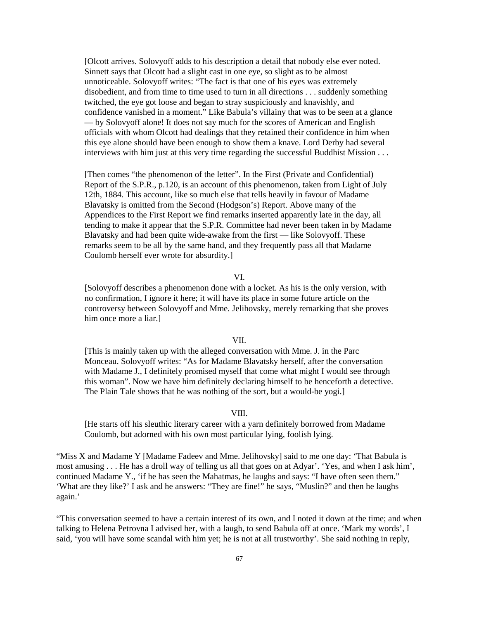[Olcott arrives. Solovyoff adds to his description a detail that nobody else ever noted. Sinnett says that Olcott had a slight cast in one eye, so slight as to be almost unnoticeable. Solovyoff writes: "The fact is that one of his eyes was extremely disobedient, and from time to time used to turn in all directions . . . suddenly something twitched, the eye got loose and began to stray suspiciously and knavishly, and confidence vanished in a moment." Like Babula's villainy that was to be seen at a glance — by Solovyoff alone! It does not say much for the scores of American and English officials with whom Olcott had dealings that they retained their confidence in him when this eye alone should have been enough to show them a knave. Lord Derby had several interviews with him just at this very time regarding the successful Buddhist Mission . . .

[Then comes "the phenomenon of the letter". In the First (Private and Confidential) Report of the S.P.R., p.120, is an account of this phenomenon, taken from Light of July 12th, 1884. This account, like so much else that tells heavily in favour of Madame Blavatsky is omitted from the Second (Hodgson's) Report. Above many of the Appendices to the First Report we find remarks inserted apparently late in the day, all tending to make it appear that the S.P.R. Committee had never been taken in by Madame Blavatsky and had been quite wide-awake from the first — like Solovyoff. These remarks seem to be all by the same hand, and they frequently pass all that Madame Coulomb herself ever wrote for absurdity.]

#### VI.

[Solovyoff describes a phenomenon done with a locket. As his is the only version, with no confirmation, I ignore it here; it will have its place in some future article on the controversy between Solovyoff and Mme. Jelihovsky, merely remarking that she proves him once more a liar.]

#### VII.

[This is mainly taken up with the alleged conversation with Mme. J. in the Parc Monceau. Solovyoff writes: "As for Madame Blavatsky herself, after the conversation with Madame J., I definitely promised myself that come what might I would see through this woman". Now we have him definitely declaring himself to be henceforth a detective. The Plain Tale shows that he was nothing of the sort, but a would-be yogi.]

### VIII.

[He starts off his sleuthic literary career with a yarn definitely borrowed from Madame Coulomb, but adorned with his own most particular lying, foolish lying.

"Miss X and Madame Y [Madame Fadeev and Mme. Jelihovsky] said to me one day: 'That Babula is most amusing . . . He has a droll way of telling us all that goes on at Adyar'. 'Yes, and when I ask him', continued Madame Y., 'if he has seen the Mahatmas, he laughs and says: "I have often seen them." 'What are they like?' I ask and he answers: "They are fine!" he says, "Muslin?" and then he laughs again.'

"This conversation seemed to have a certain interest of its own, and I noted it down at the time; and when talking to Helena Petrovna I advised her, with a laugh, to send Babula off at once. 'Mark my words', I said, 'you will have some scandal with him yet; he is not at all trustworthy'. She said nothing in reply,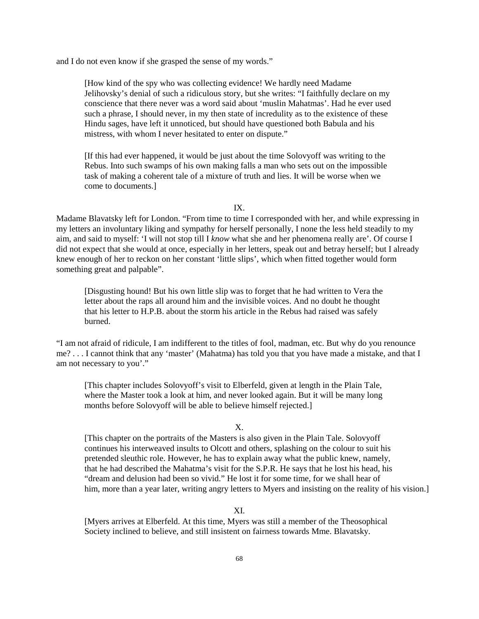and I do not even know if she grasped the sense of my words."

[How kind of the spy who was collecting evidence! We hardly need Madame Jelihovsky's denial of such a ridiculous story, but she writes: "I faithfully declare on my conscience that there never was a word said about 'muslin Mahatmas'. Had he ever used such a phrase, I should never, in my then state of incredulity as to the existence of these Hindu sages, have left it unnoticed, but should have questioned both Babula and his mistress, with whom I never hesitated to enter on dispute."

[If this had ever happened, it would be just about the time Solovyoff was writing to the Rebus. Into such swamps of his own making falls a man who sets out on the impossible task of making a coherent tale of a mixture of truth and lies. It will be worse when we come to documents.]

IX.

Madame Blavatsky left for London. "From time to time I corresponded with her, and while expressing in my letters an involuntary liking and sympathy for herself personally, I none the less held steadily to my aim, and said to myself: 'I will not stop till I *know* what she and her phenomena really are'. Of course I did not expect that she would at once, especially in her letters, speak out and betray herself; but I already knew enough of her to reckon on her constant 'little slips', which when fitted together would form something great and palpable".

[Disgusting hound! But his own little slip was to forget that he had written to Vera the letter about the raps all around him and the invisible voices. And no doubt he thought that his letter to H.P.B. about the storm his article in the Rebus had raised was safely burned.

"I am not afraid of ridicule, I am indifferent to the titles of fool, madman, etc. But why do you renounce me? . . . I cannot think that any 'master' (Mahatma) has told you that you have made a mistake, and that I am not necessary to you'."

[This chapter includes Solovyoff's visit to Elberfeld, given at length in the Plain Tale, where the Master took a look at him, and never looked again. But it will be many long months before Solovyoff will be able to believe himself rejected.]

#### X.

[This chapter on the portraits of the Masters is also given in the Plain Tale. Solovyoff continues his interweaved insults to Olcott and others, splashing on the colour to suit his pretended sleuthic role. However, he has to explain away what the public knew, namely, that he had described the Mahatma's visit for the S.P.R. He says that he lost his head, his "dream and delusion had been so vivid." He lost it for some time, for we shall hear of him, more than a year later, writing angry letters to Myers and insisting on the reality of his vision.

#### XI.

[Myers arrives at Elberfeld. At this time, Myers was still a member of the Theosophical Society inclined to believe, and still insistent on fairness towards Mme. Blavatsky.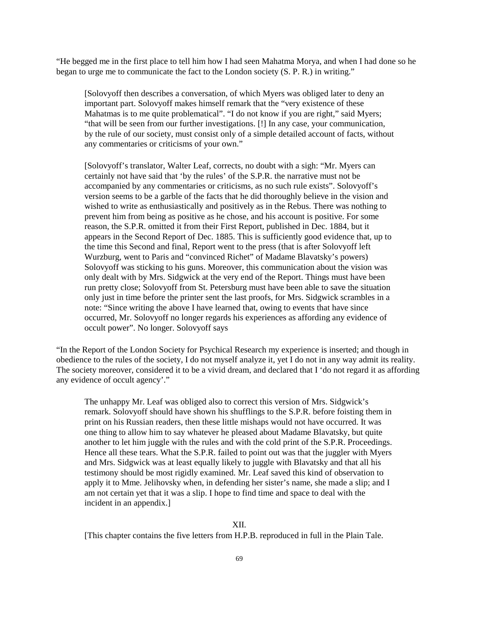"He begged me in the first place to tell him how I had seen Mahatma Morya, and when I had done so he began to urge me to communicate the fact to the London society (S. P. R.) in writing."

[Solovyoff then describes a conversation, of which Myers was obliged later to deny an important part. Solovyoff makes himself remark that the "very existence of these Mahatmas is to me quite problematical". "I do not know if you are right," said Myers; "that will be seen from our further investigations. [!] In any case, your communication, by the rule of our society, must consist only of a simple detailed account of facts, without any commentaries or criticisms of your own."

[Solovyoff's translator, Walter Leaf, corrects, no doubt with a sigh: "Mr. Myers can certainly not have said that 'by the rules' of the S.P.R. the narrative must not be accompanied by any commentaries or criticisms, as no such rule exists". Solovyoff's version seems to be a garble of the facts that he did thoroughly believe in the vision and wished to write as enthusiastically and positively as in the Rebus. There was nothing to prevent him from being as positive as he chose, and his account is positive. For some reason, the S.P.R. omitted it from their First Report, published in Dec. 1884, but it appears in the Second Report of Dec. 1885. This is sufficiently good evidence that, up to the time this Second and final, Report went to the press (that is after Solovyoff left Wurzburg, went to Paris and "convinced Richet" of Madame Blavatsky's powers) Solovyoff was sticking to his guns. Moreover, this communication about the vision was only dealt with by Mrs. Sidgwick at the very end of the Report. Things must have been run pretty close; Solovyoff from St. Petersburg must have been able to save the situation only just in time before the printer sent the last proofs, for Mrs. Sidgwick scrambles in a note: "Since writing the above I have learned that, owing to events that have since occurred, Mr. Solovyoff no longer regards his experiences as affording any evidence of occult power". No longer. Solovyoff says

"In the Report of the London Society for Psychical Research my experience is inserted; and though in obedience to the rules of the society, I do not myself analyze it, yet I do not in any way admit its reality. The society moreover, considered it to be a vivid dream, and declared that I 'do not regard it as affording any evidence of occult agency'."

The unhappy Mr. Leaf was obliged also to correct this version of Mrs. Sidgwick's remark. Solovyoff should have shown his shufflings to the S.P.R. before foisting them in print on his Russian readers, then these little mishaps would not have occurred. It was one thing to allow him to say whatever he pleased about Madame Blavatsky, but quite another to let him juggle with the rules and with the cold print of the S.P.R. Proceedings. Hence all these tears. What the S.P.R. failed to point out was that the juggler with Myers and Mrs. Sidgwick was at least equally likely to juggle with Blavatsky and that all his testimony should be most rigidly examined. Mr. Leaf saved this kind of observation to apply it to Mme. Jelihovsky when, in defending her sister's name, she made a slip; and I am not certain yet that it was a slip. I hope to find time and space to deal with the incident in an appendix.]

## XII.

[This chapter contains the five letters from H.P.B. reproduced in full in the Plain Tale.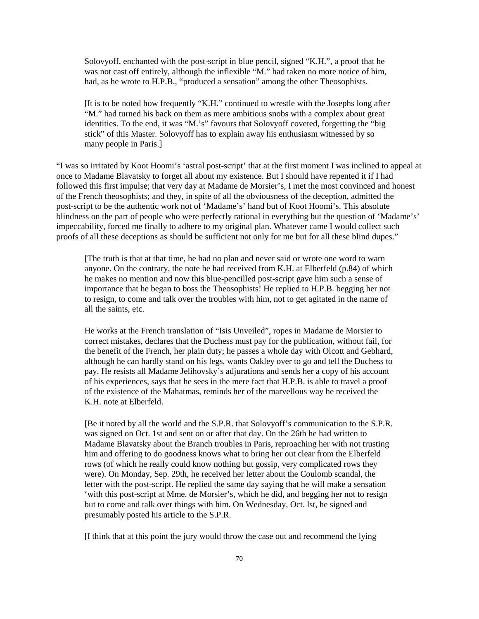Solovyoff, enchanted with the post-script in blue pencil, signed "K.H.", a proof that he was not cast off entirely, although the inflexible "M." had taken no more notice of him, had, as he wrote to H.P.B., "produced a sensation" among the other Theosophists.

[It is to be noted how frequently "K.H." continued to wrestle with the Josephs long after "M." had turned his back on them as mere ambitious snobs with a complex about great identities. To the end, it was "M.'s" favours that Solovyoff coveted, forgetting the "big stick" of this Master. Solovyoff has to explain away his enthusiasm witnessed by so many people in Paris.]

"I was so irritated by Koot Hoomi's 'astral post-script' that at the first moment I was inclined to appeal at once to Madame Blavatsky to forget all about my existence. But I should have repented it if I had followed this first impulse; that very day at Madame de Morsier's, I met the most convinced and honest of the French theosophists; and they, in spite of all the obviousness of the deception, admitted the post-script to be the authentic work not of 'Madame's' hand but of Koot Hoomi's. This absolute blindness on the part of people who were perfectly rational in everything but the question of 'Madame's' impeccability, forced me finally to adhere to my original plan. Whatever came I would collect such proofs of all these deceptions as should be sufficient not only for me but for all these blind dupes."

[The truth is that at that time, he had no plan and never said or wrote one word to warn anyone. On the contrary, the note he had received from K.H. at Elberfeld (p.84) of which he makes no mention and now this blue-pencilled post-script gave him such a sense of importance that he began to boss the Theosophists! He replied to H.P.B. begging her not to resign, to come and talk over the troubles with him, not to get agitated in the name of all the saints, etc.

He works at the French translation of "Isis Unveiled", ropes in Madame de Morsier to correct mistakes, declares that the Duchess must pay for the publication, without fail, for the benefit of the French, her plain duty; he passes a whole day with Olcott and Gebhard, although he can hardly stand on his legs, wants Oakley over to go and tell the Duchess to pay. He resists all Madame Jelihovsky's adjurations and sends her a copy of his account of his experiences, says that he sees in the mere fact that H.P.B. is able to travel a proof of the existence of the Mahatmas, reminds her of the marvellous way he received the K.H. note at Elberfeld.

[Be it noted by all the world and the S.P.R. that Solovyoff's communication to the S.P.R. was signed on Oct. 1st and sent on or after that day. On the 26th he had written to Madame Blavatsky about the Branch troubles in Paris, reproaching her with not trusting him and offering to do goodness knows what to bring her out clear from the Elberfeld rows (of which he really could know nothing but gossip, very complicated rows they were). On Monday, Sep. 29th, he received her letter about the Coulomb scandal, the letter with the post-script. He replied the same day saying that he will make a sensation 'with this post-script at Mme. de Morsier's, which he did, and begging her not to resign but to come and talk over things with him. On Wednesday, Oct. lst, he signed and presumably posted his article to the S.P.R.

[I think that at this point the jury would throw the case out and recommend the lying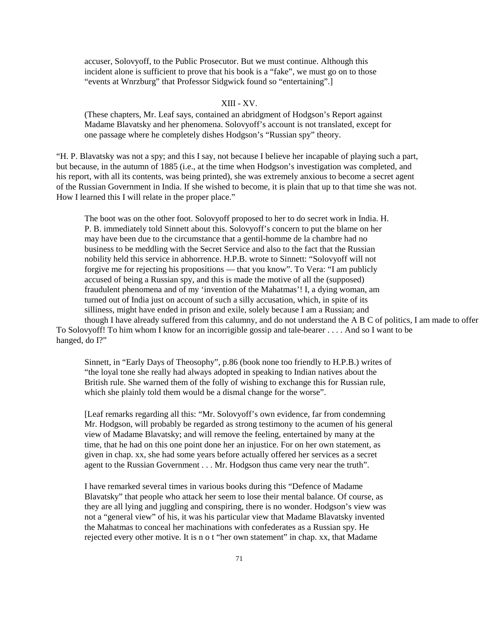accuser, Solovyoff, to the Public Prosecutor. But we must continue. Although this incident alone is sufficient to prove that his book is a "fake", we must go on to those "events at Wnrzburg" that Professor Sidgwick found so "entertaining".]

## XIII - XV.

(These chapters, Mr. Leaf says, contained an abridgment of Hodgson's Report against Madame Blavatsky and her phenomena. Solovyoff's account is not translated, except for one passage where he completely dishes Hodgson's "Russian spy" theory.

"H. P. Blavatsky was not a spy; and this I say, not because I believe her incapable of playing such a part, but because, in the autumn of 1885 (i.e., at the time when Hodgson's investigation was completed, and his report, with all its contents, was being printed), she was extremely anxious to become a secret agent of the Russian Government in India. If she wished to become, it is plain that up to that time she was not. How I learned this I will relate in the proper place."

The boot was on the other foot. Solovyoff proposed to her to do secret work in India. H. P. B. immediately told Sinnett about this. Solovyoff's concern to put the blame on her may have been due to the circumstance that a gentil-homme de la chambre had no business to be meddling with the Secret Service and also to the fact that the Russian nobility held this service in abhorrence. H.P.B. wrote to Sinnett: "Solovyoff will not forgive me for rejecting his propositions — that you know". To Vera: "I am publicly accused of being a Russian spy, and this is made the motive of all the (supposed) fraudulent phenomena and of my 'invention of the Mahatmas'! I, a dying woman, am turned out of India just on account of such a silly accusation, which, in spite of its silliness, might have ended in prison and exile, solely because I am a Russian; and though I have already suffered from this calumny, and do not understand the A B C of politics, I am made to offer

To Solovyoff! To him whom I know for an incorrigible gossip and tale-bearer . . . . And so I want to be hanged, do I?"

Sinnett, in "Early Days of Theosophy", p.86 (book none too friendly to H.P.B.) writes of "the loyal tone she really had always adopted in speaking to Indian natives about the British rule. She warned them of the folly of wishing to exchange this for Russian rule, which she plainly told them would be a dismal change for the worse".

[Leaf remarks regarding all this: "Mr. Solovyoff's own evidence, far from condemning Mr. Hodgson, will probably be regarded as strong testimony to the acumen of his general view of Madame Blavatsky; and will remove the feeling, entertained by many at the time, that he had on this one point done her an injustice. For on her own statement, as given in chap. xx, she had some years before actually offered her services as a secret agent to the Russian Government . . . Mr. Hodgson thus came very near the truth".

I have remarked several times in various books during this "Defence of Madame Blavatsky" that people who attack her seem to lose their mental balance. Of course, as they are all lying and juggling and conspiring, there is no wonder. Hodgson's view was not a "general view" of his, it was his particular view that Madame Blavatsky invented the Mahatmas to conceal her machinations with confederates as a Russian spy. He rejected every other motive. It is n o t "her own statement" in chap. xx, that Madame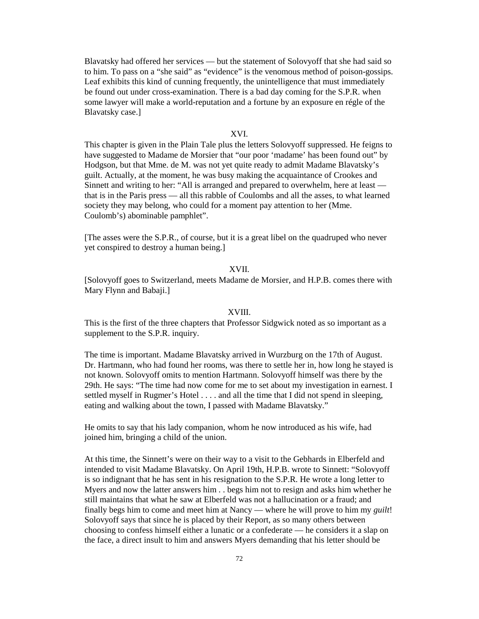Blavatsky had offered her services — but the statement of Solovyoff that she had said so to him. To pass on a "she said" as "evidence" is the venomous method of poison-gossips. Leaf exhibits this kind of cunning frequently, the unintelligence that must immediately be found out under cross-examination. There is a bad day coming for the S.P.R. when some lawyer will make a world-reputation and a fortune by an exposure en régle of the Blavatsky case.]

## XVI.

This chapter is given in the Plain Tale plus the letters Solovyoff suppressed. He feigns to have suggested to Madame de Morsier that "our poor 'madame' has been found out" by Hodgson, but that Mme. de M. was not yet quite ready to admit Madame Blavatsky's guilt. Actually, at the moment, he was busy making the acquaintance of Crookes and Sinnett and writing to her: "All is arranged and prepared to overwhelm, here at least that is in the Paris press — all this rabble of Coulombs and all the asses, to what learned society they may belong, who could for a moment pay attention to her (Mme. Coulomb's) abominable pamphlet".

[The asses were the S.P.R., of course, but it is a great libel on the quadruped who never yet conspired to destroy a human being.]

#### XVII.

[Solovyoff goes to Switzerland, meets Madame de Morsier, and H.P.B. comes there with Mary Flynn and Babaji.]

## XVIII.

This is the first of the three chapters that Professor Sidgwick noted as so important as a supplement to the S.P.R. inquiry.

The time is important. Madame Blavatsky arrived in Wurzburg on the 17th of August. Dr. Hartmann, who had found her rooms, was there to settle her in, how long he stayed is not known. Solovyoff omits to mention Hartmann. Solovyoff himself was there by the 29th. He says: "The time had now come for me to set about my investigation in earnest. I settled myself in Rugmer's Hotel . . . . and all the time that I did not spend in sleeping, eating and walking about the town, I passed with Madame Blavatsky."

He omits to say that his lady companion, whom he now introduced as his wife, had joined him, bringing a child of the union.

At this time, the Sinnett's were on their way to a visit to the Gebhards in Elberfeld and intended to visit Madame Blavatsky. On April 19th, H.P.B. wrote to Sinnett: "Solovyoff is so indignant that he has sent in his resignation to the S.P.R. He wrote a long letter to Myers and now the latter answers him . . begs him not to resign and asks him whether he still maintains that what he saw at Elberfeld was not a hallucination or a fraud; and finally begs him to come and meet him at Nancy — where he will prove to him my *guilt*! Solovyoff says that since he is placed by their Report, as so many others between choosing to confess himself either a lunatic or a confederate — he considers it a slap on the face, a direct insult to him and answers Myers demanding that his letter should be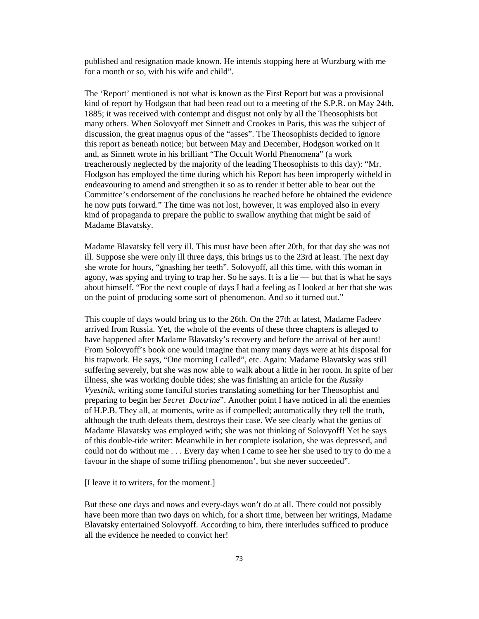published and resignation made known. He intends stopping here at Wurzburg with me for a month or so, with his wife and child".

The 'Report' mentioned is not what is known as the First Report but was a provisional kind of report by Hodgson that had been read out to a meeting of the S.P.R. on May 24th, 1885; it was received with contempt and disgust not only by all the Theosophists but many others. When Solovyoff met Sinnett and Crookes in Paris, this was the subject of discussion, the great magnus opus of the "asses". The Theosophists decided to ignore this report as beneath notice; but between May and December, Hodgson worked on it and, as Sinnett wrote in his brilliant "The Occult World Phenomena" (a work treacherously neglected by the majority of the leading Theosophists to this day): "Mr. Hodgson has employed the time during which his Report has been improperly witheld in endeavouring to amend and strengthen it so as to render it better able to bear out the Committee's endorsement of the conclusions he reached before he obtained the evidence he now puts forward." The time was not lost, however, it was employed also in every kind of propaganda to prepare the public to swallow anything that might be said of Madame Blavatsky.

Madame Blavatsky fell very ill. This must have been after 20th, for that day she was not ill. Suppose she were only ill three days, this brings us to the 23rd at least. The next day she wrote for hours, "gnashing her teeth". Solovyoff, all this time, with this woman in agony, was spying and trying to trap her. So he says. It is a lie — but that is what he says about himself. "For the next couple of days I had a feeling as I looked at her that she was on the point of producing some sort of phenomenon. And so it turned out."

This couple of days would bring us to the 26th. On the 27th at latest, Madame Fadeev arrived from Russia. Yet, the whole of the events of these three chapters is alleged to have happened after Madame Blavatsky's recovery and before the arrival of her aunt! From Solovyoff's book one would imagine that many many days were at his disposal for his trapwork. He says, "One morning I called", etc. Again: Madame Blavatsky was still suffering severely, but she was now able to walk about a little in her room. In spite of her illness, she was working double tides; she was finishing an article for the *Russky Vyestnik*, writing some fanciful stories translating something for her Theosophist and preparing to begin her *Secret Doctrine*". Another point I have noticed in all the enemies of H.P.B. They all, at moments, write as if compelled; automatically they tell the truth, although the truth defeats them, destroys their case. We see clearly what the genius of Madame Blavatsky was employed with; she was not thinking of Solovyoff! Yet he says of this double-tide writer: Meanwhile in her complete isolation, she was depressed, and could not do without me . . . Every day when I came to see her she used to try to do me a favour in the shape of some trifling phenomenon', but she never succeeded".

[I leave it to writers, for the moment.]

But these one days and nows and every-days won't do at all. There could not possibly have been more than two days on which, for a short time, between her writings, Madame Blavatsky entertained Solovyoff. According to him, there interludes sufficed to produce all the evidence he needed to convict her!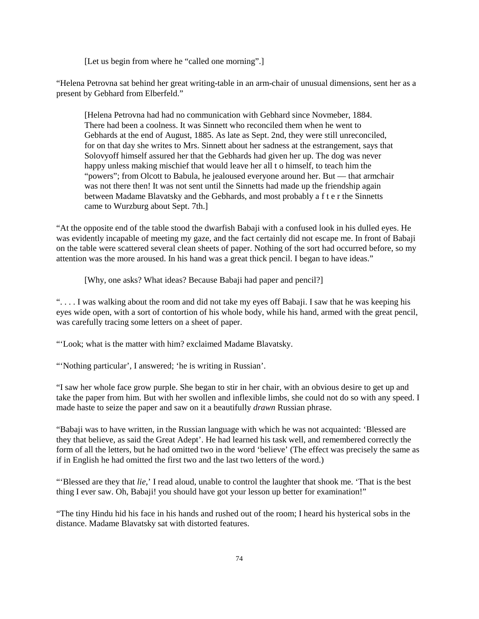[Let us begin from where he "called one morning".]

"Helena Petrovna sat behind her great writing-table in an arm-chair of unusual dimensions, sent her as a present by Gebhard from Elberfeld."

[Helena Petrovna had had no communication with Gebhard since Novmeber, 1884. There had been a coolness. It was Sinnett who reconciled them when he went to Gebhards at the end of August, 1885. As late as Sept. 2nd, they were still unreconciled, for on that day she writes to Mrs. Sinnett about her sadness at the estrangement, says that Solovyoff himself assured her that the Gebhards had given her up. The dog was never happy unless making mischief that would leave her all t o himself, to teach him the "powers"; from Olcott to Babula, he jealoused everyone around her. But — that armchair was not there then! It was not sent until the Sinnetts had made up the friendship again between Madame Blavatsky and the Gebhards, and most probably a f t e r the Sinnetts came to Wurzburg about Sept. 7th.]

"At the opposite end of the table stood the dwarfish Babaji with a confused look in his dulled eyes. He was evidently incapable of meeting my gaze, and the fact certainly did not escape me. In front of Babaji on the table were scattered several clean sheets of paper. Nothing of the sort had occurred before, so my attention was the more aroused. In his hand was a great thick pencil. I began to have ideas."

[Why, one asks? What ideas? Because Babaji had paper and pencil?]

". . . . I was walking about the room and did not take my eyes off Babaji. I saw that he was keeping his eyes wide open, with a sort of contortion of his whole body, while his hand, armed with the great pencil, was carefully tracing some letters on a sheet of paper.

"'Look; what is the matter with him? exclaimed Madame Blavatsky.

"'Nothing particular', I answered; 'he is writing in Russian'.

"I saw her whole face grow purple. She began to stir in her chair, with an obvious desire to get up and take the paper from him. But with her swollen and inflexible limbs, she could not do so with any speed. I made haste to seize the paper and saw on it a beautifully *drawn* Russian phrase.

"Babaji was to have written, in the Russian language with which he was not acquainted: 'Blessed are they that believe, as said the Great Adept'. He had learned his task well, and remembered correctly the form of all the letters, but he had omitted two in the word 'believe' (The effect was precisely the same as if in English he had omitted the first two and the last two letters of the word.)

"'Blessed are they that *lie*,' I read aloud, unable to control the laughter that shook me. 'That is the best thing I ever saw. Oh, Babaji! you should have got your lesson up better for examination!"

"The tiny Hindu hid his face in his hands and rushed out of the room; I heard his hysterical sobs in the distance. Madame Blavatsky sat with distorted features.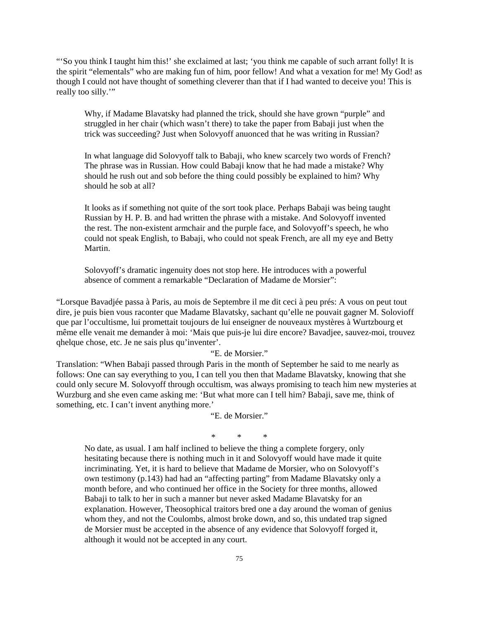"'So you think I taught him this!' she exclaimed at last; 'you think me capable of such arrant folly! It is the spirit "elementals" who are making fun of him, poor fellow! And what a vexation for me! My God! as though I could not have thought of something cleverer than that if I had wanted to deceive you! This is really too silly."

Why, if Madame Blavatsky had planned the trick, should she have grown "purple" and struggled in her chair (which wasn't there) to take the paper from Babaji just when the trick was succeeding? Just when Solovyoff anuonced that he was writing in Russian?

In what language did Solovyoff talk to Babaji, who knew scarcely two words of French? The phrase was in Russian. How could Babaji know that he had made a mistake? Why should he rush out and sob before the thing could possibly be explained to him? Why should he sob at all?

It looks as if something not quite of the sort took place. Perhaps Babaji was being taught Russian by H. P. B. and had written the phrase with a mistake. And Solovyoff invented the rest. The non-existent armchair and the purple face, and Solovyoff's speech, he who could not speak English, to Babaji, who could not speak French, are all my eye and Betty Martin.

Solovyoff's dramatic ingenuity does not stop here. He introduces with a powerful absence of comment a remarkable "Declaration of Madame de Morsier":

"Lorsque Bavadjée passa à Paris, au mois de Septembre il me dit ceci à peu prés: A vous on peut tout dire, je puis bien vous raconter que Madame Blavatsky, sachant qu'elle ne pouvait gagner M. Solovioff que par l'occultisme, lui promettait toujours de lui enseigner de nouveaux mystères à Wurtzbourg et même elle venait me demander à moi: 'Mais que puis-je lui dire encore? Bavadjee, sauvez-moi, trouvez qhelque chose, etc. Je ne sais plus qu'inventer'.

## "E. de Morsier."

Translation: "When Babaji passed through Paris in the month of September he said to me nearly as follows: One can say everything to you, I can tell you then that Madame Blavatsky, knowing that she could only secure M. Solovyoff through occultism, was always promising to teach him new mysteries at Wurzburg and she even came asking me: 'But what more can I tell him? Babaji, save me, think of something, etc. I can't invent anything more.'

"E. de Morsier."

\* \* \*

No date, as usual. I am half inclined to believe the thing a complete forgery, only hesitating because there is nothing much in it and Solovyoff would have made it quite incriminating. Yet, it is hard to believe that Madame de Morsier, who on Solovyoff's own testimony (p.143) had had an "affecting parting" from Madame Blavatsky only a month before, and who continued her office in the Society for three months, allowed Babaji to talk to her in such a manner but never asked Madame Blavatsky for an explanation. However, Theosophical traitors bred one a day around the woman of genius whom they, and not the Coulombs, almost broke down, and so, this undated trap signed de Morsier must be accepted in the absence of any evidence that Solovyoff forged it, although it would not be accepted in any court.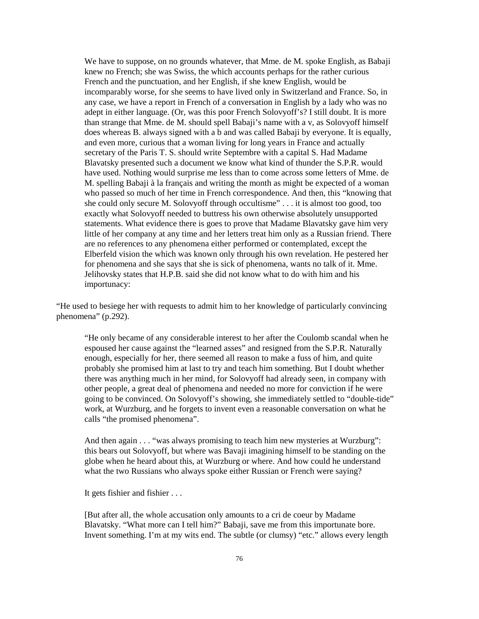We have to suppose, on no grounds whatever, that Mme. de M. spoke English, as Babaji knew no French; she was Swiss, the which accounts perhaps for the rather curious French and the punctuation, and her English, if she knew English, would be incomparably worse, for she seems to have lived only in Switzerland and France. So, in any case, we have a report in French of a conversation in English by a lady who was no adept in either language. (Or, was this poor French Solovyoff's? I still doubt. It is more than strange that Mme. de M. should spell Babaji's name with a v, as Solovyoff himself does whereas B. always signed with a b and was called Babaji by everyone. It is equally, and even more, curious that a woman living for long years in France and actually secretary of the Paris T. S. should write Septembre with a capital S. Had Madame Blavatsky presented such a document we know what kind of thunder the S.P.R. would have used. Nothing would surprise me less than to come across some letters of Mme. de M. spelling Babaji à la français and writing the month as might be expected of a woman who passed so much of her time in French correspondence. And then, this "knowing that she could only secure M. Solovyoff through occultisme" . . . it is almost too good, too exactly what Solovyoff needed to buttress his own otherwise absolutely unsupported statements. What evidence there is goes to prove that Madame Blavatsky gave him very little of her company at any time and her letters treat him only as a Russian friend. There are no references to any phenomena either performed or contemplated, except the Elberfeld vision the which was known only through his own revelation. He pestered her for phenomena and she says that she is sick of phenomena, wants no talk of it. Mme. Jelihovsky states that H.P.B. said she did not know what to do with him and his importunacy:

"He used to besiege her with requests to admit him to her knowledge of particularly convincing phenomena" (p.292).

"He only became of any considerable interest to her after the Coulomb scandal when he espoused her cause against the "learned asses" and resigned from the S.P.R. Naturally enough, especially for her, there seemed all reason to make a fuss of him, and quite probably she promised him at last to try and teach him something. But I doubt whether there was anything much in her mind, for Solovyoff had already seen, in company with other people, a great deal of phenomena and needed no more for conviction if he were going to be convinced. On Solovyoff's showing, she immediately settled to "double-tide" work, at Wurzburg, and he forgets to invent even a reasonable conversation on what he calls "the promised phenomena".

And then again . . . "was always promising to teach him new mysteries at Wurzburg": this bears out Solovyoff, but where was Bavaji imagining himself to be standing on the globe when he heard about this, at Wurzburg or where. And how could he understand what the two Russians who always spoke either Russian or French were saying?

It gets fishier and fishier . . .

[But after all, the whole accusation only amounts to a cri de coeur by Madame Blavatsky. "What more can I tell him?" Babaji, save me from this importunate bore. Invent something. I'm at my wits end. The subtle (or clumsy) "etc." allows every length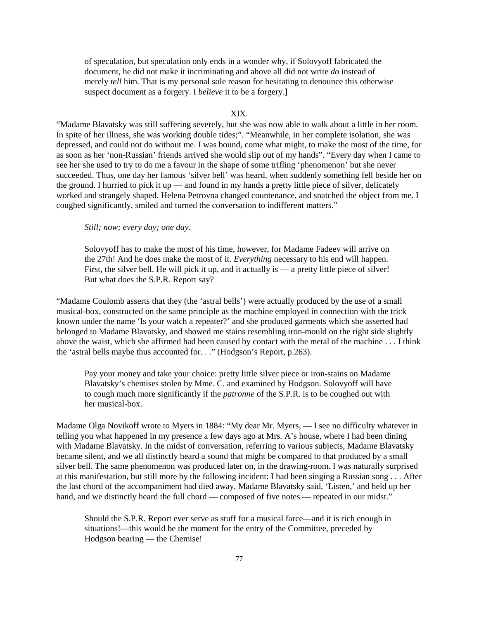of speculation, but speculation only ends in a wonder why, if Solovyoff fabricated the document, he did not make it incriminating and above all did not write *do* instead of merely *tell* him. That is my personal sole reason for hesitating to denounce this otherwise suspect document as a forgery. I *believe* it to be a forgery.]

## XIX.

"Madame Blavatsky was still suffering severely, but she was now able to walk about a little in her room. In spite of her illness, she was working double tides;". "Meanwhile, in her complete isolation, she was depressed, and could not do without me. I was bound, come what might, to make the most of the time, for as soon as her 'non-Russian' friends arrived she would slip out of my hands". "Every day when I came to see her she used to try to do me a favour in the shape of some trifling 'phenomenon' but she never succeeded. Thus, one day her famous 'silver bell' was heard, when suddenly something fell beside her on the ground. I hurried to pick it up — and found in my hands a pretty little piece of silver, delicately worked and strangely shaped. Helena Petrovna changed countenance, and snatched the object from me. I coughed significantly, smiled and turned the conversation to indifferent matters."

*Still; now; every day; one day*.

Solovyoff has to make the most of his time, however, for Madame Fadeev will arrive on the 27th! And he does make the most of it. *Everything* necessary to his end will happen. First, the silver bell. He will pick it up, and it actually is — a pretty little piece of silver! But what does the S.P.R. Report say?

"Madame Coulomb asserts that they (the 'astral bells') were actually produced by the use of a small musical-box, constructed on the same principle as the machine employed in connection with the trick known under the name 'Is your watch a repeater?' and she produced garments which she asserted had belonged to Madame Blavatsky, and showed me stains resembling iron-mould on the right side slightly above the waist, which she affirmed had been caused by contact with the metal of the machine . . . I think the 'astral bells maybe thus accounted for. . ." (Hodgson's Report, p.263).

Pay your money and take your choice: pretty little silver piece or iron-stains on Madame Blavatsky's chemises stolen by Mme. C. and examined by Hodgson. Solovyoff will have to cough much more significantly if the *patronne* of the S.P.R. is to be coughed out with her musical-box.

Madame Olga Novikoff wrote to Myers in 1884: "My dear Mr. Myers, — I see no difficulty whatever in telling you what happened in my presence a few days ago at Mrs. A's house, where I had been dining with Madame Blavatsky. In the midst of conversation, referring to various subjects, Madame Blavatsky became silent, and we all distinctly heard a sound that might be compared to that produced by a small silver bell. The same phenomenon was produced later on, in the drawing-room. I was naturally surprised at this manifestation, but still more by the following incident: I had been singing a Russian song . . . After the last chord of the accompaniment had died away, Madame Blavatsky said, 'Listen,' and held up her hand, and we distinctly heard the full chord — composed of five notes — repeated in our midst."

Should the S.P.R. Report ever serve as stuff for a musical farce—and it is rich enough in situations!—this would be the moment for the entry of the Committee, preceded by Hodgson bearing — the Chemise!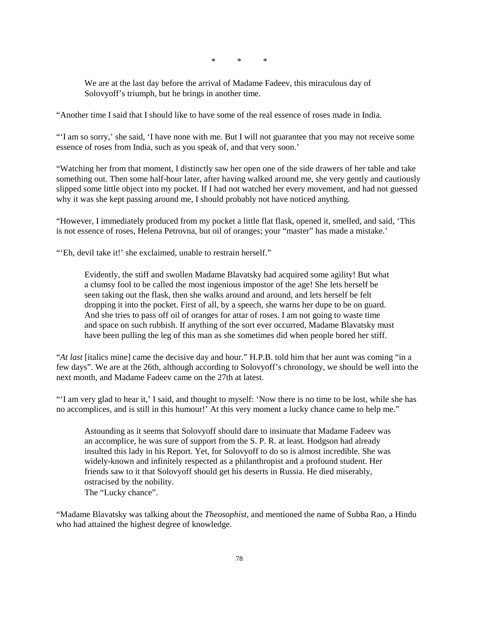\* \* \*

We are at the last day before the arrival of Madame Fadeev, this miraculous day of Solovyoff's triumph, but he brings in another time.

"Another time I said that I should like to have some of the real essence of roses made in India.

"'I am so sorry,' she said, 'I have none with me. But I will not guarantee that you may not receive some essence of roses from India, such as you speak of, and that very soon.'

"Watching her from that moment, I distinctly saw her open one of the side drawers of her table and take something out. Then some half-hour later, after having walked around me, she very gently and cautiously slipped some little object into my pocket. If I had not watched her every movement, and had not guessed why it was she kept passing around me, I should probably not have noticed anything.

"However, I immediately produced from my pocket a little flat flask, opened it, smelled, and said, 'This is not essence of roses, Helena Petrovna, but oil of oranges; your "master" has made a mistake.'

"'Eh, devil take it!' she exclaimed, unable to restrain herself."

Evidently, the stiff and swollen Madame Blavatsky had acquired some agility! But what a clumsy fool to be called the most ingenious impostor of the age! She lets herself be seen taking out the flask, then she walks around and around, and lets herself be felt dropping it into the pocket. First of all, by a speech, she warns her dupe to be on guard. And she tries to pass off oil of oranges for attar of roses. I am not going to waste time and space on such rubbish. If anything of the sort ever occurred, Madame Blavatsky must have been pulling the leg of this man as she sometimes did when people bored her stiff.

"*At last* [italics mine] came the decisive day and hour." H.P.B. told him that her aunt was coming "in a few days". We are at the 26th, although according to Solovyoff's chronology, we should be well into the next month, and Madame Fadeev came on the 27th at latest.

"'I am very glad to hear it,' I said, and thought to myself: 'Now there is no time to be lost, while she has no accomplices, and is still in this humour!' At this very moment a lucky chance came to help me."

Astounding as it seems that Solovyoff should dare to insinuate that Madame Fadeev was an accomplice, he was sure of support from the S. P. R. at least. Hodgson had already insulted this lady in his Report. Yet, for Solovyoff to do so is almost incredible. She was widely-known and infinitely respected as a philanthropist and a profound student. Her friends saw to it that Solovyoff should get his deserts in Russia. He died miserably, ostracised by the nobility. The "Lucky chance".

"Madame Blavatsky was talking about the *Theosophist*, and mentioned the name of Subba Rao, a Hindu who had attained the highest degree of knowledge.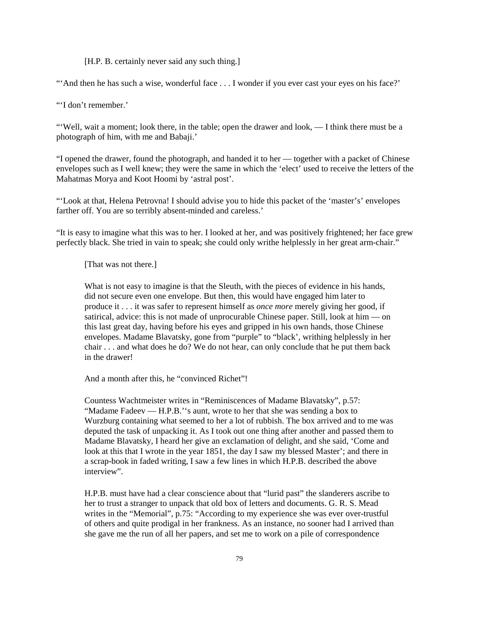[H.P. B. certainly never said any such thing.]

"'And then he has such a wise, wonderful face . . . I wonder if you ever cast your eyes on his face?'

"'I don't remember.'

"'Well, wait a moment; look there, in the table; open the drawer and look, — I think there must be a photograph of him, with me and Babaji.'

"I opened the drawer, found the photograph, and handed it to her — together with a packet of Chinese envelopes such as I well knew; they were the same in which the 'elect' used to receive the letters of the Mahatmas Morya and Koot Hoomi by 'astral post'.

"'Look at that, Helena Petrovna! I should advise you to hide this packet of the 'master's' envelopes farther off. You are so terribly absent-minded and careless.'

"It is easy to imagine what this was to her. I looked at her, and was positively frightened; her face grew perfectly black. She tried in vain to speak; she could only writhe helplessly in her great arm-chair."

[That was not there.]

What is not easy to imagine is that the Sleuth, with the pieces of evidence in his hands, did not secure even one envelope. But then, this would have engaged him later to produce it . . . it was safer to represent himself as *once more* merely giving her good, if satirical, advice: this is not made of unprocurable Chinese paper. Still, look at him — on this last great day, having before his eyes and gripped in his own hands, those Chinese envelopes. Madame Blavatsky, gone from "purple" to "black', writhing helplessly in her chair . . . and what does he do? We do not hear, can only conclude that he put them back in the drawer!

And a month after this, he "convinced Richet"!

Countess Wachtmeister writes in "Reminiscences of Madame Blavatsky", p.57: "Madame Fadeev — H.P.B.''s aunt, wrote to her that she was sending a box to Wurzburg containing what seemed to her a lot of rubbish. The box arrived and to me was deputed the task of unpacking it. As I took out one thing after another and passed them to Madame Blavatsky, I heard her give an exclamation of delight, and she said, 'Come and look at this that I wrote in the year 1851, the day I saw my blessed Master'; and there in a scrap-book in faded writing, I saw a few lines in which H.P.B. described the above interview".

H.P.B. must have had a clear conscience about that "lurid past" the slanderers ascribe to her to trust a stranger to unpack that old box of letters and documents. G. R. S. Mead writes in the "Memorial", p.75: "According to my experience she was ever over-trustful of others and quite prodigal in her frankness. As an instance, no sooner had I arrived than she gave me the run of all her papers, and set me to work on a pile of correspondence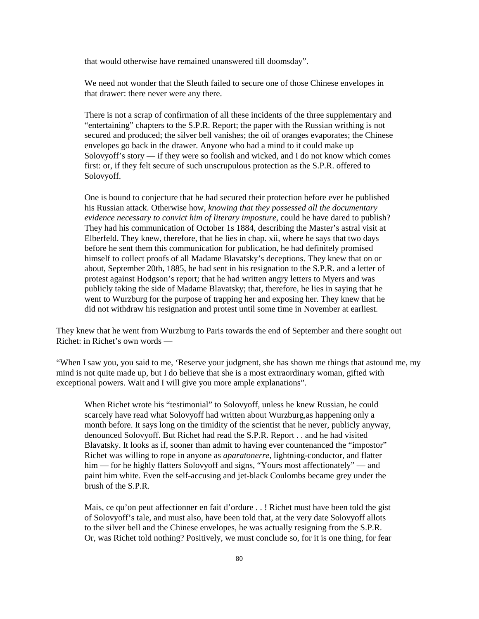that would otherwise have remained unanswered till doomsday".

We need not wonder that the Sleuth failed to secure one of those Chinese envelopes in that drawer: there never were any there.

There is not a scrap of confirmation of all these incidents of the three supplementary and "entertaining" chapters to the S.P.R. Report; the paper with the Russian writhing is not secured and produced; the silver bell vanishes; the oil of oranges evaporates; the Chinese envelopes go back in the drawer. Anyone who had a mind to it could make up Solovyoff's story — if they were so foolish and wicked, and I do not know which comes first: or, if they felt secure of such unscrupulous protection as the S.P.R. offered to Solovyoff.

One is bound to conjecture that he had secured their protection before ever he published his Russian attack. Otherwise how, *knowing that they possessed all the documentary evidence necessary to convict him of literary imposture*, could he have dared to publish? They had his communication of October 1s 1884, describing the Master's astral visit at Elberfeld. They knew, therefore, that he lies in chap. xii, where he says that two days before he sent them this communication for publication, he had definitely promised himself to collect proofs of all Madame Blavatsky's deceptions. They knew that on or about, September 20th, 1885, he had sent in his resignation to the S.P.R. and a letter of protest against Hodgson's report; that he had written angry letters to Myers and was publicly taking the side of Madame Blavatsky; that, therefore, he lies in saying that he went to Wurzburg for the purpose of trapping her and exposing her. They knew that he did not withdraw his resignation and protest until some time in November at earliest.

They knew that he went from Wurzburg to Paris towards the end of September and there sought out Richet: in Richet's own words —

"When I saw you, you said to me, 'Reserve your judgment, she has shown me things that astound me, my mind is not quite made up, but I do believe that she is a most extraordinary woman, gifted with exceptional powers. Wait and I will give you more ample explanations".

When Richet wrote his "testimonial" to Solovyoff, unless he knew Russian, he could scarcely have read what Solovyoff had written about Wurzburg,as happening only a month before. It says long on the timidity of the scientist that he never, publicly anyway, denounced Solovyoff. But Richet had read the S.P.R. Report . . and he had visited Blavatsky. It looks as if, sooner than admit to having ever countenanced the "impostor" Richet was willing to rope in anyone as *aparatonerre*, lightning-conductor, and flatter him — for he highly flatters Solovyoff and signs, "Yours most affectionately" — and paint him white. Even the self-accusing and jet-black Coulombs became grey under the brush of the S.P.R.

Mais, ce qu'on peut affectionner en fait d'ordure . . ! Richet must have been told the gist of Solovyoff's tale, and must also, have been told that, at the very date Solovyoff allots to the silver bell and the Chinese envelopes, he was actually resigning from the S.P.R. Or, was Richet told nothing? Positively, we must conclude so, for it is one thing, for fear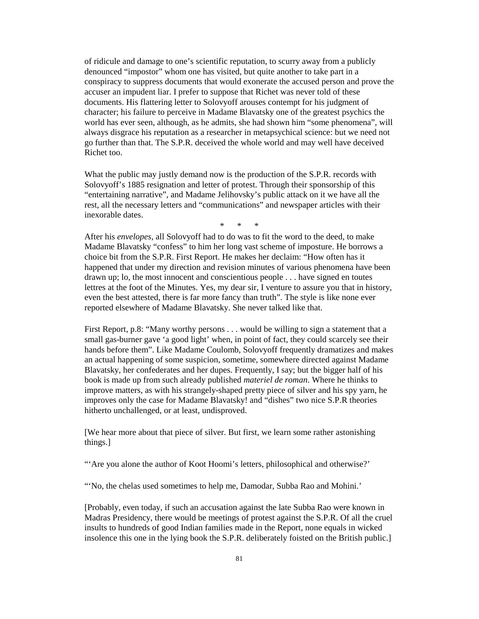of ridicule and damage to one's scientific reputation, to scurry away from a publicly denounced "impostor" whom one has visited, but quite another to take part in a conspiracy to suppress documents that would exonerate the accused person and prove the accuser an impudent liar. I prefer to suppose that Richet was never told of these documents. His flattering letter to Solovyoff arouses contempt for his judgment of character; his failure to perceive in Madame Blavatsky one of the greatest psychics the world has ever seen, although, as he admits, she had shown him "some phenomena", will always disgrace his reputation as a researcher in metapsychical science: but we need not go further than that. The S.P.R. deceived the whole world and may well have deceived Richet too.

What the public may justly demand now is the production of the S.P.R. records with Solovyoff's 1885 resignation and letter of protest. Through their sponsorship of this "entertaining narrative", and Madame Jelihovsky's public attack on it we have all the rest, all the necessary letters and "communications" and newspaper articles with their inexorable dates.

\* \* \*

After his *envelopes*, all Solovyoff had to do was to fit the word to the deed, to make Madame Blavatsky "confess" to him her long vast scheme of imposture. He borrows a choice bit from the S.P.R. First Report. He makes her declaim: "How often has it happened that under my direction and revision minutes of various phenomena have been drawn up; lo, the most innocent and conscientious people . . . have signed en toutes lettres at the foot of the Minutes. Yes, my dear sir, I venture to assure you that in history, even the best attested, there is far more fancy than truth". The style is like none ever reported elsewhere of Madame Blavatsky. She never talked like that.

First Report, p.8: "Many worthy persons . . . would be willing to sign a statement that a small gas-burner gave 'a good light' when, in point of fact, they could scarcely see their hands before them". Like Madame Coulomb, Solovyoff frequently dramatizes and makes an actual happening of some suspicion, sometime, somewhere directed against Madame Blavatsky, her confederates and her dupes. Frequently, I say; but the bigger half of his book is made up from such already published *materiel de roman*. Where he thinks to improve matters, as with his strangely-shaped pretty piece of silver and his spy yarn, he improves only the case for Madame Blavatsky! and "dishes" two nice S.P.R theories hitherto unchallenged, or at least, undisproved.

[We hear more about that piece of silver. But first, we learn some rather astonishing things.]

"'Are you alone the author of Koot Hoomi's letters, philosophical and otherwise?'

"'No, the chelas used sometimes to help me, Damodar, Subba Rao and Mohini.'

[Probably, even today, if such an accusation against the late Subba Rao were known in Madras Presidency, there would be meetings of protest against the S.P.R. Of all the cruel insults to hundreds of good Indian families made in the Report, none equals in wicked insolence this one in the lying book the S.P.R. deliberately foisted on the British public.]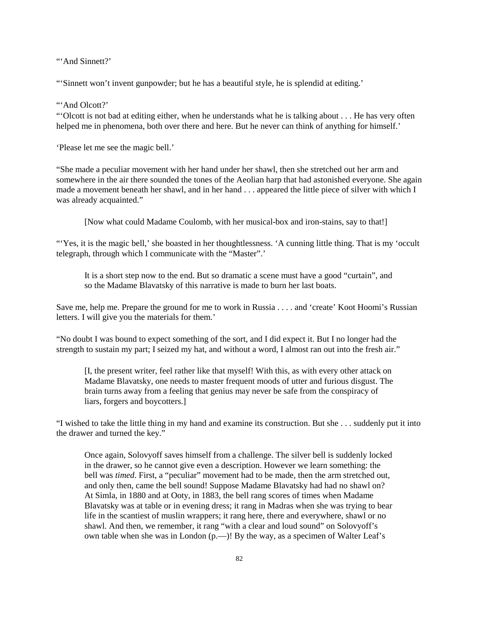"'And Sinnett?"

"'Sinnett won't invent gunpowder; but he has a beautiful style, he is splendid at editing.'

"'And Olcott?"

"'Olcott is not bad at editing either, when he understands what he is talking about . . . He has very often helped me in phenomena, both over there and here. But he never can think of anything for himself.'

'Please let me see the magic bell.'

"She made a peculiar movement with her hand under her shawl, then she stretched out her arm and somewhere in the air there sounded the tones of the Aeolian harp that had astonished everyone. She again made a movement beneath her shawl, and in her hand . . . appeared the little piece of silver with which I was already acquainted."

[Now what could Madame Coulomb, with her musical-box and iron-stains, say to that!]

"'Yes, it is the magic bell,' she boasted in her thoughtlessness. 'A cunning little thing. That is my 'occult telegraph, through which I communicate with the "Master".'

It is a short step now to the end. But so dramatic a scene must have a good "curtain", and so the Madame Blavatsky of this narrative is made to burn her last boats.

Save me, help me. Prepare the ground for me to work in Russia . . . . and 'create' Koot Hoomi's Russian letters. I will give you the materials for them.'

"No doubt I was bound to expect something of the sort, and I did expect it. But I no longer had the strength to sustain my part; I seized my hat, and without a word, I almost ran out into the fresh air."

[I, the present writer, feel rather like that myself! With this, as with every other attack on Madame Blavatsky, one needs to master frequent moods of utter and furious disgust. The brain turns away from a feeling that genius may never be safe from the conspiracy of liars, forgers and boycotters.]

"I wished to take the little thing in my hand and examine its construction. But she . . . suddenly put it into the drawer and turned the key."

Once again, Solovyoff saves himself from a challenge. The silver bell is suddenly locked in the drawer, so he cannot give even a description. However we learn something: the bell was *timed*. First, a "peculiar" movement had to be made, then the arm stretched out, and only then, came the bell sound! Suppose Madame Blavatsky had had no shawl on? At Simla, in 1880 and at Ooty, in 1883, the bell rang scores of times when Madame Blavatsky was at table or in evening dress; it rang in Madras when she was trying to bear life in the scantiest of muslin wrappers; it rang here, there and everywhere, shawl or no shawl. And then, we remember, it rang "with a clear and loud sound" on Solovyoff's own table when she was in London (p.—)! By the way, as a specimen of Walter Leaf's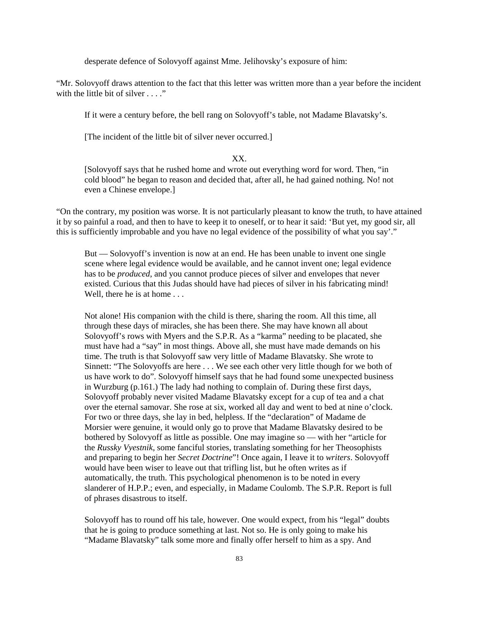desperate defence of Solovyoff against Mme. Jelihovsky's exposure of him:

"Mr. Solovyoff draws attention to the fact that this letter was written more than a year before the incident with the little bit of silver . . . ."

If it were a century before, the bell rang on Solovyoff's table, not Madame Blavatsky's.

[The incident of the little bit of silver never occurred.]

## XX.

[Solovyoff says that he rushed home and wrote out everything word for word. Then, "in cold blood" he began to reason and decided that, after all, he had gained nothing. No! not even a Chinese envelope.]

"On the contrary, my position was worse. It is not particularly pleasant to know the truth, to have attained it by so painful a road, and then to have to keep it to oneself, or to hear it said: 'But yet, my good sir, all this is sufficiently improbable and you have no legal evidence of the possibility of what you say'."

But — Solovyoff's invention is now at an end. He has been unable to invent one single scene where legal evidence would be available, and he cannot invent one; legal evidence has to be *produced*, and you cannot produce pieces of silver and envelopes that never existed. Curious that this Judas should have had pieces of silver in his fabricating mind! Well, there he is at home . . .

Not alone! His companion with the child is there, sharing the room. All this time, all through these days of miracles, she has been there. She may have known all about Solovyoff's rows with Myers and the S.P.R. As a "karma" needing to be placated, she must have had a "say" in most things. Above all, she must have made demands on his time. The truth is that Solovyoff saw very little of Madame Blavatsky. She wrote to Sinnett: "The Solovyoffs are here . . . We see each other very little though for we both of us have work to do". Solovyoff himself says that he had found some unexpected business in Wurzburg (p.161.) The lady had nothing to complain of. During these first days, Solovyoff probably never visited Madame Blavatsky except for a cup of tea and a chat over the eternal samovar. She rose at six, worked all day and went to bed at nine o'clock. For two or three days, she lay in bed, helpless. If the "declaration" of Madame de Morsier were genuine, it would only go to prove that Madame Blavatsky desired to be bothered by Solovyoff as little as possible. One may imagine so — with her "article for the *Russky Vyestnik*, some fanciful stories, translating something for her Theosophists and preparing to begin her *Secret Doctrine*"! Once again, I leave it to *writers*. Solovyoff would have been wiser to leave out that trifling list, but he often writes as if automatically, the truth. This psychological phenomenon is to be noted in every slanderer of H.P.P.; even, and especially, in Madame Coulomb. The S.P.R. Report is full of phrases disastrous to itself.

Solovyoff has to round off his tale, however. One would expect, from his "legal" doubts that he is going to produce something at last. Not so. He is only going to make his "Madame Blavatsky" talk some more and finally offer herself to him as a spy. And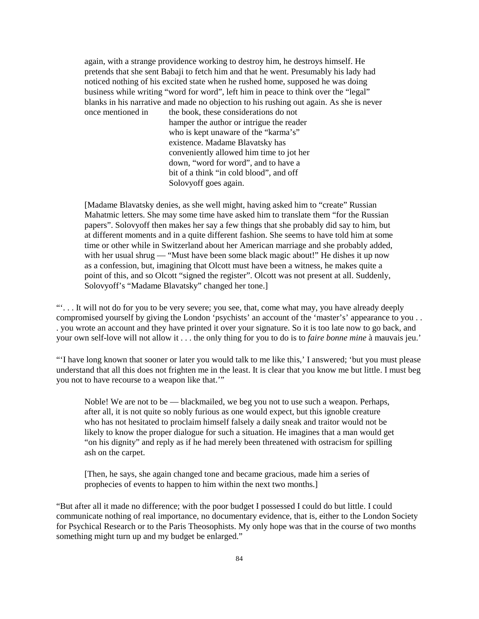again, with a strange providence working to destroy him, he destroys himself. He pretends that she sent Babaji to fetch him and that he went. Presumably his lady had noticed nothing of his excited state when he rushed home, supposed he was doing business while writing "word for word", left him in peace to think over the "legal" blanks in his narrative and made no objection to his rushing out again. As she is never once mentioned in the book, these considerations do not hamper the author or intrigue the reader who is kept unaware of the "karma's" existence. Madame Blavatsky has conveniently allowed him time to jot her down, "word for word", and to have a bit of a think "in cold blood", and off

Solovyoff goes again.

[Madame Blavatsky denies, as she well might, having asked him to "create" Russian Mahatmic letters. She may some time have asked him to translate them "for the Russian papers". Solovyoff then makes her say a few things that she probably did say to him, but at different moments and in a quite different fashion. She seems to have told him at some time or other while in Switzerland about her American marriage and she probably added, with her usual shrug — "Must have been some black magic about!" He dishes it up now as a confession, but, imagining that Olcott must have been a witness, he makes quite a point of this, and so Olcott "signed the register". Olcott was not present at all. Suddenly, Solovyoff's "Madame Blavatsky" changed her tone.]

"'. . . It will not do for you to be very severe; you see, that, come what may, you have already deeply compromised yourself by giving the London 'psychists' an account of the 'master's' appearance to you . . . you wrote an account and they have printed it over your signature. So it is too late now to go back, and your own self-love will not allow it . . . the only thing for you to do is to *faire bonne mine* à mauvais jeu.'

"'I have long known that sooner or later you would talk to me like this,' I answered; 'but you must please understand that all this does not frighten me in the least. It is clear that you know me but little. I must beg you not to have recourse to a weapon like that.'"

Noble! We are not to be — blackmailed, we beg you not to use such a weapon. Perhaps, after all, it is not quite so nobly furious as one would expect, but this ignoble creature who has not hesitated to proclaim himself falsely a daily sneak and traitor would not be likely to know the proper dialogue for such a situation. He imagines that a man would get "on his dignity" and reply as if he had merely been threatened with ostracism for spilling ash on the carpet.

[Then, he says, she again changed tone and became gracious, made him a series of prophecies of events to happen to him within the next two months.]

"But after all it made no difference; with the poor budget I possessed I could do but little. I could communicate nothing of real importance, no documentary evidence, that is, either to the London Society for Psychical Research or to the Paris Theosophists. My only hope was that in the course of two months something might turn up and my budget be enlarged."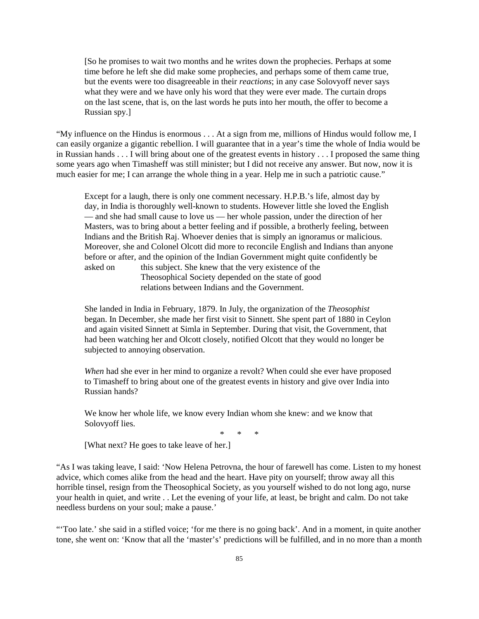[So he promises to wait two months and he writes down the prophecies. Perhaps at some time before he left she did make some prophecies, and perhaps some of them came true, but the events were too disagreeable in their *reactions*; in any case Solovyoff never says what they were and we have only his word that they were ever made. The curtain drops on the last scene, that is, on the last words he puts into her mouth, the offer to become a Russian spy.]

"My influence on the Hindus is enormous . . . At a sign from me, millions of Hindus would follow me, I can easily organize a gigantic rebellion. I will guarantee that in a year's time the whole of India would be in Russian hands . . . I will bring about one of the greatest events in history . . . I proposed the same thing some years ago when Timasheff was still minister; but I did not receive any answer. But now, now it is much easier for me; I can arrange the whole thing in a year. Help me in such a patriotic cause."

Except for a laugh, there is only one comment necessary. H.P.B.'s life, almost day by day, in India is thoroughly well-known to students. However little she loved the English — and she had small cause to love us — her whole passion, under the direction of her Masters, was to bring about a better feeling and if possible, a brotherly feeling, between Indians and the British Raj. Whoever denies that is simply an ignoramus or malicious. Moreover, she and Colonel Olcott did more to reconcile English and Indians than anyone before or after, and the opinion of the Indian Government might quite confidently be asked on this subject. She knew that the very existence of the

Theosophical Society depended on the state of good relations between Indians and the Government.

She landed in India in February, 1879. In July, the organization of the *Theosophist* began. In December, she made her first visit to Sinnett. She spent part of 1880 in Ceylon and again visited Sinnett at Simla in September. During that visit, the Government, that had been watching her and Olcott closely, notified Olcott that they would no longer be subjected to annoying observation.

*When* had she ever in her mind to organize a revolt? When could she ever have proposed to Timasheff to bring about one of the greatest events in history and give over India into Russian hands?

We know her whole life, we know every Indian whom she knew: and we know that Solovyoff lies.

\* \* \*

[What next? He goes to take leave of her.]

"As I was taking leave, I said: 'Now Helena Petrovna, the hour of farewell has come. Listen to my honest advice, which comes alike from the head and the heart. Have pity on yourself; throw away all this horrible tinsel, resign from the Theosophical Society, as you yourself wished to do not long ago, nurse your health in quiet, and write . . Let the evening of your life, at least, be bright and calm. Do not take needless burdens on your soul; make a pause.'

"'Too late.' she said in a stifled voice; 'for me there is no going back'. And in a moment, in quite another tone, she went on: 'Know that all the 'master's' predictions will be fulfilled, and in no more than a month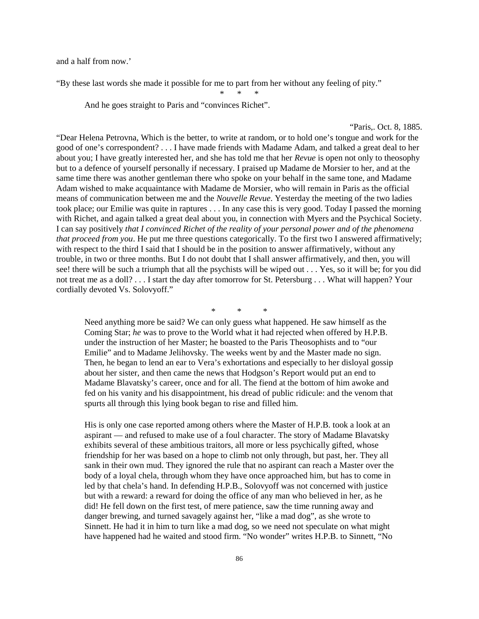and a half from now.'

"By these last words she made it possible for me to part from her without any feeling of pity."

\* \* \*

And he goes straight to Paris and "convinces Richet".

## "Paris,. Oct. 8, 1885.

"Dear Helena Petrovna, Which is the better, to write at random, or to hold one's tongue and work for the good of one's correspondent? . . . I have made friends with Madame Adam, and talked a great deal to her about you; I have greatly interested her, and she has told me that her *Revue* is open not only to theosophy but to a defence of yourself personally if necessary. I praised up Madame de Morsier to her, and at the same time there was another gentleman there who spoke on your behalf in the same tone, and Madame Adam wished to make acquaintance with Madame de Morsier, who will remain in Paris as the official means of communication between me and the *Nouvelle Revue*. Yesterday the meeting of the two ladies took place; our Emilie was quite in raptures . . . In any case this is very good. Today I passed the morning with Richet, and again talked a great deal about you, in connection with Myers and the Psychical Society. I can say positively *that I convinced Richet of the reality of your personal power and of the phenomena that proceed from you*. He put me three questions categorically. To the first two I answered affirmatively; with respect to the third I said that I should be in the position to answer affirmatively, without any trouble, in two or three months. But I do not doubt that I shall answer affirmatively, and then, you will see! there will be such a triumph that all the psychists will be wiped out . . . Yes, so it will be; for you did not treat me as a doll? . . . I start the day after tomorrow for St. Petersburg . . . What will happen? Your cordially devoted Vs. Solovyoff."

\* \* \*

Need anything more be said? We can only guess what happened. He saw himself as the Coming Star; *he* was to prove to the World what it had rejected when offered by H.P.B. under the instruction of her Master; he boasted to the Paris Theosophists and to "our Emilie" and to Madame Jelihovsky. The weeks went by and the Master made no sign. Then, he began to lend an ear to Vera's exhortations and especially to her disloyal gossip about her sister, and then came the news that Hodgson's Report would put an end to Madame Blavatsky's career, once and for all. The fiend at the bottom of him awoke and fed on his vanity and his disappointment, his dread of public ridicule: and the venom that spurts all through this lying book began to rise and filled him.

His is only one case reported among others where the Master of H.P.B. took a look at an aspirant — and refused to make use of a foul character. The story of Madame Blavatsky exhibits several of these ambitious traitors, all more or less psychically gifted, whose friendship for her was based on a hope to climb not only through, but past, her. They all sank in their own mud. They ignored the rule that no aspirant can reach a Master over the body of a loyal chela, through whom they have once approached him, but has to come in led by that chela's hand. In defending H.P.B., Solovyoff was not concerned with justice but with a reward: a reward for doing the office of any man who believed in her, as he did! He fell down on the first test, of mere patience, saw the time running away and danger brewing, and turned savagely against her, "like a mad dog", as she wrote to Sinnett. He had it in him to turn like a mad dog, so we need not speculate on what might have happened had he waited and stood firm. "No wonder" writes H.P.B. to Sinnett, "No